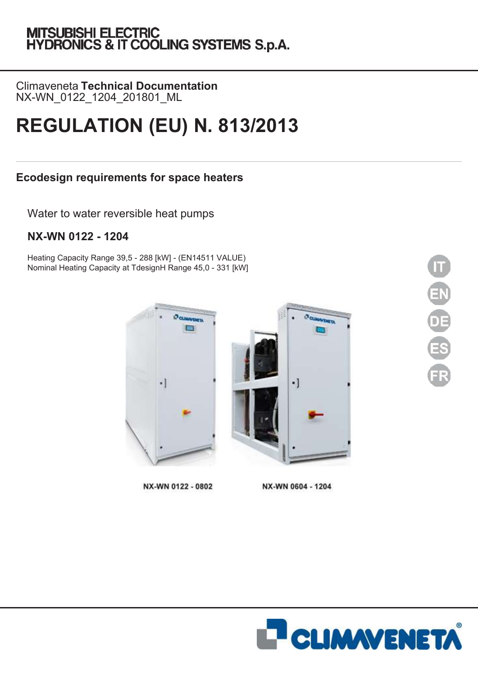# MITSUBISHI ELECTRIC<br>HYDRONICS & IT COOLING SYSTEMS S.p.A.

Climaveneta **Technical Documentation** NX-WN\_0122\_1204\_201801\_ML

## **REGULATION (EU) N. 813/2013**

## **Ecodesign requirements for space heaters**

Water to water reversible heat pumps

## **NX-WN 0122 - 1204**

Heating Capacity Range 39,5 - 288 [kW] - (EN14511 VALUE) Nominal Heating Capacity at TdesignH Range 45,0 - 331 [kW]



NX-WN 0122 - 0802

NX-WN 0604 - 1204



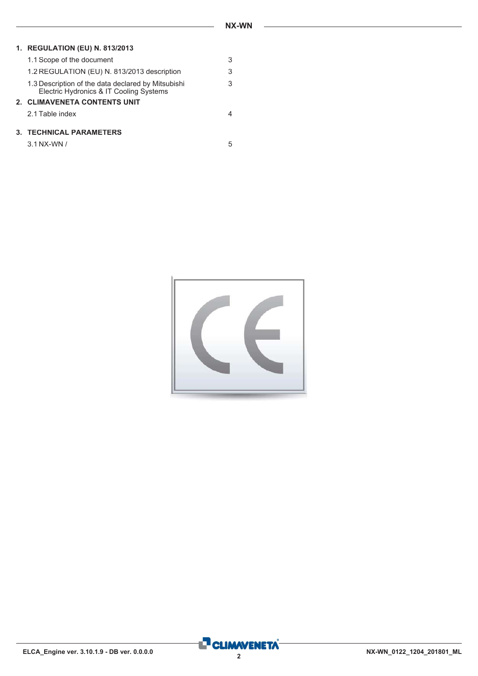#### **1. REGULATION (EU) N. 813/2013**

| <b>3. TECHNICAL PARAMETERS</b>                                                                |   |
|-----------------------------------------------------------------------------------------------|---|
| 2.1 Table index                                                                               |   |
| 2. CLIMAVENETA CONTENTS UNIT                                                                  |   |
| 1.3 Description of the data declared by Mitsubishi<br>Electric Hydronics & IT Cooling Systems | 3 |
| 1.2 REGULATION (EU) N. 813/2013 description                                                   | 3 |
| 1.1 Scope of the document                                                                     | 3 |

| 3.1 NX-WN / |  |
|-------------|--|
|             |  |



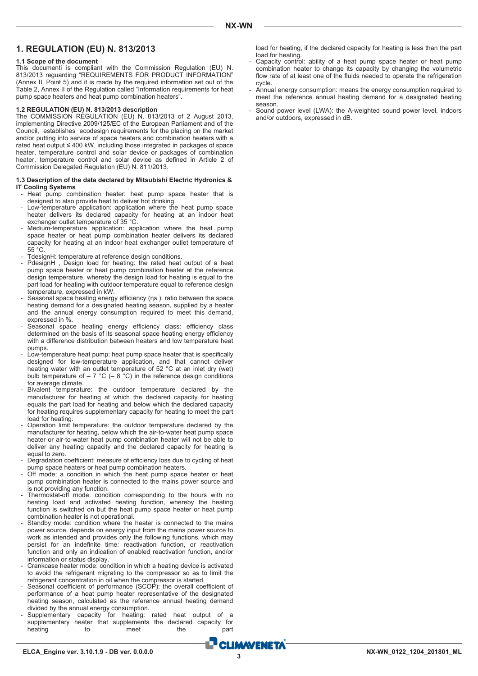#### **1. REGULATION (EU) N. 813/2013**

#### **1.1 Scope of the document**

This documenti is compliant with the Commission Regulation (EU) N. 813/2013 reguarding "REQUIREMENTS FOR PRODUCT INFORMATION" (Annex II, Point 5) and it is made by the required information set out of the Table 2, Annex II of the Regulation called "Information requirements for heat pump space heaters and heat pump combination heaters"

#### **1.2 REGULATION (EU) N. 813/2013 description**

The COMMISSION REGULATION (EU) N. 813/2013 of 2 August 2013, implementing Directive 2009/125/EC of the European Parliament and of the Council, establishes ecodesign requirements for the placing on the market and/or putting into service of space heaters and combination heaters with a rated heat output ≤ 400 kW, including those integrated in packages of space heater, temperature control and solar device or packages of combination heater, temperature control and solar device as defined in Article 2 of Commission Delegated Regulation (EU) N. 811/2013.

#### **1.3 Description of the data declared by Mitsubishi Electric Hydronics & IT Cooling Systems**

- Heat pump combination heater: heat pump space heater that is designed to also provide heat to deliver hot drinking.
- Low-temperature application: application where the heat pump space heater delivers its declared capacity for heating at an indoor heat exchanger outlet temperature of 35 °C.
- Medium-temperature application: application where the heat pump space heater or heat pump combination heater delivers its declared capacity for heating at an indoor heat exchanger outlet temperature of 55 °C.
- TdesignH: temperature at reference design conditions.
- PdesignH, Design load for heating: the rated heat output of a heat pump space heater or heat pump combination heater at the reference design temperature, whereby the design load for heating is equal to the part load for heating with outdoor temperature equal to reference design temperature, expressed in kW.
- Seasonal space heating energy efficiency (ηs ): ratio between the space heating demand for a designated heating season, supplied by a heater and the annual energy consumption required to meet this demand, expressed in %.
- Seasonal space heating energy efficiency class: efficiency class determined on the basis of its seasonal space heating energy efficiency with a difference distribution between heaters and low temperature heat pumps.
- Low-temperature heat pump: heat pump space heater that is specifically designed for low-temperature application, and that cannot deliver heating water with an outlet temperature of 52 °C at an inlet dry (wet) bulb temperature of  $-7$  °C ( $-8$  °C) in the reference design conditions for average climate.
- Bivalent temperature: the outdoor temperature declared by the manufacturer for heating at which the declared capacity for heating equals the part load for heating and below which the declared capacity for heating requires supplementary capacity for heating to meet the part load for heating.
- Operation limit temperature: the outdoor temperature declared by the manufacturer for heating, below which the air-to-water heat pump space heater or air-to-water heat pump combination heater will not be able to deliver any heating capacity and the declared capacity for heating is equal to zero.
- Degradation coefficient: measure of efficiency loss due to cycling of heat pump space heaters or heat pump combination heaters.
- Off mode: a condition in which the heat pump space heater or heat pump combination heater is connected to the mains power source and is not providing any function.
- Thermostat-off mode: condition corresponding to the hours with no heating load and activated heating function, whereby the heating function is switched on but the heat pump space heater or heat pump combination heater is not operational.
- Standby mode: condition where the heater is connected to the mains power source, depends on energy input from the mains power source to work as intended and provides only the following functions, which may persist for an indefinite time: reactivation function, or reactivation function and only an indication of enabled reactivation function, and/or information or status display.
- Crankcase heater mode: condition in which a heating device is activated to avoid the refrigerant migrating to the compressor so as to limit the refrigerant concentration in oil when the compressor is started.
- Seasonal coefficient of performance (SCOP): the overall coefficient of performance of a heat pump heater representative of the designated heating season, calculated as the reference annual heating demand divided by the annual energy consumption.
- Supplementary capacity for heating: rated heat output of a supplementary heater that supplements the declared capacity for heating to to meet the part

load for heating, if the declared capacity for heating is less than the part load for heating.

- Capacity control: ability of a heat pump space heater or heat pump combination heater to change its capacity by changing the volumetric flow rate of at least one of the fluids needed to operate the refrigeration cycle.
- Annual energy consumption: means the energy consumption required to meet the reference annual heating demand for a designated heating season.
- Sound power level (LWA): the A-weighted sound power level, indoors and/or outdoors, expressed in dB.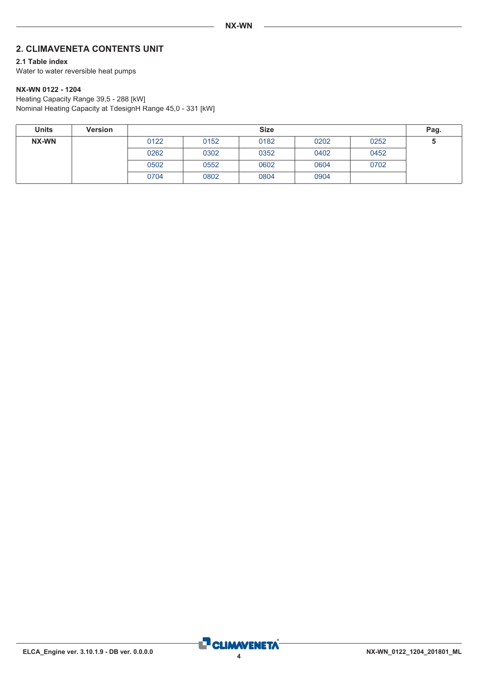### <span id="page-3-0"></span>**2. CLIMAVENETA CONTENTS UNIT**

#### **2.1 Table index**

Water to water reversible heat pumps

#### **NX-WN 0122 - 1204**

Heating Capacity Range 39,5 - 288 [kW] Nominal Heating Capacity at TdesignH Range 45,0 - 331 [kW]

| <b>Units</b> | <b>Version</b> |      | <b>Size</b> |      |      |      |   |
|--------------|----------------|------|-------------|------|------|------|---|
| <b>NX-WN</b> |                | 0122 | 0152        | 0182 | 0202 | 0252 | u |
|              |                | 0262 | 0302        | 0352 | 0402 | 0452 |   |
|              |                | 0502 | 0552        | 0602 | 0604 | 0702 |   |
|              |                | 0704 | 0802        | 0804 | 0904 |      |   |

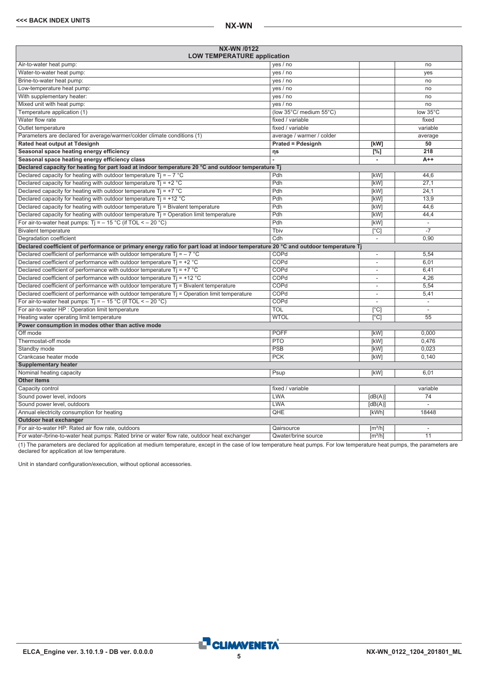<span id="page-4-0"></span>

| NX-WN /0122<br><b>LOW TEMPERATURE application</b>                                                                                |                           |                              |                          |
|----------------------------------------------------------------------------------------------------------------------------------|---------------------------|------------------------------|--------------------------|
| Air-to-water heat pump:                                                                                                          | yes / no                  |                              | no                       |
| Water-to-water heat pump:                                                                                                        | yes / no                  |                              | yes                      |
| Brine-to-water heat pump:                                                                                                        | yes / no                  |                              | no                       |
| Low-temperature heat pump:                                                                                                       | yes / no                  |                              | no                       |
| With supplementary heater:                                                                                                       | yes / no                  |                              | no                       |
| Mixed unit with heat pump:                                                                                                       | yes / no                  |                              | no                       |
| Temperature application (1)                                                                                                      | (low 35°C/ medium 55°C)   |                              | low 35°C                 |
| Water flow rate                                                                                                                  | fixed / variable          |                              | fixed                    |
| Outlet temperature                                                                                                               | fixed / variable          |                              | variable                 |
| Parameters are declared for average/warmer/colder climate conditions (1)                                                         | average / warmer / colder |                              | average                  |
| Rated heat output at Tdesignh                                                                                                    | <b>Prated = Pdesignh</b>  | [kW]                         | 50                       |
| Seasonal space heating energy efficiency                                                                                         | ηs                        | [%]                          | 218                      |
| Seasonal space heating energy efficiency class                                                                                   |                           | $\overline{\phantom{a}}$     | $A++$                    |
| Declared capacity for heating for part load at indoor temperature 20 °C and outdoor temperature Tj                               |                           |                              |                          |
| Declared capacity for heating with outdoor temperature Ti = $-7$ °C                                                              | Pdh                       | [kW]                         | 44.6                     |
| Declared capacity for heating with outdoor temperature $Ti = +2 °C$                                                              | Pdh                       | [kW]                         | 27,1                     |
| Declared capacity for heating with outdoor temperature $Ti = +7 °C$                                                              | Pdh                       | [kW]                         | 24,1                     |
| Declared capacity for heating with outdoor temperature $Ti = +12 °C$                                                             | Pdh                       | [kW]                         | 13,9                     |
| Declared capacity for heating with outdoor temperature $Tj = Bivalent$ temperature                                               | Pdh                       | [kW]                         | 44.6                     |
| Declared capacity for heating with outdoor temperature $Ti =$ Operation limit temperature                                        | Pdh                       | [kW]                         | 44,4                     |
| For air-to-water heat pumps: Tj = $-$ 15 °C (if TOL < $-$ 20 °C)                                                                 | Pdh                       | [kW]                         | $\overline{\phantom{a}}$ |
| <b>Bivalent temperature</b>                                                                                                      | Thiv                      | $\overline{[}^{\circ}C]$     |                          |
| Degradation coefficient                                                                                                          | Cdh                       | $\overline{\phantom{a}}$     | 0,90                     |
| Declared coefficient of performance or primary energy ratio for part load at indoor temperature 20 °C and outdoor temperature Tj |                           |                              |                          |
| Declared coefficient of performance with outdoor temperature $Ti = -7$ °C                                                        | COPd                      | $\overline{\phantom{a}}$     | 5,54                     |
| Declared coefficient of performance with outdoor temperature $Ti = +2 °C$                                                        | COPd                      | $\overline{\phantom{a}}$     | 6,01                     |
| Declared coefficient of performance with outdoor temperature $Ti = +7$ °C                                                        | COPd                      | $\overline{\phantom{a}}$     | 6,41                     |
| Declared coefficient of performance with outdoor temperature $Ti = +12 °C$                                                       | COPd                      |                              | 4,26                     |
| Declared coefficient of performance with outdoor temperature $Tj$ = Bivalent temperature                                         | COPd                      | $\overline{\phantom{a}}$     | 5,54                     |
| Declared coefficient of performance with outdoor temperature T <sub>j</sub> = Operation limit temperature                        | COPd                      | $\overline{\phantom{a}}$     | 5,41                     |
| For air-to-water heat pumps: $Ti = -15 °C$ (if TOL < - 20 °C)                                                                    | COPd                      |                              | $\overline{\phantom{a}}$ |
| For air-to-water HP : Operation limit temperature                                                                                | <b>TOL</b>                | $\overline{[^{\circ}C]}$     | L.                       |
| Heating water operating limit temperature                                                                                        | <b>WTOL</b>               | $\lceil$ °Cl                 | 55                       |
| Power consumption in modes other than active mode                                                                                |                           |                              |                          |
| Off mode                                                                                                                         | <b>POFF</b>               | [kW]                         | 0,000                    |
| Thermostat-off mode                                                                                                              | <b>PTO</b>                | [kW]                         | 0,476                    |
| Standby mode                                                                                                                     | PSB                       | [kW]                         | 0,023                    |
| Crankcase heater mode                                                                                                            | <b>PCK</b>                | [kW]                         | 0.140                    |
| <b>Supplementary heater</b>                                                                                                      |                           |                              |                          |
| Nominal heating capacity                                                                                                         | Psup                      | [kW]                         | 6,01                     |
| <b>Other items</b>                                                                                                               |                           |                              |                          |
| Capacity control                                                                                                                 | fixed / variable          |                              | variable                 |
| Sound power level, indoors                                                                                                       | <b>LWA</b>                | [dB(A)]                      | 74                       |
| Sound power level, outdoors                                                                                                      | <b>LWA</b>                | [dB(A)]                      | $\overline{a}$           |
| Annual electricity consumption for heating                                                                                       | QHE                       | [kWh]                        | 18448                    |
| Outdoor heat exchanger                                                                                                           |                           |                              |                          |
| For air-to-water HP: Rated air flow rate, outdoors                                                                               | Qairsource                | $\left[\frac{m^3}{h}\right]$ | $\overline{\phantom{a}}$ |
| For water-/brine-to-water heat pumps: Rated brine or water flow rate, outdoor heat exchanger                                     | Qwater/brine source       | $\lceil m^3/h \rceil$        | 11                       |

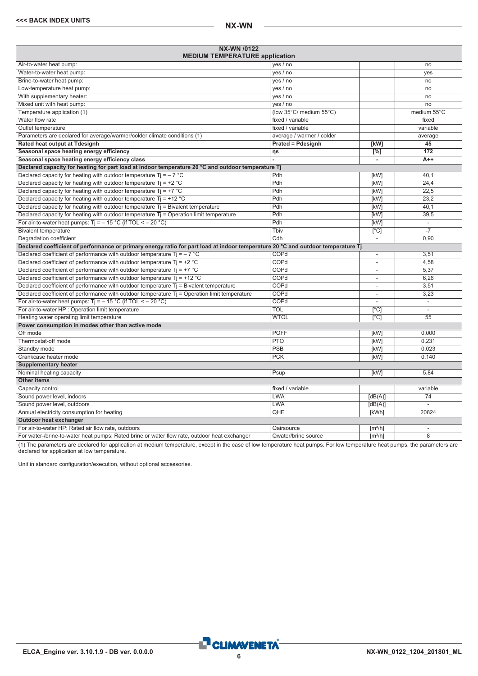| NX-WN /0122<br><b>MEDIUM TEMPERATURE application</b>                                                                             |                           |                              |                          |
|----------------------------------------------------------------------------------------------------------------------------------|---------------------------|------------------------------|--------------------------|
| Air-to-water heat pump:                                                                                                          | yes / no                  |                              | no                       |
| Water-to-water heat pump:                                                                                                        | yes / no                  |                              | yes                      |
| Brine-to-water heat pump:                                                                                                        | yes / no                  |                              | no                       |
| Low-temperature heat pump:                                                                                                       | yes / no                  |                              | no                       |
| With supplementary heater:                                                                                                       | yes / no                  |                              | no                       |
| Mixed unit with heat pump:                                                                                                       | yes / no                  |                              | no                       |
| Temperature application (1)                                                                                                      | (low 35°C/ medium 55°C)   |                              | medium 55°C              |
| Water flow rate                                                                                                                  | fixed / variable          |                              | fixed                    |
| Outlet temperature                                                                                                               | fixed / variable          |                              | variable                 |
| Parameters are declared for average/warmer/colder climate conditions (1)                                                         | average / warmer / colder |                              | average                  |
| Rated heat output at Tdesignh                                                                                                    | <b>Prated = Pdesignh</b>  | [kW]                         | 45                       |
| Seasonal space heating energy efficiency                                                                                         | ηs                        | [%]                          | 172                      |
| Seasonal space heating energy efficiency class                                                                                   |                           | $\blacksquare$               | $A++$                    |
| Declared capacity for heating for part load at indoor temperature 20 °C and outdoor temperature Tj                               |                           |                              |                          |
| Declared capacity for heating with outdoor temperature $Ti = -7$ °C                                                              | Pdh                       | [kW]                         | 40.1                     |
| Declared capacity for heating with outdoor temperature $Ti = +2$ °C                                                              | Pdh                       | [kW]                         | 24,4                     |
| Declared capacity for heating with outdoor temperature $Tj = +7$ °C                                                              | Pdh                       | [kW]                         | 22,5                     |
| Declared capacity for heating with outdoor temperature $Ti = +12 °C$                                                             | Pdh                       | [kW]                         | 23,2                     |
| Declared capacity for heating with outdoor temperature $T_i$ = Bivalent temperature                                              | Pdh                       | [kW]                         | 40,1                     |
| Declared capacity for heating with outdoor temperature $Tj =$ Operation limit temperature                                        | Pdh                       | [kW]                         | 39,5                     |
| For air-to-water heat pumps: $Ti = -15 °C$ (if TOL < - 20 °C)                                                                    | Pdh                       | [kW]                         | $\overline{\phantom{a}}$ |
| <b>Bivalent temperature</b>                                                                                                      | Tbiv                      | $\lceil$ °C                  | $\overline{-7}$          |
| Degradation coefficient                                                                                                          | Cdh                       | $\overline{\phantom{a}}$     | 0,90                     |
| Declared coefficient of performance or primary energy ratio for part load at indoor temperature 20 °C and outdoor temperature Tj |                           |                              |                          |
| Declared coefficient of performance with outdoor temperature Ti = $-7$ °C                                                        | COPd                      | $\overline{\phantom{a}}$     | 3,51                     |
| Declared coefficient of performance with outdoor temperature $Ti = +2 °C$                                                        | COPd                      | $\overline{\phantom{a}}$     | 4,58                     |
| Declared coefficient of performance with outdoor temperature $Ti = +7$ °C                                                        | COPd                      | $\overline{\phantom{a}}$     | 5,37                     |
| Declared coefficient of performance with outdoor temperature $Ti = +12$ °C                                                       | COPd                      | L,                           | 6.26                     |
| Declared coefficient of performance with outdoor temperature $Tj$ = Bivalent temperature                                         | COPd                      | L.                           | 3.51                     |
| Declared coefficient of performance with outdoor temperature $Tj =$ Operation limit temperature                                  | COPd                      | $\overline{\phantom{a}}$     | 3,23                     |
| For air-to-water heat pumps: $Ti = -15 °C$ (if TOL < - 20 °C)                                                                    | COPd                      | $\overline{\phantom{a}}$     | Ξ                        |
| For air-to-water HP : Operation limit temperature                                                                                | <b>TOL</b>                | $\lceil$ °C]                 | $\sim$                   |
| Heating water operating limit temperature                                                                                        | <b>WTOL</b>               | $\overline{C}$               | $\overline{55}$          |
| Power consumption in modes other than active mode                                                                                |                           |                              |                          |
| Off mode                                                                                                                         | <b>POFF</b>               | [kW]                         | 0.000                    |
| Thermostat-off mode                                                                                                              | <b>PTO</b>                | [kW]                         | 0.231                    |
| Standby mode                                                                                                                     | <b>PSB</b>                | [kW]                         | 0.023                    |
| Crankcase heater mode                                                                                                            | <b>PCK</b>                | [kW]                         | 0.140                    |
| <b>Supplementary heater</b>                                                                                                      |                           |                              |                          |
| Nominal heating capacity                                                                                                         | Psup                      | [kW]                         | 5.84                     |
| <b>Other items</b>                                                                                                               |                           |                              |                          |
| Capacity control                                                                                                                 | fixed / variable          |                              | variable                 |
| Sound power level, indoors                                                                                                       | <b>LWA</b>                | [dB(A)]                      | 74                       |
| Sound power level, outdoors                                                                                                      | <b>LWA</b>                | [dB(A)]                      | ÷                        |
| Annual electricity consumption for heating                                                                                       | QHE                       | [kWh]                        | 20824                    |
| Outdoor heat exchanger                                                                                                           |                           |                              |                          |
| For air-to-water HP: Rated air flow rate, outdoors                                                                               | Qairsource                | $\left[\frac{m^3}{h}\right]$ | L.                       |
| For water-/brine-to-water heat pumps: Rated brine or water flow rate, outdoor heat exchanger                                     | Qwater/brine source       | $\lceil m^3/h \rceil$        | 8                        |

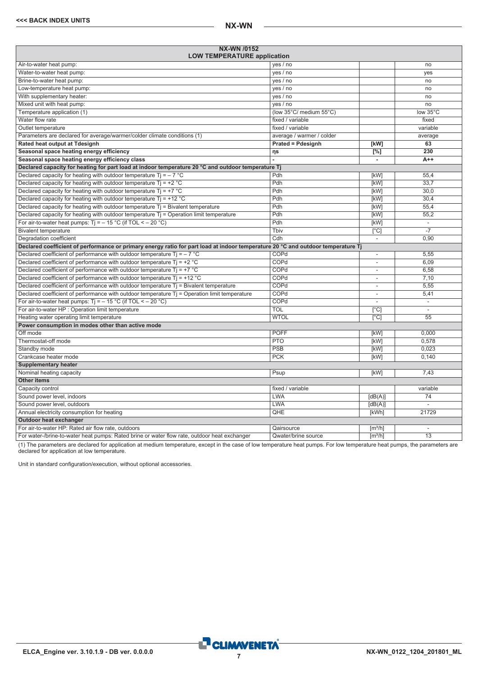<span id="page-6-0"></span>

| NX-WN /0152<br><b>LOW TEMPERATURE application</b>                                                                                |                           |                              |                          |
|----------------------------------------------------------------------------------------------------------------------------------|---------------------------|------------------------------|--------------------------|
| Air-to-water heat pump:                                                                                                          | yes / no                  |                              | no                       |
| Water-to-water heat pump:                                                                                                        | yes / no                  |                              | ves                      |
| Brine-to-water heat pump:                                                                                                        | yes / no                  |                              | no                       |
| Low-temperature heat pump:                                                                                                       | yes / no                  |                              | no                       |
| With supplementary heater:                                                                                                       | yes / no                  |                              | no                       |
| Mixed unit with heat pump:                                                                                                       | yes / no                  |                              | no                       |
| Temperature application (1)                                                                                                      | (low 35°C/ medium 55°C)   |                              | low 35°C                 |
| Water flow rate                                                                                                                  | fixed / variable          |                              | fixed                    |
| Outlet temperature                                                                                                               | fixed / variable          |                              | variable                 |
| Parameters are declared for average/warmer/colder climate conditions (1)                                                         | average / warmer / colder |                              | average                  |
| Rated heat output at Tdesignh                                                                                                    | <b>Prated = Pdesignh</b>  | [kW]                         | 63                       |
| Seasonal space heating energy efficiency                                                                                         | ηs                        | [%]                          | 230                      |
| Seasonal space heating energy efficiency class                                                                                   |                           | $\bar{a}$                    | $A++$                    |
| Declared capacity for heating for part load at indoor temperature 20 °C and outdoor temperature Tj                               |                           |                              |                          |
| Declared capacity for heating with outdoor temperature $Ti = -7$ °C                                                              | Pdh                       | [kW]                         | 55,4                     |
| Declared capacity for heating with outdoor temperature $Ti = +2 °C$                                                              | Pdh                       | [kW]                         | 33.7                     |
| Declared capacity for heating with outdoor temperature $Ti = +7$ °C                                                              | Pdh                       | [kW]                         | 30.0                     |
| Declared capacity for heating with outdoor temperature $Ti = +12 °C$                                                             | Pdh                       | [kW]                         | 30,4                     |
| Declared capacity for heating with outdoor temperature $Tj = Bivalent$ temperature                                               | Pdh                       | [kW]                         | 55,4                     |
| Declared capacity for heating with outdoor temperature $T_i$ = Operation limit temperature                                       | Pdh                       | [kW]                         | 55,2                     |
| For air-to-water heat pumps: $Ti = -15 °C$ (if TOL < - 20 °C)                                                                    | Pdh                       | [kW]                         | ÷,                       |
| <b>Bivalent temperature</b>                                                                                                      | Tbiv                      | $\overline{[}^{\circ}C]$     | $-7$                     |
| Degradation coefficient                                                                                                          | Cdh                       | $\overline{\phantom{a}}$     | 0,90                     |
| Declared coefficient of performance or primary energy ratio for part load at indoor temperature 20 °C and outdoor temperature Tj |                           |                              |                          |
| Declared coefficient of performance with outdoor temperature $Ti = -7$ °C                                                        | COPd                      | $\overline{\phantom{a}}$     | 5,55                     |
| Declared coefficient of performance with outdoor temperature $Tj = +2$ °C                                                        | COPd                      | L,                           | 6.09                     |
| Declared coefficient of performance with outdoor temperature $Ti = +7$ °C                                                        | COPd                      | L,                           | 6.58                     |
| Declared coefficient of performance with outdoor temperature $Ti = +12 °C$                                                       | COPd                      | ٠                            | 7,10                     |
| Declared coefficient of performance with outdoor temperature $Tj$ = Bivalent temperature                                         | COPd                      | $\overline{\phantom{a}}$     | 5,55                     |
| Declared coefficient of performance with outdoor temperature T <sub>j</sub> = Operation limit temperature                        | COPd                      | L,                           | 5,41                     |
| For air-to-water heat pumps: $Ti = -15 °C$ (if TOL < - 20 °C)                                                                    | COPd                      | ÷,                           | $\overline{\phantom{a}}$ |
| For air-to-water HP : Operation limit temperature                                                                                | TOL                       | [°C]                         |                          |
| Heating water operating limit temperature                                                                                        | <b>WTOL</b>               | $\lceil$ °C]                 | $\overline{55}$          |
| Power consumption in modes other than active mode                                                                                |                           |                              |                          |
| Off mode                                                                                                                         | <b>POFF</b>               | [kW]                         | 0.000                    |
| Thermostat-off mode                                                                                                              | PTO                       | [kW]                         | 0.578                    |
| Standby mode                                                                                                                     | PSB                       | [kW]                         | 0.023                    |
| Crankcase heater mode                                                                                                            | <b>PCK</b>                | [kW]                         | 0,140                    |
| <b>Supplementary heater</b>                                                                                                      |                           |                              |                          |
| Nominal heating capacity                                                                                                         | Psup                      | [kW]                         | 7.43                     |
| <b>Other items</b>                                                                                                               |                           |                              |                          |
| Capacity control                                                                                                                 | fixed / variable          |                              | variable                 |
| Sound power level, indoors                                                                                                       | LWA                       | [dB(A)]                      | $\overline{74}$          |
| Sound power level, outdoors                                                                                                      | LWA                       | [dB(A)]                      |                          |
| Annual electricity consumption for heating                                                                                       | QHE                       | [kWh]                        | 21729                    |
| Outdoor heat exchanger                                                                                                           |                           |                              |                          |
| For air-to-water HP: Rated air flow rate, outdoors                                                                               | Qairsource                | [m <sup>3</sup> /h]          | $\overline{\phantom{a}}$ |
| For water-/brine-to-water heat pumps: Rated brine or water flow rate, outdoor heat exchanger                                     | Qwater/brine source       | $\left[\frac{m^3}{h}\right]$ | $\overline{13}$          |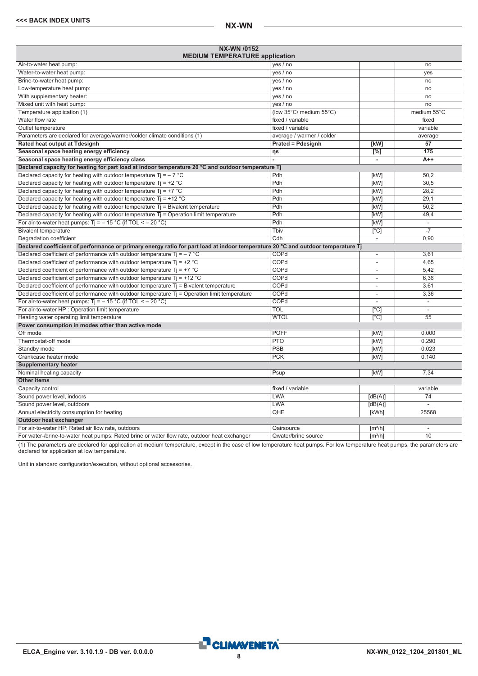| NX-WN /0152<br><b>MEDIUM TEMPERATURE application</b>                                                                             |                           |                              |                          |
|----------------------------------------------------------------------------------------------------------------------------------|---------------------------|------------------------------|--------------------------|
| Air-to-water heat pump:                                                                                                          | yes / no                  |                              | no                       |
| Water-to-water heat pump:                                                                                                        | yes / no                  |                              | ves                      |
| Brine-to-water heat pump:                                                                                                        | yes / no                  |                              | no                       |
| Low-temperature heat pump:                                                                                                       | yes / no                  |                              | no                       |
| With supplementary heater:                                                                                                       | yes / no                  |                              | no                       |
| Mixed unit with heat pump:                                                                                                       | yes / no                  |                              | no                       |
| Temperature application (1)                                                                                                      | (low 35°C/ medium 55°C)   |                              | medium 55°C              |
| Water flow rate                                                                                                                  | fixed / variable          |                              | fixed                    |
| Outlet temperature                                                                                                               | fixed / variable          |                              | variable                 |
| Parameters are declared for average/warmer/colder climate conditions (1)                                                         | average / warmer / colder |                              | average                  |
| Rated heat output at Tdesignh                                                                                                    | <b>Prated = Pdesignh</b>  | [kW]                         | 57                       |
| Seasonal space heating energy efficiency                                                                                         | ηs                        | $\sqrt{[0,1]}$               | 175                      |
| Seasonal space heating energy efficiency class                                                                                   |                           | $\blacksquare$               | $A++$                    |
| Declared capacity for heating for part load at indoor temperature 20 °C and outdoor temperature Tj                               |                           |                              |                          |
| Declared capacity for heating with outdoor temperature $Ti = -7$ °C                                                              | Pdh                       | [kW]                         | 50.2                     |
| Declared capacity for heating with outdoor temperature $Ti = +2$ °C                                                              | Pdh                       | [kW]                         | 30.5                     |
| Declared capacity for heating with outdoor temperature Tj = $+7$ °C                                                              | Pdh                       | <b>[kW]</b>                  | 28.2                     |
| Declared capacity for heating with outdoor temperature $Ti = +12 °C$                                                             | Pdh                       | [kW]                         | 29,1                     |
| Declared capacity for heating with outdoor temperature $Tj = B$ ivalent temperature                                              | Pdh                       | [kW]                         | 50.2                     |
| Declared capacity for heating with outdoor temperature $T_i$ = Operation limit temperature                                       | Pdh                       | [kW]                         | 49.4                     |
| For air-to-water heat pumps: $Ti = -15 °C$ (if TOL < - 20 °C)                                                                    | Pdh                       | [kW]                         | $\overline{\phantom{a}}$ |
| <b>Bivalent temperature</b>                                                                                                      | Tbiv                      | $\overline{[}^{\circ}C]$     |                          |
| Degradation coefficient                                                                                                          | Cdh                       | $\overline{\phantom{a}}$     | 0,90                     |
| Declared coefficient of performance or primary energy ratio for part load at indoor temperature 20 °C and outdoor temperature Tj |                           |                              |                          |
| Declared coefficient of performance with outdoor temperature $Ti = -7$ °C                                                        | COPd                      | $\overline{\phantom{a}}$     | 3,61                     |
| Declared coefficient of performance with outdoor temperature $Tj = +2$ °C                                                        | COPd                      |                              | 4,65                     |
| Declared coefficient of performance with outdoor temperature $Ti = +7$ °C                                                        | COPd                      | $\overline{\phantom{a}}$     | 5.42                     |
| Declared coefficient of performance with outdoor temperature $Ti = +12$ °C                                                       | COPd                      | $\overline{\phantom{a}}$     | 6,36                     |
| Declared coefficient of performance with outdoor temperature $Tj$ = Bivalent temperature                                         | COPd                      | $\overline{\phantom{a}}$     | 3,61                     |
| Declared coefficient of performance with outdoor temperature Tj = Operation limit temperature                                    | COPd                      | $\overline{\phantom{a}}$     | 3,36                     |
| For air-to-water heat pumps: $Ti = -15 °C$ (if TOL < - 20 °C)                                                                    | COPd                      |                              | $\overline{\phantom{a}}$ |
| For air-to-water HP : Operation limit temperature                                                                                | <b>TOL</b>                | [°C]                         |                          |
| Heating water operating limit temperature                                                                                        | <b>WTOL</b>               | $\lceil$ °C]                 | $\overline{55}$          |
| Power consumption in modes other than active mode                                                                                |                           |                              |                          |
| Off mode                                                                                                                         | <b>POFF</b>               | [kW]                         | 0.000                    |
| Thermostat-off mode                                                                                                              | <b>PTO</b>                | [kW]                         | 0.290                    |
| Standby mode                                                                                                                     | <b>PSB</b>                | [kW]                         | 0.023                    |
| Crankcase heater mode                                                                                                            | <b>PCK</b>                | [kW]                         | 0.140                    |
| <b>Supplementary heater</b>                                                                                                      |                           |                              |                          |
| Nominal heating capacity                                                                                                         | Psup                      | [kW]                         | 7,34                     |
| <b>Other items</b>                                                                                                               |                           |                              |                          |
| Capacity control                                                                                                                 | fixed / variable          |                              | variable                 |
| Sound power level, indoors                                                                                                       | <b>LWA</b>                | [dB(A)]                      | 74                       |
| Sound power level, outdoors                                                                                                      | <b>LWA</b>                | [dB(A)]                      |                          |
| Annual electricity consumption for heating                                                                                       | QHE                       | [kWh]                        | 25568                    |
| Outdoor heat exchanger                                                                                                           |                           |                              |                          |
| For air-to-water HP: Rated air flow rate, outdoors                                                                               | Qairsource                | $\left[\frac{m^3}{h}\right]$ | $\sim$                   |
| For water-/brine-to-water heat pumps: Rated brine or water flow rate, outdoor heat exchanger                                     | Qwater/brine source       | $\left[\frac{m^3}{h}\right]$ | $\overline{10}$          |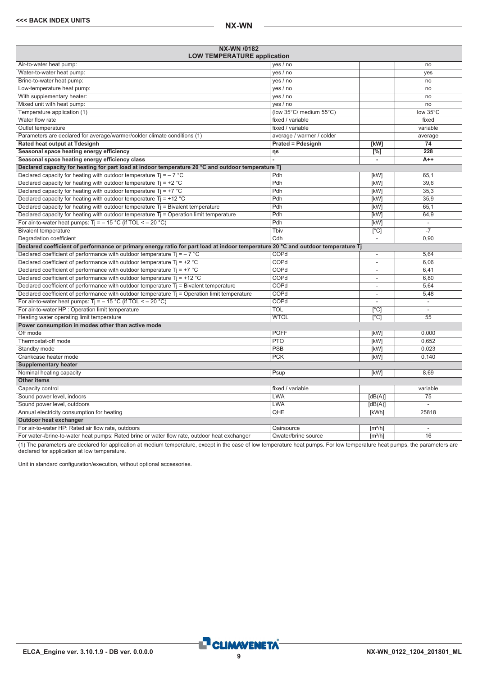<span id="page-8-0"></span>

| NX-WN /0182<br><b>LOW TEMPERATURE application</b>                                                                                |                           |                              |                          |
|----------------------------------------------------------------------------------------------------------------------------------|---------------------------|------------------------------|--------------------------|
| Air-to-water heat pump:                                                                                                          | yes / no                  |                              | no                       |
| Water-to-water heat pump:                                                                                                        | yes / no                  |                              | yes                      |
| Brine-to-water heat pump:                                                                                                        | yes / no                  |                              | no                       |
| Low-temperature heat pump:                                                                                                       | yes / no                  |                              | no                       |
| With supplementary heater:                                                                                                       | yes / no                  |                              | no                       |
| Mixed unit with heat pump:                                                                                                       | yes / no                  |                              | no                       |
| Temperature application (1)                                                                                                      | (low 35°C/ medium 55°C)   |                              | low 35°C                 |
| Water flow rate                                                                                                                  | fixed / variable          |                              | fixed                    |
| Outlet temperature                                                                                                               | fixed / variable          |                              | variable                 |
| Parameters are declared for average/warmer/colder climate conditions (1)                                                         | average / warmer / colder |                              | average                  |
| Rated heat output at Tdesignh                                                                                                    | <b>Prated = Pdesignh</b>  | [kW]                         | $\overline{74}$          |
| Seasonal space heating energy efficiency                                                                                         | ηs                        | [%]                          | $\overline{228}$         |
| Seasonal space heating energy efficiency class                                                                                   |                           | $\overline{\phantom{a}}$     | $A++$                    |
| Declared capacity for heating for part load at indoor temperature 20 °C and outdoor temperature Tj                               |                           |                              |                          |
| Declared capacity for heating with outdoor temperature Ti = $-7$ °C                                                              | Pdh                       | [kW]                         | 65.1                     |
| Declared capacity for heating with outdoor temperature $Ti = +2 °C$                                                              | Pdh                       | [kW]                         | 39,6                     |
| Declared capacity for heating with outdoor temperature $Ti = +7 °C$                                                              | Pdh                       | [kW]                         | 35,3                     |
| Declared capacity for heating with outdoor temperature $Ti = +12 °C$                                                             | Pdh                       | [kW]                         | 35,9                     |
| Declared capacity for heating with outdoor temperature $Tj = Bivalent$ temperature                                               | Pdh                       | [kW]                         | 65,1                     |
| Declared capacity for heating with outdoor temperature $Ti =$ Operation limit temperature                                        | Pdh                       | [kW]                         | 64,9                     |
| For air-to-water heat pumps: Tj = $-$ 15 °C (if TOL < $-$ 20 °C)                                                                 | Pdh                       | [kW]                         | $\overline{\phantom{a}}$ |
| <b>Bivalent temperature</b>                                                                                                      | Thiv                      | $\overline{[}^{\circ}C]$     |                          |
| Degradation coefficient                                                                                                          | Cdh                       | $\overline{\phantom{a}}$     | 0,90                     |
| Declared coefficient of performance or primary energy ratio for part load at indoor temperature 20 °C and outdoor temperature Tj |                           |                              |                          |
| Declared coefficient of performance with outdoor temperature $Ti = -7$ °C                                                        | COPd                      | $\overline{\phantom{a}}$     | 5,64                     |
| Declared coefficient of performance with outdoor temperature $Ti = +2 °C$                                                        | COPd                      | $\overline{\phantom{a}}$     | 6,06                     |
| Declared coefficient of performance with outdoor temperature $Ti = +7$ °C                                                        | COPd                      | $\overline{\phantom{a}}$     | 6,41                     |
| Declared coefficient of performance with outdoor temperature $Ti = +12 °C$                                                       | COPd                      | ٠                            | 6,80                     |
| Declared coefficient of performance with outdoor temperature $Tj$ = Bivalent temperature                                         | COPd                      | $\overline{\phantom{a}}$     | 5,64                     |
| Declared coefficient of performance with outdoor temperature T <sub>j</sub> = Operation limit temperature                        | COPd                      | $\overline{\phantom{a}}$     | 5,48                     |
| For air-to-water heat pumps: $Ti = -15 °C$ (if TOL < - 20 °C)                                                                    | COPd                      |                              | $\blacksquare$           |
| For air-to-water HP : Operation limit temperature                                                                                | <b>TOL</b>                | $\overline{[^{\circ}C]}$     | L.                       |
| Heating water operating limit temperature                                                                                        | <b>WTOL</b>               | $\lceil$ °Cl                 | 55                       |
| Power consumption in modes other than active mode                                                                                |                           |                              |                          |
| Off mode                                                                                                                         | <b>POFF</b>               | [kW]                         | 0,000                    |
| Thermostat-off mode                                                                                                              | <b>PTO</b>                | [kW]                         | 0,652                    |
| Standby mode                                                                                                                     | PSB                       | [kW]                         | 0,023                    |
| Crankcase heater mode                                                                                                            | <b>PCK</b>                | [kW]                         | 0.140                    |
| <b>Supplementary heater</b>                                                                                                      |                           |                              |                          |
| Nominal heating capacity                                                                                                         | Psup                      | [kW]                         | 8,69                     |
| <b>Other items</b>                                                                                                               |                           |                              |                          |
| Capacity control                                                                                                                 | fixed / variable          |                              | variable                 |
| Sound power level, indoors                                                                                                       | <b>LWA</b>                | [dB(A)]                      | 75                       |
| Sound power level, outdoors                                                                                                      | <b>LWA</b>                | [dB(A)]                      |                          |
| Annual electricity consumption for heating                                                                                       | QHE                       | [kWh]                        | 25818                    |
| Outdoor heat exchanger                                                                                                           |                           |                              |                          |
| For air-to-water HP: Rated air flow rate, outdoors                                                                               | Qairsource                | $\left[\frac{m^3}{h}\right]$ | $\overline{\phantom{a}}$ |
| For water-/brine-to-water heat pumps: Rated brine or water flow rate, outdoor heat exchanger                                     | Qwater/brine source       | $\lceil m^3/h \rceil$        | 16                       |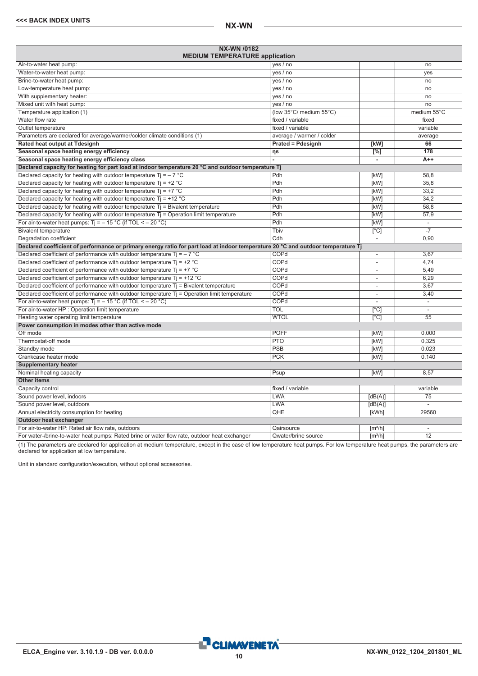| NX-WN /0182<br><b>MEDIUM TEMPERATURE application</b>                                                                             |                           |                              |                          |
|----------------------------------------------------------------------------------------------------------------------------------|---------------------------|------------------------------|--------------------------|
| Air-to-water heat pump:                                                                                                          | yes / no                  |                              | no                       |
| Water-to-water heat pump:                                                                                                        | yes / no                  |                              | yes                      |
| Brine-to-water heat pump:                                                                                                        | yes / no                  |                              | no                       |
| Low-temperature heat pump:                                                                                                       | yes / no                  |                              | no                       |
| With supplementary heater:                                                                                                       | yes / no                  |                              | no                       |
| Mixed unit with heat pump:                                                                                                       | yes / no                  |                              | no                       |
| Temperature application (1)                                                                                                      | (low 35°C/ medium 55°C)   |                              | medium 55°C              |
| Water flow rate                                                                                                                  | fixed / variable          |                              | fixed                    |
| Outlet temperature                                                                                                               | fixed / variable          |                              | variable                 |
| Parameters are declared for average/warmer/colder climate conditions (1)                                                         | average / warmer / colder |                              | average                  |
| Rated heat output at Tdesignh                                                                                                    | <b>Prated = Pdesignh</b>  | [kW]                         | 66                       |
| Seasonal space heating energy efficiency                                                                                         | ηs                        | $\overline{[%]}$             | 178                      |
| Seasonal space heating energy efficiency class                                                                                   |                           | ÷,                           | $A++$                    |
| Declared capacity for heating for part load at indoor temperature 20 °C and outdoor temperature Tj                               |                           |                              |                          |
| Declared capacity for heating with outdoor temperature Ti = $-7$ °C                                                              | Pdh                       | [kW]                         | 58.8                     |
| Declared capacity for heating with outdoor temperature $Ti = +2$ °C                                                              | Pdh                       | [kW]                         | 35.8                     |
| Declared capacity for heating with outdoor temperature $Tj = +7$ °C                                                              | Pdh                       | <b>[kW]</b>                  | 33.2                     |
| Declared capacity for heating with outdoor temperature $Ti = +12 °C$                                                             | Pdh                       | [kW]                         | 34,2                     |
| Declared capacity for heating with outdoor temperature Tj = Bivalent temperature                                                 | Pdh                       | [kW]                         | 58,8                     |
| Declared capacity for heating with outdoor temperature $Ti =$ Operation limit temperature                                        | Pdh                       | [kW]                         | 57,9                     |
| For air-to-water heat pumps: $Ti = -15 °C$ (if TOL < - 20 °C)                                                                    | Pdh                       | [kW]                         | $\overline{\phantom{a}}$ |
| <b>Bivalent temperature</b>                                                                                                      | Tbiv                      | $\overline{[}^{\circ}C]$     | $-7$                     |
| Degradation coefficient                                                                                                          | Cdh                       | $\overline{\phantom{a}}$     | 0,90                     |
| Declared coefficient of performance or primary energy ratio for part load at indoor temperature 20 °C and outdoor temperature Tj |                           |                              |                          |
| Declared coefficient of performance with outdoor temperature $Ti = -7$ °C                                                        | COPd                      | ÷,                           | 3,67                     |
| Declared coefficient of performance with outdoor temperature $Tj = +2 °C$                                                        | COPd                      |                              | 4.74                     |
| Declared coefficient of performance with outdoor temperature $Ti = +7$ °C                                                        | COPd                      | $\overline{\phantom{a}}$     | 5.49                     |
| Declared coefficient of performance with outdoor temperature $Ti = +12$ °C                                                       | COPd                      |                              | 6,29                     |
| Declared coefficient of performance with outdoor temperature $Tj$ = Bivalent temperature                                         | COPd                      | $\overline{\phantom{a}}$     | 3,67                     |
| Declared coefficient of performance with outdoor temperature Tj = Operation limit temperature                                    | COPd                      |                              | 3,40                     |
| For air-to-water heat pumps: $Ti = -15 °C$ (if TOL < - 20 °C)                                                                    | COPd                      |                              | $\overline{\phantom{a}}$ |
| For air-to-water HP : Operation limit temperature                                                                                | <b>TOL</b>                | $\lceil$ °C]                 |                          |
| Heating water operating limit temperature                                                                                        | <b>WTOL</b>               | $\lceil$ °C]                 | 55                       |
| Power consumption in modes other than active mode                                                                                |                           |                              |                          |
| Off mode                                                                                                                         | <b>POFF</b>               | [kW]                         | 0.000                    |
| Thermostat-off mode                                                                                                              | <b>PTO</b>                | [kW]                         | 0.325                    |
| Standby mode                                                                                                                     | <b>PSB</b>                | [kW]                         | 0.023                    |
| Crankcase heater mode                                                                                                            | <b>PCK</b>                | [kW]                         | 0,140                    |
| <b>Supplementary heater</b>                                                                                                      |                           |                              |                          |
| Nominal heating capacity                                                                                                         | Psup                      | [kW]                         | 8.57                     |
| <b>Other items</b>                                                                                                               |                           |                              |                          |
| Capacity control                                                                                                                 | fixed / variable          |                              | variable                 |
| Sound power level, indoors                                                                                                       | <b>LWA</b>                | [dB(A)]                      | 75                       |
| Sound power level, outdoors                                                                                                      | <b>LWA</b>                | [dB(A)]                      |                          |
| Annual electricity consumption for heating                                                                                       | QHE                       | [kWh]                        | 29560                    |
| Outdoor heat exchanger                                                                                                           |                           |                              |                          |
| For air-to-water HP: Rated air flow rate, outdoors                                                                               | Qairsource                | $\lceil m^3/h \rceil$        | $\sim$                   |
| For water-/brine-to-water heat pumps: Rated brine or water flow rate, outdoor heat exchanger                                     | Qwater/brine source       | $\left[\frac{m^3}{h}\right]$ | $\overline{12}$          |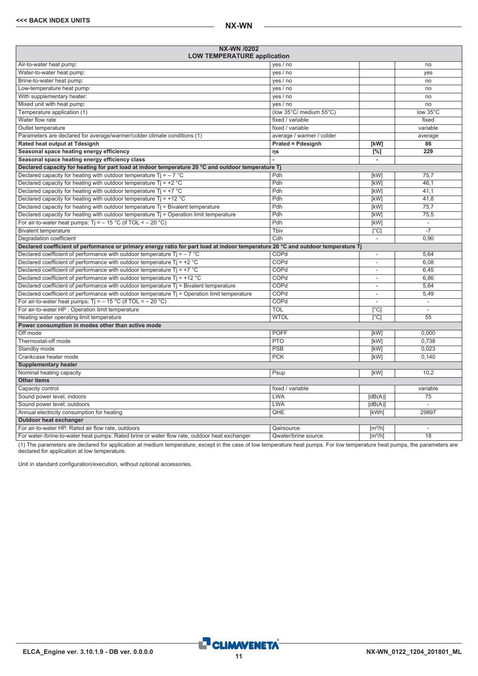<span id="page-10-0"></span>

| <b>NX-WN /0202</b><br><b>LOW TEMPERATURE application</b>                                                                         |                           |                          |                          |
|----------------------------------------------------------------------------------------------------------------------------------|---------------------------|--------------------------|--------------------------|
| Air-to-water heat pump:                                                                                                          | yes / no                  |                          | no                       |
| Water-to-water heat pump:                                                                                                        | yes / no                  |                          | ves                      |
| Brine-to-water heat pump:                                                                                                        | yes / no                  |                          | no                       |
| Low-temperature heat pump:                                                                                                       | yes / no                  |                          | no                       |
| With supplementary heater:                                                                                                       | yes / no                  |                          | no                       |
| Mixed unit with heat pump:                                                                                                       | yes / no                  |                          | no                       |
| Temperature application (1)                                                                                                      | (low 35°C/ medium 55°C)   |                          | low 35°C                 |
| Water flow rate                                                                                                                  | fixed / variable          |                          | fixed                    |
| Outlet temperature                                                                                                               | fixed / variable          |                          | variable                 |
| Parameters are declared for average/warmer/colder climate conditions (1)                                                         | average / warmer / colder |                          | average                  |
| Rated heat output at Tdesignh                                                                                                    | <b>Prated = Pdesignh</b>  | [kW]                     | 86                       |
| Seasonal space heating energy efficiency                                                                                         | ηs                        | $[\%]$                   | 229                      |
| Seasonal space heating energy efficiency class                                                                                   |                           | ä,                       |                          |
| Declared capacity for heating for part load at indoor temperature 20 °C and outdoor temperature Tj                               |                           |                          |                          |
| Declared capacity for heating with outdoor temperature Ti = $-7$ °C                                                              | Pdh                       | [kW]                     | 75.7                     |
| Declared capacity for heating with outdoor temperature $Ti = +2 °C$                                                              | Pdh                       | [kW]                     | 46.1                     |
| Declared capacity for heating with outdoor temperature Tj = $+7$ °C                                                              | Pdh                       | [kW]                     | 41.1                     |
| Declared capacity for heating with outdoor temperature $Ti = +12 °C$                                                             | Pdh                       | [kW]                     | 41,8                     |
| Declared capacity for heating with outdoor temperature $Tj = B$ ivalent temperature                                              | Pdh                       | [kW]                     | 75,7                     |
| Declared capacity for heating with outdoor temperature $Tj =$ Operation limit temperature                                        | Pdh                       | [kW]                     | 75,5                     |
| For air-to-water heat pumps: $Ti = -15 °C$ (if TOL < - 20 °C)                                                                    | Pdh                       | [kW]                     | L.                       |
| <b>Bivalent temperature</b>                                                                                                      | Tbiv                      | $\overline{[}^{\circ}C]$ | $-7$                     |
| Degradation coefficient                                                                                                          | $\overline{\text{Cdh}}$   | $\overline{\phantom{a}}$ | 0,90                     |
| Declared coefficient of performance or primary energy ratio for part load at indoor temperature 20 °C and outdoor temperature Tj |                           |                          |                          |
| Declared coefficient of performance with outdoor temperature $Ti = -7$ °C                                                        | COPd                      | $\overline{\phantom{a}}$ | 5,64                     |
| Declared coefficient of performance with outdoor temperature $Tj = +2$ °C                                                        | COPd                      | ä,                       | 6.08                     |
| Declared coefficient of performance with outdoor temperature $Ti = +7$ °C                                                        | COPd                      | ä,                       | 6.45                     |
| Declared coefficient of performance with outdoor temperature $Ti = +12 °C$                                                       | COPd                      | ٠                        | 6,86                     |
| Declared coefficient of performance with outdoor temperature $Tj$ = Bivalent temperature                                         | COPd                      | $\overline{\phantom{a}}$ | 5,64                     |
| Declared coefficient of performance with outdoor temperature Tj = Operation limit temperature                                    | COPd                      | $\overline{a}$           | 5,49                     |
| For air-to-water heat pumps: $Ti = -15 °C$ (if TOL < - 20 °C)                                                                    | COPd                      |                          | $\overline{\phantom{a}}$ |
| For air-to-water HP : Operation limit temperature                                                                                | <b>TOL</b>                | [°C]                     |                          |
| Heating water operating limit temperature                                                                                        | <b>WTOL</b>               | [°C]                     | $\overline{55}$          |
| Power consumption in modes other than active mode                                                                                |                           |                          |                          |
| Off mode                                                                                                                         | <b>POFF</b>               | [kW]                     | 0.000                    |
| Thermostat-off mode                                                                                                              | <b>PTO</b>                | [kW]                     | 0.738                    |
| Standby mode                                                                                                                     | PSB                       | [kW]                     | 0.023                    |
| Crankcase heater mode                                                                                                            | <b>PCK</b>                | [kW]                     | 0,140                    |
| <b>Supplementary heater</b>                                                                                                      |                           |                          |                          |
| Nominal heating capacity                                                                                                         | Psup                      | [kW]                     | 10.2                     |
| <b>Other items</b>                                                                                                               |                           |                          |                          |
| Capacity control                                                                                                                 | fixed / variable          |                          | variable                 |
| Sound power level, indoors                                                                                                       | <b>LWA</b>                | [dB(A)]                  | 75                       |
| Sound power level, outdoors                                                                                                      | <b>LWA</b>                | [dB(A)]                  |                          |
| Annual electricity consumption for heating                                                                                       | QHE                       | [kWh]                    | 29897                    |
| Outdoor heat exchanger                                                                                                           |                           |                          |                          |
| For air-to-water HP: Rated air flow rate, outdoors                                                                               | Qairsource                | [m <sup>3</sup> /h]      | $\overline{\phantom{a}}$ |
|                                                                                                                                  |                           |                          | $\overline{18}$          |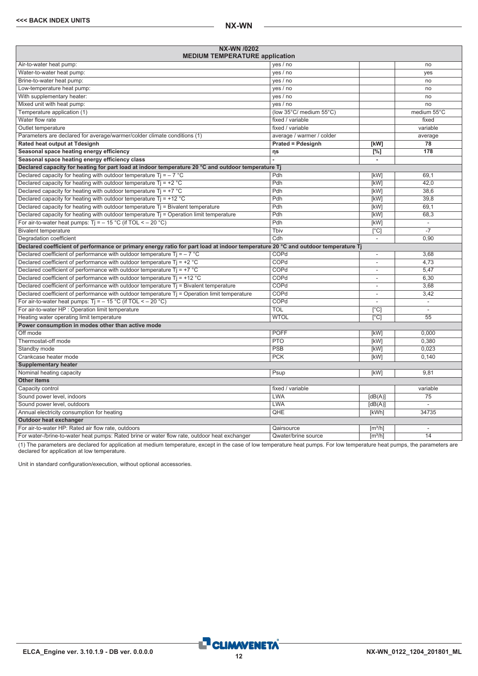| NX-WN /0202<br><b>MEDIUM TEMPERATURE application</b>                                                                             |                           |                              |                          |
|----------------------------------------------------------------------------------------------------------------------------------|---------------------------|------------------------------|--------------------------|
| Air-to-water heat pump:                                                                                                          | yes / no                  |                              | no                       |
| Water-to-water heat pump:                                                                                                        | yes / no                  |                              | yes                      |
| Brine-to-water heat pump:                                                                                                        | yes / no                  |                              | no                       |
| Low-temperature heat pump:                                                                                                       | yes / no                  |                              | no                       |
| With supplementary heater:                                                                                                       | yes / no                  |                              | no                       |
| Mixed unit with heat pump:                                                                                                       | yes / no                  |                              | no                       |
| Temperature application (1)                                                                                                      | (low 35°C/ medium 55°C)   |                              | medium 55°C              |
| Water flow rate                                                                                                                  | fixed / variable          |                              | fixed                    |
| Outlet temperature                                                                                                               | fixed / variable          |                              | variable                 |
| Parameters are declared for average/warmer/colder climate conditions (1)                                                         | average / warmer / colder |                              | average                  |
| Rated heat output at Tdesignh                                                                                                    | <b>Prated = Pdesignh</b>  | [kW]                         | 78                       |
| Seasonal space heating energy efficiency                                                                                         | ηs                        | $\overline{[%]}$             | 178                      |
| Seasonal space heating energy efficiency class                                                                                   |                           | ÷.                           |                          |
| Declared capacity for heating for part load at indoor temperature 20 °C and outdoor temperature Tj                               |                           |                              |                          |
| Declared capacity for heating with outdoor temperature Ti = $-7$ °C                                                              | Pdh                       | [kW]                         | 69.1                     |
| Declared capacity for heating with outdoor temperature $Ti = +2$ °C                                                              | Pdh                       | [kW]                         | 42.0                     |
| Declared capacity for heating with outdoor temperature $Tj = +7$ °C                                                              | Pdh                       | <b>[kW]</b>                  | 38.6                     |
| Declared capacity for heating with outdoor temperature $Ti = +12 °C$                                                             | Pdh                       | [kW]                         | 39,8                     |
| Declared capacity for heating with outdoor temperature Tj = Bivalent temperature                                                 | Pdh                       | [kW]                         | 69.1                     |
| Declared capacity for heating with outdoor temperature $Ti =$ Operation limit temperature                                        | Pdh                       | [kW]                         | 68,3                     |
| For air-to-water heat pumps: $Ti = -15 °C$ (if TOL < - 20 °C)                                                                    | Pdh                       | [kW]                         | ÷,                       |
| <b>Bivalent temperature</b>                                                                                                      | Tbiv                      | $\overline{[}^{\circ}C]$     | $-7$                     |
| Degradation coefficient                                                                                                          | Cdh                       | $\overline{\phantom{a}}$     | 0,90                     |
| Declared coefficient of performance or primary energy ratio for part load at indoor temperature 20 °C and outdoor temperature Tj |                           |                              |                          |
| Declared coefficient of performance with outdoor temperature $Ti = -7$ °C                                                        | COPd                      | ÷,                           | 3,68                     |
| Declared coefficient of performance with outdoor temperature $Tj = +2 °C$                                                        | COPd                      |                              | 4.73                     |
| Declared coefficient of performance with outdoor temperature $Ti = +7$ °C                                                        | COPd                      | $\overline{\phantom{a}}$     | 5.47                     |
| Declared coefficient of performance with outdoor temperature $Ti = +12$ °C                                                       | COPd                      |                              | 6,30                     |
| Declared coefficient of performance with outdoor temperature $Tj$ = Bivalent temperature                                         | COPd                      | $\overline{\phantom{a}}$     | 3,68                     |
| Declared coefficient of performance with outdoor temperature Tj = Operation limit temperature                                    | COPd                      |                              | 3,42                     |
| For air-to-water heat pumps: $Ti = -15 °C$ (if TOL < - 20 °C)                                                                    | COPd                      |                              | $\overline{\phantom{a}}$ |
| For air-to-water HP : Operation limit temperature                                                                                | <b>TOL</b>                | $\lceil$ °C]                 |                          |
| Heating water operating limit temperature                                                                                        | <b>WTOL</b>               | $\lceil$ °C]                 | 55                       |
| Power consumption in modes other than active mode                                                                                |                           |                              |                          |
| Off mode                                                                                                                         | <b>POFF</b>               | [kW]                         | 0.000                    |
| Thermostat-off mode                                                                                                              | <b>PTO</b>                | [kW]                         | 0.380                    |
| Standby mode                                                                                                                     | PSB                       | [kW]                         | 0.023                    |
| Crankcase heater mode                                                                                                            | <b>PCK</b>                | [kW]                         | 0,140                    |
| <b>Supplementary heater</b>                                                                                                      |                           |                              |                          |
| Nominal heating capacity                                                                                                         | Psup                      | [kW]                         | 9.81                     |
| <b>Other items</b>                                                                                                               |                           |                              |                          |
| Capacity control                                                                                                                 | fixed / variable          |                              | variable                 |
| Sound power level, indoors                                                                                                       | <b>LWA</b>                | [dB(A)]                      | 75                       |
| Sound power level, outdoors                                                                                                      | <b>LWA</b>                | [dB(A)]                      |                          |
| Annual electricity consumption for heating                                                                                       | QHE                       | [kWh]                        | 34735                    |
| Outdoor heat exchanger                                                                                                           |                           |                              |                          |
| For air-to-water HP: Rated air flow rate, outdoors                                                                               | Qairsource                | $\lceil m^3/h \rceil$        | $\sim$                   |
| For water-/brine-to-water heat pumps: Rated brine or water flow rate, outdoor heat exchanger                                     | Qwater/brine source       | $\left[\frac{m^3}{h}\right]$ | $\overline{14}$          |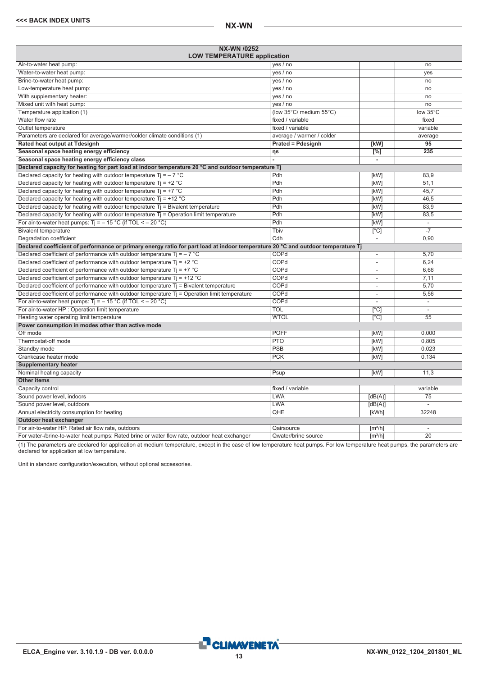<span id="page-12-0"></span>

| <b>NX-WN /0252</b><br><b>LOW TEMPERATURE application</b>                                                                         |                           |                              |                          |
|----------------------------------------------------------------------------------------------------------------------------------|---------------------------|------------------------------|--------------------------|
| Air-to-water heat pump:                                                                                                          | yes / no                  |                              | no                       |
| Water-to-water heat pump:                                                                                                        | yes / no                  |                              | ves                      |
| Brine-to-water heat pump:                                                                                                        | yes / no                  |                              | no                       |
| Low-temperature heat pump:                                                                                                       | yes / no                  |                              | no                       |
| With supplementary heater:                                                                                                       | yes / no                  |                              | no                       |
| Mixed unit with heat pump:                                                                                                       | yes / no                  |                              | no                       |
| Temperature application (1)                                                                                                      | (low 35°C/ medium 55°C)   |                              | low 35°C                 |
| Water flow rate                                                                                                                  | fixed / variable          |                              | fixed                    |
| Outlet temperature                                                                                                               | fixed / variable          |                              | variable                 |
| Parameters are declared for average/warmer/colder climate conditions (1)                                                         | average / warmer / colder |                              | average                  |
| Rated heat output at Tdesignh                                                                                                    | <b>Prated = Pdesignh</b>  | [kW]                         | 95                       |
| Seasonal space heating energy efficiency                                                                                         | ηs                        | $[\%]$                       | 235                      |
| Seasonal space heating energy efficiency class                                                                                   |                           | ä,                           |                          |
| Declared capacity for heating for part load at indoor temperature 20 °C and outdoor temperature Tj                               |                           |                              |                          |
| Declared capacity for heating with outdoor temperature Ti = $-7$ °C                                                              | Pdh                       | [kW]                         | 83.9                     |
| Declared capacity for heating with outdoor temperature $Ti = +2 °C$                                                              | Pdh                       | [kW]                         | 51.1                     |
| Declared capacity for heating with outdoor temperature Tj = $+7$ °C                                                              | Pdh                       | [kW]                         | 45.7                     |
| Declared capacity for heating with outdoor temperature $Ti = +12 °C$                                                             | Pdh                       | [kW]                         | 46,5                     |
| Declared capacity for heating with outdoor temperature $Tj = B$ ivalent temperature                                              | Pdh                       | [kW]                         | 83,9                     |
| Declared capacity for heating with outdoor temperature $Tj =$ Operation limit temperature                                        | Pdh                       | [kW]                         | 83,5                     |
| For air-to-water heat pumps: $Ti = -15 °C$ (if TOL < - 20 °C)                                                                    | Pdh                       | [kW]                         | L.                       |
| <b>Bivalent temperature</b>                                                                                                      | Tbiv                      | $\overline{[}^{\circ}C]$     | $-7$                     |
| Degradation coefficient                                                                                                          | $\overline{\text{Cdh}}$   | $\overline{\phantom{a}}$     | 0,90                     |
| Declared coefficient of performance or primary energy ratio for part load at indoor temperature 20 °C and outdoor temperature Tj |                           |                              |                          |
| Declared coefficient of performance with outdoor temperature $Ti = -7$ °C                                                        | COPd                      | $\overline{\phantom{a}}$     | 5,70                     |
| Declared coefficient of performance with outdoor temperature $Tj = +2$ °C                                                        | COPd                      | ä,                           | 6.24                     |
| Declared coefficient of performance with outdoor temperature $Ti = +7$ °C                                                        | COPd                      | ä,                           | 6.66                     |
| Declared coefficient of performance with outdoor temperature $Ti = +12 °C$                                                       | COPd                      | ٠                            | 7,11                     |
| Declared coefficient of performance with outdoor temperature $Tj$ = Bivalent temperature                                         | COPd                      | $\overline{\phantom{a}}$     | 5,70                     |
| Declared coefficient of performance with outdoor temperature Tj = Operation limit temperature                                    | COPd                      | $\overline{a}$               | 5,56                     |
| For air-to-water heat pumps: $Ti = -15 °C$ (if TOL < - 20 °C)                                                                    | COPd                      |                              | $\overline{\phantom{a}}$ |
| For air-to-water HP : Operation limit temperature                                                                                | <b>TOL</b>                | [°C]                         |                          |
| Heating water operating limit temperature                                                                                        | <b>WTOL</b>               | [°C]                         | $\overline{55}$          |
| Power consumption in modes other than active mode                                                                                |                           |                              |                          |
| Off mode                                                                                                                         | <b>POFF</b>               | [kW]                         | 0.000                    |
| Thermostat-off mode                                                                                                              | <b>PTO</b>                | [kW]                         | 0.805                    |
| Standby mode                                                                                                                     | PSB                       | [kW]                         | 0.023                    |
| Crankcase heater mode                                                                                                            | <b>PCK</b>                | [kW]                         | 0,134                    |
| <b>Supplementary heater</b>                                                                                                      |                           |                              |                          |
| Nominal heating capacity                                                                                                         | Psup                      | [kW]                         | 11.3                     |
| <b>Other items</b>                                                                                                               |                           |                              |                          |
| Capacity control                                                                                                                 | fixed / variable          |                              | variable                 |
| Sound power level, indoors                                                                                                       | <b>LWA</b>                | [dB(A)]                      | 75                       |
| Sound power level, outdoors                                                                                                      | <b>LWA</b>                | [dB(A)]                      |                          |
| Annual electricity consumption for heating                                                                                       | QHE                       | [kWh]                        | 32248                    |
| Outdoor heat exchanger                                                                                                           |                           |                              |                          |
| For air-to-water HP: Rated air flow rate, outdoors                                                                               | Qairsource                | [m <sup>3</sup> /h]          | $\overline{\phantom{a}}$ |
| For water-/brine-to-water heat pumps: Rated brine or water flow rate, outdoor heat exchanger                                     | Qwater/brine source       | $\left[\frac{m^3}{h}\right]$ | $\overline{20}$          |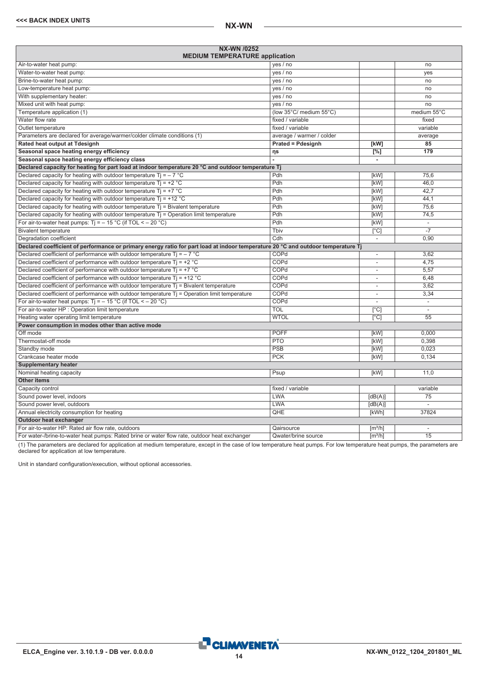| NX-WN /0252<br><b>MEDIUM TEMPERATURE application</b>                                                                             |                           |                              |                          |
|----------------------------------------------------------------------------------------------------------------------------------|---------------------------|------------------------------|--------------------------|
| Air-to-water heat pump:                                                                                                          | yes / no                  |                              | no                       |
| Water-to-water heat pump:                                                                                                        | yes / no                  |                              | yes                      |
| Brine-to-water heat pump:                                                                                                        | yes / no                  |                              | no                       |
| Low-temperature heat pump:                                                                                                       | yes / no                  |                              | no                       |
| With supplementary heater:                                                                                                       | yes / no                  |                              | no                       |
| Mixed unit with heat pump:                                                                                                       | yes / no                  |                              | no                       |
| Temperature application (1)                                                                                                      | (low 35°C/ medium 55°C)   |                              | medium 55°C              |
| Water flow rate                                                                                                                  | fixed / variable          |                              | fixed                    |
| Outlet temperature                                                                                                               | fixed / variable          |                              | variable                 |
| Parameters are declared for average/warmer/colder climate conditions (1)                                                         | average / warmer / colder |                              | average                  |
| Rated heat output at Tdesignh                                                                                                    | <b>Prated = Pdesignh</b>  | [kW]                         | 85                       |
| Seasonal space heating energy efficiency                                                                                         | ηs                        | $\Gamma$ %1                  | 179                      |
| Seasonal space heating energy efficiency class                                                                                   |                           | $\overline{\phantom{a}}$     |                          |
| Declared capacity for heating for part load at indoor temperature 20 °C and outdoor temperature Tj                               |                           |                              |                          |
| Declared capacity for heating with outdoor temperature Ti = $-7$ °C                                                              | Pdh                       | [kW]                         | 75.6                     |
| Declared capacity for heating with outdoor temperature $Ti = +2 °C$                                                              | Pdh                       | [kW]                         | 46.0                     |
| Declared capacity for heating with outdoor temperature $Ti = +7$ °C                                                              | Pdh                       | [kW]                         | 42,7                     |
| Declared capacity for heating with outdoor temperature $Ti = +12 °C$                                                             | Pdh                       | [kW]                         | 44,1                     |
| Declared capacity for heating with outdoor temperature $Ti = Bi$ alent temperature                                               | Pdh                       | [kW]                         | 75,6                     |
| Declared capacity for heating with outdoor temperature $Tj =$ Operation limit temperature                                        | Pdh                       | [kW]                         | 74,5                     |
| For air-to-water heat pumps: $Ti = -15 °C$ (if TOL < - 20 °C)                                                                    | Pdh                       | [kW]                         | $\overline{\phantom{a}}$ |
| <b>Bivalent temperature</b>                                                                                                      | Tbiv                      | $\lceil$ °Cl                 |                          |
| Degradation coefficient                                                                                                          | Cdh                       | $\overline{\phantom{a}}$     | 0.90                     |
| Declared coefficient of performance or primary energy ratio for part load at indoor temperature 20 °C and outdoor temperature Tj |                           |                              |                          |
| Declared coefficient of performance with outdoor temperature $Ti = -7$ °C                                                        | COPd                      |                              | 3,62                     |
| Declared coefficient of performance with outdoor temperature Tj = +2 $^{\circ}$ C                                                | COPd                      | $\overline{\phantom{a}}$     | 4,75                     |
| Declared coefficient of performance with outdoor temperature $Ti = +7$ °C                                                        | COPd                      | ÷                            | 5.57                     |
| Declared coefficient of performance with outdoor temperature $Ti = +12$ °C                                                       | COPd                      | $\overline{a}$               | 6,48                     |
| Declared coefficient of performance with outdoor temperature Ti = Bivalent temperature                                           | COPd                      | $\overline{\phantom{a}}$     | 3,62                     |
| Declared coefficient of performance with outdoor temperature $Tj$ = Operation limit temperature                                  | COPd                      | ÷                            | 3.34                     |
| For air-to-water heat pumps: $Ti = -15 °C$ (if TOL < - 20 °C)                                                                    | COPd                      | ÷                            | $\mathcal{L}$            |
| For air-to-water HP : Operation limit temperature                                                                                | <b>TOL</b>                | $\lceil$ °C                  | $\mathcal{L}$            |
| Heating water operating limit temperature                                                                                        | <b>WTOL</b>               | [°C]                         | 55                       |
| Power consumption in modes other than active mode                                                                                |                           |                              |                          |
| Off mode                                                                                                                         | <b>POFF</b>               | [kW]                         | 0.000                    |
| Thermostat-off mode                                                                                                              | <b>PTO</b>                | [kW]                         | 0.398                    |
| Standby mode                                                                                                                     | PSB                       | [kW]                         | 0.023                    |
| Crankcase heater mode                                                                                                            | <b>PCK</b>                | [kW]                         | 0.134                    |
| <b>Supplementary heater</b>                                                                                                      |                           |                              |                          |
| Nominal heating capacity                                                                                                         | Psup                      | [kW]                         | 11.0                     |
| <b>Other items</b>                                                                                                               |                           |                              |                          |
| Capacity control                                                                                                                 | fixed / variable          |                              | variable                 |
| Sound power level, indoors                                                                                                       | <b>LWA</b>                | [dB(A)]                      | 75                       |
| Sound power level, outdoors                                                                                                      | <b>LWA</b>                | [dB(A)]                      | $\mathcal{L}$            |
| Annual electricity consumption for heating                                                                                       | QHE                       | [kWh]                        | 37824                    |
| <b>Outdoor heat exchanger</b>                                                                                                    |                           |                              |                          |
| For air-to-water HP: Rated air flow rate, outdoors                                                                               | Qairsource                | $\left[\frac{m^3}{h}\right]$ | $\sim$                   |
| For water-/brine-to-water heat pumps: Rated brine or water flow rate, outdoor heat exchanger                                     | Qwater/brine source       | $\left[\frac{m^3}{h}\right]$ | 15                       |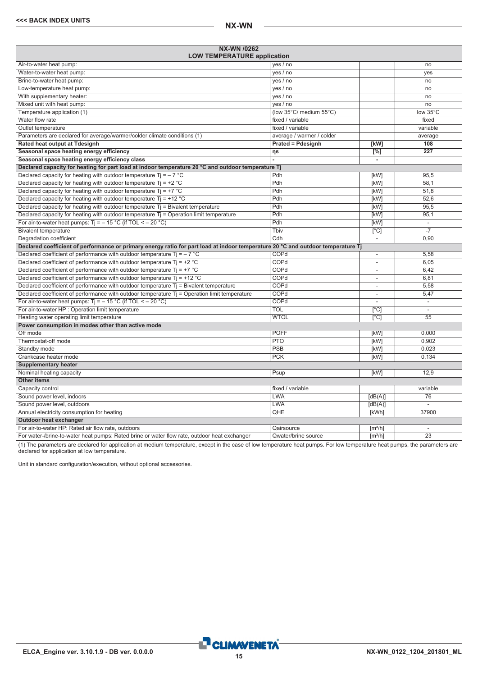<span id="page-14-0"></span>

| NX-WN /0262<br><b>LOW TEMPERATURE application</b>                                                                                |                           |                              |                          |
|----------------------------------------------------------------------------------------------------------------------------------|---------------------------|------------------------------|--------------------------|
| Air-to-water heat pump:                                                                                                          | yes / no                  |                              | no                       |
| Water-to-water heat pump:                                                                                                        | yes / no                  |                              | yes                      |
| Brine-to-water heat pump:                                                                                                        | yes / no                  |                              | no                       |
| Low-temperature heat pump:                                                                                                       | yes / no                  |                              | no                       |
| With supplementary heater:                                                                                                       | yes / no                  |                              | no                       |
| Mixed unit with heat pump:                                                                                                       | yes / no                  |                              | no                       |
| Temperature application (1)                                                                                                      | (low 35°C/ medium 55°C)   |                              | low 35°C                 |
| Water flow rate                                                                                                                  | fixed / variable          |                              | fixed                    |
| Outlet temperature                                                                                                               | fixed / variable          |                              | variable                 |
| Parameters are declared for average/warmer/colder climate conditions (1)                                                         | average / warmer / colder |                              | average                  |
| Rated heat output at Tdesignh                                                                                                    | <b>Prated = Pdesignh</b>  | [kW]                         | 108                      |
| Seasonal space heating energy efficiency                                                                                         | ηs                        | $[^{\circ}\!\!/\circ]$       | $\overline{227}$         |
| Seasonal space heating energy efficiency class                                                                                   |                           | $\overline{\phantom{a}}$     |                          |
| Declared capacity for heating for part load at indoor temperature 20 °C and outdoor temperature Tj                               |                           |                              |                          |
| Declared capacity for heating with outdoor temperature $Ti = -7$ °C                                                              | Pdh                       | [kW]                         | 95.5                     |
| Declared capacity for heating with outdoor temperature $Ti = +2 °C$                                                              | Pdh                       | [kW]                         | 58,1                     |
| Declared capacity for heating with outdoor temperature $Ti = +7 °C$                                                              | Pdh                       | [kW]                         | 51,8                     |
| Declared capacity for heating with outdoor temperature $Ti = +12 °C$                                                             | Pdh                       | [kW]                         | 52,6                     |
| Declared capacity for heating with outdoor temperature $Tj = Bivalent$ temperature                                               | Pdh                       | [kW]                         | 95,5                     |
| Declared capacity for heating with outdoor temperature $Ti =$ Operation limit temperature                                        | Pdh                       | [kW]                         | 95,1                     |
| For air-to-water heat pumps: Tj = $-$ 15 °C (if TOL < $-$ 20 °C)                                                                 | Pdh                       | [kW]                         | $\sim$                   |
| <b>Bivalent temperature</b>                                                                                                      | Thiv                      | $\overline{[}^{\circ}C]$     |                          |
| Degradation coefficient                                                                                                          | Cdh                       | $\overline{\phantom{a}}$     | 0,90                     |
| Declared coefficient of performance or primary energy ratio for part load at indoor temperature 20 °C and outdoor temperature Tj |                           |                              |                          |
| Declared coefficient of performance with outdoor temperature $Ti = -7$ °C                                                        | COPd                      | $\overline{\phantom{a}}$     | 5,58                     |
| Declared coefficient of performance with outdoor temperature $Ti = +2 °C$                                                        | COPd                      | $\overline{\phantom{a}}$     | 6,05                     |
| Declared coefficient of performance with outdoor temperature $Ti = +7$ °C                                                        | COPd                      | $\overline{\phantom{a}}$     | 6,42                     |
| Declared coefficient of performance with outdoor temperature $Ti = +12 °C$                                                       | COPd                      | ٠                            | 6,81                     |
| Declared coefficient of performance with outdoor temperature $Tj$ = Bivalent temperature                                         | COPd                      | $\overline{\phantom{a}}$     | 5,58                     |
| Declared coefficient of performance with outdoor temperature T <sub>j</sub> = Operation limit temperature                        | COPd                      | $\overline{\phantom{a}}$     | 5,47                     |
| For air-to-water heat pumps: $Ti = -15 °C$ (if TOL < - 20 °C)                                                                    | COPd                      |                              | $\blacksquare$           |
| For air-to-water HP : Operation limit temperature                                                                                | <b>TOL</b>                | $\overline{[^{\circ}C]}$     | L.                       |
| Heating water operating limit temperature                                                                                        | <b>WTOL</b>               | $\lceil$ °Cl                 | $\overline{55}$          |
| Power consumption in modes other than active mode                                                                                |                           |                              |                          |
| Off mode                                                                                                                         | <b>POFF</b>               | [kW]                         | 0,000                    |
| Thermostat-off mode                                                                                                              | <b>PTO</b>                | [kW]                         | 0,902                    |
| Standby mode                                                                                                                     | PSB                       | [kW]                         | 0,023                    |
| Crankcase heater mode                                                                                                            | <b>PCK</b>                | [kW]                         | 0,134                    |
| <b>Supplementary heater</b>                                                                                                      |                           |                              |                          |
| Nominal heating capacity                                                                                                         | Psup                      | [kW]                         | 12,9                     |
| <b>Other items</b>                                                                                                               |                           |                              |                          |
| Capacity control                                                                                                                 | fixed / variable          |                              | variable                 |
| Sound power level, indoors                                                                                                       | <b>LWA</b>                | [dB(A)]                      | 76                       |
| Sound power level, outdoors                                                                                                      | <b>LWA</b>                | [dB(A)]                      |                          |
| Annual electricity consumption for heating                                                                                       | QHE                       | [kWh]                        | 37900                    |
| Outdoor heat exchanger                                                                                                           |                           |                              |                          |
| For air-to-water HP: Rated air flow rate, outdoors                                                                               | Qairsource                | $\left[\frac{m^3}{h}\right]$ | $\overline{\phantom{a}}$ |
| For water-/brine-to-water heat pumps: Rated brine or water flow rate, outdoor heat exchanger                                     | Qwater/brine source       | $\lceil m^3/h \rceil$        | $\overline{23}$          |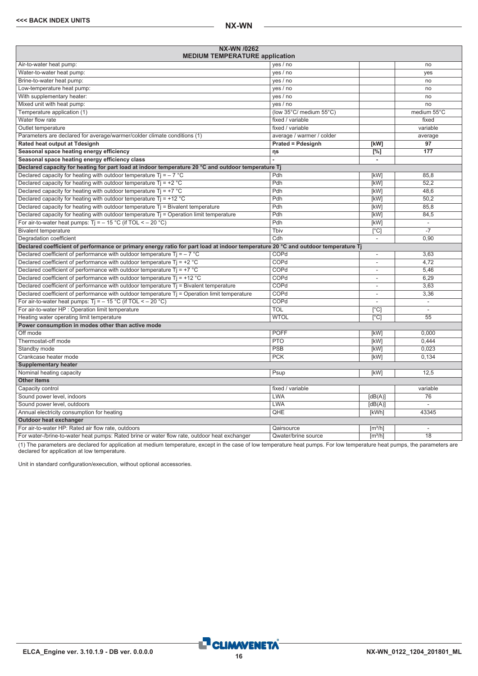**NX-WN /0262**

| <b>NX-WN /0262</b><br><b>MEDIUM TEMPERATURE application</b>                                                                      |                           |                              |                          |
|----------------------------------------------------------------------------------------------------------------------------------|---------------------------|------------------------------|--------------------------|
| Air-to-water heat pump:                                                                                                          | yes $/$ no                |                              | no                       |
| Water-to-water heat pump:                                                                                                        | yes / no                  |                              | yes                      |
| Brine-to-water heat pump:                                                                                                        | yes / no                  |                              | no                       |
| Low-temperature heat pump:                                                                                                       | yes / no                  |                              | no                       |
| With supplementary heater:                                                                                                       | yes / no                  |                              | no                       |
| Mixed unit with heat pump:                                                                                                       | yes / no                  |                              | no                       |
| Temperature application (1)                                                                                                      | (low 35°C/ medium 55°C)   |                              | medium 55°C              |
| Water flow rate                                                                                                                  | fixed / variable          |                              | fixed                    |
| Outlet temperature                                                                                                               | fixed / variable          |                              | variable                 |
| Parameters are declared for average/warmer/colder climate conditions (1)                                                         | average / warmer / colder |                              | average                  |
| Rated heat output at Tdesignh                                                                                                    | <b>Prated = Pdesignh</b>  | [kW]                         | 97                       |
| Seasonal space heating energy efficiency                                                                                         | ηs                        | [%]                          | 177                      |
| Seasonal space heating energy efficiency class                                                                                   | ÷.                        | $\sim$                       |                          |
| Declared capacity for heating for part load at indoor temperature 20 °C and outdoor temperature Tj                               |                           |                              |                          |
| Declared capacity for heating with outdoor temperature Ti = $-7$ °C                                                              | Pdh                       | [kW]                         | 85,8                     |
| Declared capacity for heating with outdoor temperature $Ti = +2 °C$                                                              | Pdh                       | [kW]                         | 52.2                     |
| Declared capacity for heating with outdoor temperature $Tj = +7$ °C                                                              | Pdh                       | [kW]                         | 48,6                     |
| Declared capacity for heating with outdoor temperature $Ti = +12 °C$                                                             | Pdh                       | [kW]                         | 50.2                     |
| Declared capacity for heating with outdoor temperature $T_i$ = Bivalent temperature                                              | Pdh                       | [kW]                         | 85,8                     |
| Declared capacity for heating with outdoor temperature $T_i$ = Operation limit temperature                                       | Pdh                       | [kW]                         | 84,5                     |
| For air-to-water heat pumps: $Ti = -15 °C$ (if TOL < $-20 °C$ )                                                                  | Pdh                       | [kW]                         | $\overline{\phantom{a}}$ |
| <b>Bivalent temperature</b>                                                                                                      | Tbiv                      | $\lceil$ °C]                 | $-7$                     |
| Degradation coefficient                                                                                                          | Cdh                       | $\overline{a}$               | 0.90                     |
| Declared coefficient of performance or primary energy ratio for part load at indoor temperature 20 °C and outdoor temperature Tj |                           |                              |                          |
| Declared coefficient of performance with outdoor temperature $Ti = -7$ °C                                                        | COPd                      | $\overline{\phantom{a}}$     | 3,63                     |
| Declared coefficient of performance with outdoor temperature $Ti = +2$ °C                                                        | COPd                      | $\overline{\phantom{a}}$     | 4,72                     |
| Declared coefficient of performance with outdoor temperature $Tj = +7$ °C                                                        | COPd                      | $\overline{a}$               | 5,46                     |
| Declared coefficient of performance with outdoor temperature $Ti = +12$ °C                                                       | COPd                      | $\overline{\phantom{a}}$     | 6.29                     |
| Declared coefficient of performance with outdoor temperature $Tj$ = Bivalent temperature                                         | COPd                      | $\overline{\phantom{a}}$     | 3,63                     |
| Declared coefficient of performance with outdoor temperature Tj = Operation limit temperature                                    | COPd                      | $\overline{\phantom{a}}$     | 3,36                     |
| For air-to-water heat pumps: $Ti = -15 °C$ (if TOL < $-20 °C$ )                                                                  | COPd                      | $\overline{\phantom{a}}$     | $\overline{\phantom{a}}$ |
| For air-to-water HP : Operation limit temperature                                                                                | TOL                       | $\lceil$ °C                  | $\overline{\phantom{a}}$ |
| Heating water operating limit temperature                                                                                        | <b>WTOL</b>               | $\lceil$ °C                  | 55                       |
| Power consumption in modes other than active mode                                                                                |                           |                              |                          |
| Off mode                                                                                                                         | <b>POFF</b>               | [kW]                         | 0.000                    |
| Thermostat-off mode                                                                                                              | <b>PTO</b>                | [kW]                         | 0.444                    |
| Standby mode                                                                                                                     | PSB                       | [kW]                         | 0,023                    |
| Crankcase heater mode                                                                                                            | <b>PCK</b>                | [kW]                         | 0.134                    |
| <b>Supplementary heater</b>                                                                                                      |                           |                              |                          |
| Nominal heating capacity                                                                                                         | Psup                      | [kW]                         | 12.5                     |
| <b>Other items</b>                                                                                                               |                           |                              |                          |
| Capacity control                                                                                                                 | fixed / variable          |                              | variable                 |
| Sound power level, indoors                                                                                                       | <b>LWA</b>                | [dB(A)]                      | 76                       |
| Sound power level, outdoors                                                                                                      | <b>LWA</b>                | [dB(A)]                      | $\overline{a}$           |
| Annual electricity consumption for heating                                                                                       | QHE                       | [kWh]                        | 43345                    |
| Outdoor heat exchanger                                                                                                           |                           |                              |                          |
| For air-to-water HP: Rated air flow rate, outdoors                                                                               | Qairsource                | $\left[\frac{m^3}{h}\right]$ | $\sim$                   |
| For water-/brine-to-water heat pumps: Rated brine or water flow rate, outdoor heat exchanger                                     | Qwater/brine source       | $\left[\frac{m^3}{h}\right]$ | 18                       |
|                                                                                                                                  |                           |                              |                          |

(1) The parameters are declared for application at medium temperature, except in the case of low temperature heat pumps. For low temperature heat pumps, the parameters are declared for application at low temperature.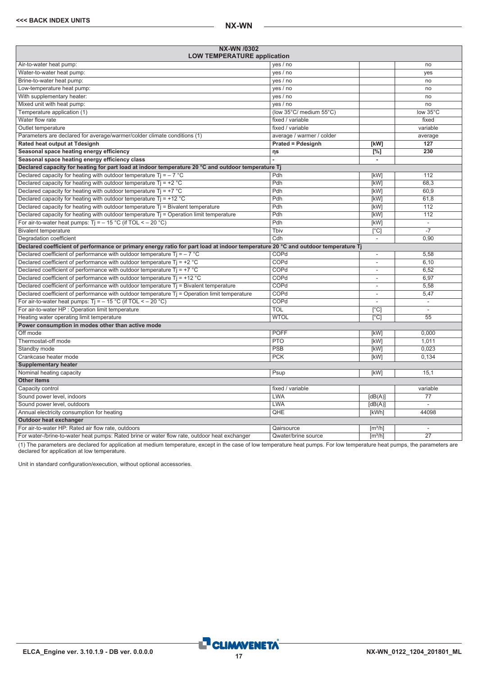<span id="page-16-0"></span>

| NX-WN /0302<br><b>LOW TEMPERATURE application</b>                                                                                |                           |                              |                          |
|----------------------------------------------------------------------------------------------------------------------------------|---------------------------|------------------------------|--------------------------|
| Air-to-water heat pump:                                                                                                          | yes / no                  |                              | no                       |
| Water-to-water heat pump:                                                                                                        | yes / no                  |                              | yes                      |
| Brine-to-water heat pump:                                                                                                        | yes / no                  |                              | no                       |
| Low-temperature heat pump:                                                                                                       | yes / no                  |                              | no                       |
| With supplementary heater:                                                                                                       | yes / no                  |                              | no                       |
| Mixed unit with heat pump:                                                                                                       | yes / no                  |                              | no                       |
| Temperature application (1)                                                                                                      | (low 35°C/ medium 55°C)   |                              | low 35°C                 |
| Water flow rate                                                                                                                  | fixed / variable          |                              | fixed                    |
| Outlet temperature                                                                                                               | fixed / variable          |                              | variable                 |
| Parameters are declared for average/warmer/colder climate conditions (1)                                                         | average / warmer / colder |                              | average                  |
| Rated heat output at Tdesignh                                                                                                    | <b>Prated = Pdesignh</b>  | [kW]                         | 127                      |
| Seasonal space heating energy efficiency                                                                                         | ηs                        | $[^{\circ}\!%]$              | 230                      |
| Seasonal space heating energy efficiency class                                                                                   |                           | $\overline{\phantom{a}}$     |                          |
| Declared capacity for heating for part load at indoor temperature 20 °C and outdoor temperature Tj                               |                           |                              |                          |
| Declared capacity for heating with outdoor temperature $Ti = -7$ °C                                                              | Pdh                       | [kW]                         | 112                      |
| Declared capacity for heating with outdoor temperature $Ti = +2 °C$                                                              | Pdh                       | [kW]                         | 68,3                     |
| Declared capacity for heating with outdoor temperature $Ti = +7 °C$                                                              | Pdh                       | [kW]                         | 60.9                     |
| Declared capacity for heating with outdoor temperature $Ti = +12 °C$                                                             | Pdh                       | [kW]                         | 61,8                     |
| Declared capacity for heating with outdoor temperature $Tj = Bivalent$ temperature                                               | Pdh                       | [kW]                         | 112                      |
| Declared capacity for heating with outdoor temperature $Ti =$ Operation limit temperature                                        | Pdh                       | [kW]                         | 112                      |
| For air-to-water heat pumps: $Tj = -15 °C$ (if TOL < - 20 °C)                                                                    | Pdh                       | [kW]                         | $\bar{\phantom{a}}$      |
| <b>Bivalent temperature</b>                                                                                                      | Thiv                      | $\overline{[}^{\circ}C]$     |                          |
| Degradation coefficient                                                                                                          | Cdh                       | $\overline{\phantom{a}}$     | 0,90                     |
| Declared coefficient of performance or primary energy ratio for part load at indoor temperature 20 °C and outdoor temperature Tj |                           |                              |                          |
| Declared coefficient of performance with outdoor temperature $Ti = -7$ °C                                                        | COPd                      | $\overline{\phantom{a}}$     | 5,58                     |
| Declared coefficient of performance with outdoor temperature $Ti = +2 °C$                                                        | COPd                      | $\overline{\phantom{a}}$     | 6,10                     |
| Declared coefficient of performance with outdoor temperature $Ti = +7$ °C                                                        | COPd                      | $\overline{\phantom{a}}$     | 6,52                     |
| Declared coefficient of performance with outdoor temperature $Ti = +12 °C$                                                       | COPd                      | ٠                            | 6,97                     |
| Declared coefficient of performance with outdoor temperature $Tj$ = Bivalent temperature                                         | COPd                      | $\overline{\phantom{a}}$     | 5,58                     |
| Declared coefficient of performance with outdoor temperature T <sub>j</sub> = Operation limit temperature                        | COPd                      | $\overline{\phantom{a}}$     | 5,47                     |
| For air-to-water heat pumps: $Ti = -15 °C$ (if TOL < - 20 °C)                                                                    | COPd                      |                              | $\blacksquare$           |
| For air-to-water HP : Operation limit temperature                                                                                | <b>TOL</b>                | $\overline{[^{\circ}C]}$     | L.                       |
| Heating water operating limit temperature                                                                                        | <b>WTOL</b>               | $\lceil$ °Cl                 | $\overline{55}$          |
| Power consumption in modes other than active mode                                                                                |                           |                              |                          |
| Off mode                                                                                                                         | <b>POFF</b>               | [kW]                         | 0,000                    |
| Thermostat-off mode                                                                                                              | <b>PTO</b>                | [kW]                         | 1,011                    |
| Standby mode                                                                                                                     | PSB                       | [kW]                         | 0,023                    |
| Crankcase heater mode                                                                                                            | <b>PCK</b>                | [kW]                         | 0,134                    |
| <b>Supplementary heater</b>                                                                                                      |                           |                              |                          |
| Nominal heating capacity                                                                                                         | Psup                      | [kW]                         | 15,1                     |
| <b>Other items</b>                                                                                                               |                           |                              |                          |
| Capacity control                                                                                                                 | fixed / variable          |                              | variable                 |
| Sound power level, indoors                                                                                                       | <b>LWA</b>                | [dB(A)]                      | 77                       |
| Sound power level, outdoors                                                                                                      | <b>LWA</b>                | [dB(A)]                      |                          |
| Annual electricity consumption for heating                                                                                       | QHE                       | [kWh]                        | 44098                    |
| Outdoor heat exchanger                                                                                                           |                           |                              |                          |
| For air-to-water HP: Rated air flow rate, outdoors                                                                               | Qairsource                | $\left[\frac{m^3}{h}\right]$ | $\overline{\phantom{a}}$ |
| For water-/brine-to-water heat pumps: Rated brine or water flow rate, outdoor heat exchanger                                     | Qwater/brine source       | $\lceil m^3/h \rceil$        | $\overline{27}$          |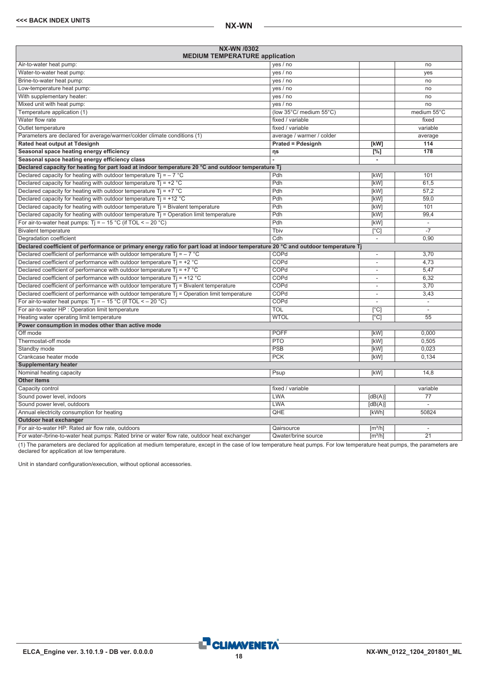| NX-WN /0302<br><b>MEDIUM TEMPERATURE application</b>                                                                             |                           |                              |                          |
|----------------------------------------------------------------------------------------------------------------------------------|---------------------------|------------------------------|--------------------------|
| Air-to-water heat pump:                                                                                                          | yes / no                  |                              | no                       |
| Water-to-water heat pump:                                                                                                        | yes / no                  |                              | yes                      |
| Brine-to-water heat pump:                                                                                                        | yes / no                  |                              | no                       |
| Low-temperature heat pump:                                                                                                       | yes / no                  |                              | no                       |
| With supplementary heater:                                                                                                       | yes / no                  |                              | no                       |
| Mixed unit with heat pump:                                                                                                       | yes / no                  |                              | no                       |
| Temperature application (1)                                                                                                      | (low 35°C/ medium 55°C)   |                              | medium 55°C              |
| Water flow rate                                                                                                                  | fixed / variable          |                              | fixed                    |
| Outlet temperature                                                                                                               | fixed / variable          |                              | variable                 |
| Parameters are declared for average/warmer/colder climate conditions (1)                                                         | average / warmer / colder |                              | average                  |
| Rated heat output at Tdesignh                                                                                                    | <b>Prated = Pdesignh</b>  | [kW]                         | 114                      |
| Seasonal space heating energy efficiency                                                                                         | ηs                        | $\Gamma$ %1                  | 178                      |
| Seasonal space heating energy efficiency class                                                                                   |                           | $\overline{\phantom{a}}$     |                          |
| Declared capacity for heating for part load at indoor temperature 20 °C and outdoor temperature Tj                               |                           |                              |                          |
| Declared capacity for heating with outdoor temperature Ti = $-7$ °C                                                              | Pdh                       | [kW]                         | 101                      |
| Declared capacity for heating with outdoor temperature $Ti = +2 °C$                                                              | Pdh                       | [kW]                         | 61.5                     |
| Declared capacity for heating with outdoor temperature $Ti = +7$ °C                                                              | Pdh                       | [kW]                         | 57,2                     |
| Declared capacity for heating with outdoor temperature $Ti = +12 °C$                                                             | Pdh                       | [kW]                         | 59,0                     |
| Declared capacity for heating with outdoor temperature $Ti = Bi$ alent temperature                                               | Pdh                       | [kW]                         | 101                      |
| Declared capacity for heating with outdoor temperature $Tj =$ Operation limit temperature                                        | Pdh                       | [kW]                         | 99,4                     |
| For air-to-water heat pumps: $Ti = -15 °C$ (if TOL < - 20 °C)                                                                    | Pdh                       | [kW]                         | $\overline{\phantom{a}}$ |
| <b>Bivalent temperature</b>                                                                                                      | Tbiv                      | $\lceil$ °Cl                 |                          |
| Degradation coefficient                                                                                                          | Cdh                       | $\overline{\phantom{a}}$     | 0.90                     |
| Declared coefficient of performance or primary energy ratio for part load at indoor temperature 20 °C and outdoor temperature Tj |                           |                              |                          |
| Declared coefficient of performance with outdoor temperature $Ti = -7$ °C                                                        | COPd                      |                              | 3,70                     |
| Declared coefficient of performance with outdoor temperature Tj = +2 $^{\circ}$ C                                                | COPd                      | $\overline{\phantom{a}}$     | 4.73                     |
| Declared coefficient of performance with outdoor temperature $Ti = +7$ °C                                                        | COPd                      | ÷                            | 5,47                     |
| Declared coefficient of performance with outdoor temperature $Ti = +12$ °C                                                       | COPd                      | $\overline{a}$               | 6,32                     |
| Declared coefficient of performance with outdoor temperature Ti = Bivalent temperature                                           | COPd                      | $\overline{\phantom{a}}$     | 3,70                     |
| Declared coefficient of performance with outdoor temperature $Tj$ = Operation limit temperature                                  | COPd                      | ÷                            | 3.43                     |
| For air-to-water heat pumps: $Ti = -15 °C$ (if TOL < - 20 °C)                                                                    | COPd                      | ÷                            | $\mathcal{L}$            |
| For air-to-water HP : Operation limit temperature                                                                                | <b>TOL</b>                | $\lceil$ °C                  | $\mathcal{L}$            |
| Heating water operating limit temperature                                                                                        | <b>WTOL</b>               | [°C]                         | 55                       |
| Power consumption in modes other than active mode                                                                                |                           |                              |                          |
| Off mode                                                                                                                         | <b>POFF</b>               | [kW]                         | 0.000                    |
| Thermostat-off mode                                                                                                              | <b>PTO</b>                | [kW]                         | 0.505                    |
| Standby mode                                                                                                                     | PSB                       | [kW]                         | 0.023                    |
| Crankcase heater mode                                                                                                            | <b>PCK</b>                | [kW]                         | 0.134                    |
| <b>Supplementary heater</b>                                                                                                      |                           |                              |                          |
| Nominal heating capacity                                                                                                         | Psup                      | [kW]                         | 14.8                     |
| <b>Other items</b>                                                                                                               |                           |                              |                          |
| Capacity control                                                                                                                 | fixed / variable          |                              | variable                 |
| Sound power level, indoors                                                                                                       | <b>LWA</b>                | [dB(A)]                      | 77                       |
| Sound power level, outdoors                                                                                                      | <b>LWA</b>                | [dB(A)]                      | $\mathcal{L}$            |
| Annual electricity consumption for heating                                                                                       | QHE                       | [kWh]                        | 50824                    |
| <b>Outdoor heat exchanger</b>                                                                                                    |                           |                              |                          |
| For air-to-water HP: Rated air flow rate, outdoors                                                                               | Qairsource                | $\lceil m^3/h \rceil$        | $\overline{\phantom{a}}$ |
| For water-/brine-to-water heat pumps: Rated brine or water flow rate, outdoor heat exchanger                                     | Qwater/brine source       | $\left[\frac{m^3}{h}\right]$ | $\overline{21}$          |

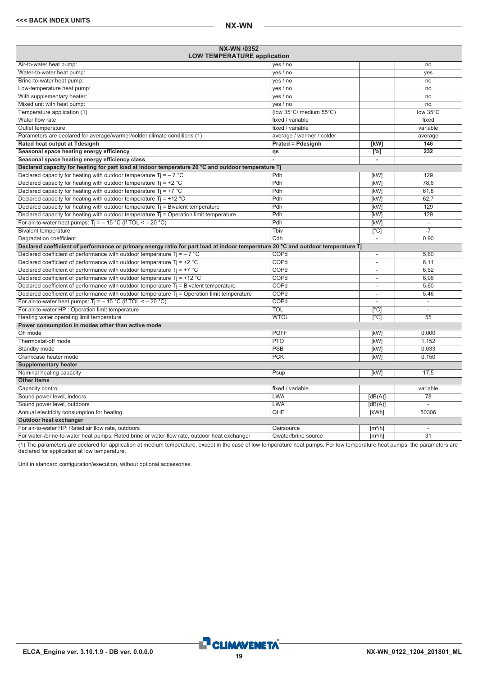<span id="page-18-0"></span>

| <b>NX-WN /0352</b><br><b>LOW TEMPERATURE application</b>                                                                         |                           |                                        |                          |
|----------------------------------------------------------------------------------------------------------------------------------|---------------------------|----------------------------------------|--------------------------|
| Air-to-water heat pump:                                                                                                          | yes / no                  |                                        | no                       |
| Water-to-water heat pump:                                                                                                        | yes / no                  |                                        | yes                      |
| Brine-to-water heat pump:                                                                                                        | yes / no                  |                                        | no                       |
| Low-temperature heat pump:                                                                                                       | yes / no                  |                                        | no                       |
| With supplementary heater:                                                                                                       | yes / no                  |                                        | no                       |
| Mixed unit with heat pump:                                                                                                       | yes / no                  |                                        | no                       |
| Temperature application (1)                                                                                                      | (low 35°C/ medium 55°C)   |                                        | low 35°C                 |
| Water flow rate                                                                                                                  | fixed / variable          |                                        | fixed                    |
| Outlet temperature                                                                                                               | fixed / variable          |                                        | variable                 |
| Parameters are declared for average/warmer/colder climate conditions (1)                                                         | average / warmer / colder |                                        | average                  |
| Rated heat output at Tdesignh                                                                                                    | <b>Prated = Pdesignh</b>  | [kW]                                   | 146                      |
| Seasonal space heating energy efficiency                                                                                         | ηs                        | $\overline{[}^{\%}]$                   | 232                      |
| Seasonal space heating energy efficiency class                                                                                   |                           | ÷.                                     |                          |
| Declared capacity for heating for part load at indoor temperature 20 °C and outdoor temperature Tj                               |                           |                                        |                          |
| Declared capacity for heating with outdoor temperature $Ti = -7$ °C                                                              | Pdh                       | [kW]                                   | 129                      |
| Declared capacity for heating with outdoor temperature $Ti = +2 °C$                                                              | Pdh                       | [kW]                                   | 78.6                     |
| Declared capacity for heating with outdoor temperature Tj = $+7$ °C                                                              | Pdh                       | [kW]                                   | 61.8                     |
| Declared capacity for heating with outdoor temperature $Ti = +12 °C$                                                             | Pdh                       | [kW]                                   | 62,7                     |
| Declared capacity for heating with outdoor temperature $Tj = Bi$ valent temperature                                              | Pdh                       | [kW]                                   | 129                      |
| Declared capacity for heating with outdoor temperature $Tj =$ Operation limit temperature                                        | Pdh                       | [kW]                                   | 129                      |
| For air-to-water heat pumps: $Ti = -15 °C$ (if TOL < - 20 °C)                                                                    | Pdh                       | [kW]                                   | ÷,                       |
| <b>Bivalent temperature</b>                                                                                                      | Tbiv                      | $\overline{[}^{\circ}C]$               | $-7$                     |
| Degradation coefficient                                                                                                          | Cdh                       | $\overline{\phantom{a}}$               | 0,90                     |
| Declared coefficient of performance or primary energy ratio for part load at indoor temperature 20 °C and outdoor temperature Tj |                           |                                        |                          |
| Declared coefficient of performance with outdoor temperature $Ti = -7$ °C                                                        | COPd                      | $\overline{\phantom{a}}$               | 5,60                     |
| Declared coefficient of performance with outdoor temperature $Tj = +2$ °C                                                        | COPd                      |                                        | 6,11                     |
| Declared coefficient of performance with outdoor temperature $Ti = +7$ °C                                                        | COPd                      | $\overline{\phantom{a}}$               | 6.52                     |
| Declared coefficient of performance with outdoor temperature $Ti = +12 °C$                                                       | COPd                      | $\overline{\phantom{a}}$               | 6,96                     |
| Declared coefficient of performance with outdoor temperature $Tj$ = Bivalent temperature                                         | COPd                      | $\sim$                                 | 5,60                     |
| Declared coefficient of performance with outdoor temperature T <sub>j</sub> = Operation limit temperature                        | COPd                      |                                        | 5,46                     |
| For air-to-water heat pumps: $Ti = -15 °C$ (if TOL < - 20 °C)                                                                    | COPd                      |                                        | $\overline{\phantom{a}}$ |
| For air-to-water HP : Operation limit temperature                                                                                | <b>TOL</b>                | $\lceil$ °C]                           |                          |
| Heating water operating limit temperature                                                                                        | <b>WTOL</b>               | $\lceil$ °C]                           | 55                       |
| Power consumption in modes other than active mode                                                                                |                           |                                        |                          |
| Off mode                                                                                                                         | <b>POFF</b>               | [kW]                                   | 0.000                    |
| Thermostat-off mode                                                                                                              | <b>PTO</b>                | [kW]                                   | 1.152                    |
| Standby mode                                                                                                                     | PSB                       | [kW]                                   | 0.033                    |
| Crankcase heater mode                                                                                                            | <b>PCK</b>                | [kW]                                   | 0,150                    |
| <b>Supplementary heater</b>                                                                                                      |                           |                                        |                          |
| Nominal heating capacity                                                                                                         | Psup                      | [kW]                                   | 17.5                     |
| <b>Other items</b>                                                                                                               |                           |                                        |                          |
| Capacity control                                                                                                                 | fixed / variable          |                                        | variable                 |
| Sound power level, indoors                                                                                                       | <b>LWA</b>                | [dB(A)]                                | 78                       |
| Sound power level, outdoors                                                                                                      | <b>LWA</b>                | [dB(A)]                                |                          |
| Annual electricity consumption for heating                                                                                       | QHE                       | [kWh]                                  | 50306                    |
| Outdoor heat exchanger                                                                                                           |                           |                                        |                          |
| For air-to-water HP: Rated air flow rate, outdoors                                                                               | Qairsource                | $\left[\mathrm{m}^3/\mathrm{h}\right]$ | $\sim$                   |
| For water-/brine-to-water heat pumps: Rated brine or water flow rate, outdoor heat exchanger                                     | Qwater/brine source       | $\lceil m^3/h \rceil$                  | $\overline{31}$          |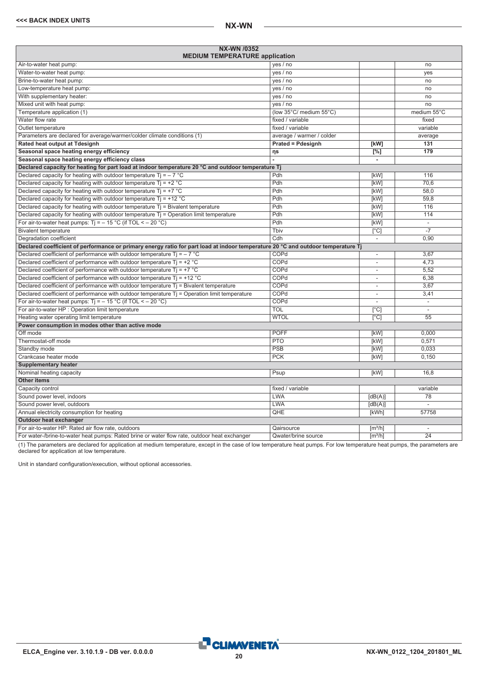| <b>NX-WN /0352</b><br><b>MEDIUM TEMPERATURE application</b>                                                                      |                           |                              |                          |
|----------------------------------------------------------------------------------------------------------------------------------|---------------------------|------------------------------|--------------------------|
| Air-to-water heat pump:                                                                                                          | yes / no                  |                              | no                       |
| Water-to-water heat pump:                                                                                                        | yes / no                  |                              | yes                      |
| Brine-to-water heat pump:                                                                                                        | yes / no                  |                              | no                       |
| Low-temperature heat pump:                                                                                                       | yes / no                  |                              | no                       |
| With supplementary heater:                                                                                                       | yes / no                  |                              | no                       |
| Mixed unit with heat pump:                                                                                                       | yes / no                  |                              | no                       |
| Temperature application (1)                                                                                                      | (low 35°C/ medium 55°C)   |                              | medium 55°C              |
| Water flow rate                                                                                                                  | fixed / variable          |                              | fixed                    |
| Outlet temperature                                                                                                               | fixed / variable          |                              | variable                 |
| Parameters are declared for average/warmer/colder climate conditions (1)                                                         | average / warmer / colder |                              | average                  |
| Rated heat output at Tdesignh                                                                                                    | <b>Prated = Pdesignh</b>  | [kW]                         | 131                      |
| Seasonal space heating energy efficiency                                                                                         | ηs                        | $\overline{[%]}$             | 179                      |
| Seasonal space heating energy efficiency class                                                                                   |                           | ÷.                           |                          |
| Declared capacity for heating for part load at indoor temperature 20 °C and outdoor temperature Tj                               |                           |                              |                          |
| Declared capacity for heating with outdoor temperature Ti = $-7$ °C                                                              | Pdh                       | [kW]                         | 116                      |
| Declared capacity for heating with outdoor temperature $Ti = +2$ °C                                                              | Pdh                       | [kW]                         | 70.6                     |
| Declared capacity for heating with outdoor temperature $Tj = +7$ °C                                                              | Pdh                       | <b>[kW]</b>                  | 58.0                     |
| Declared capacity for heating with outdoor temperature $Ti = +12 °C$                                                             | Pdh                       | [kW]                         | 59,8                     |
| Declared capacity for heating with outdoor temperature Tj = Bivalent temperature                                                 | Pdh                       | [kW]                         | 116                      |
| Declared capacity for heating with outdoor temperature $Ti =$ Operation limit temperature                                        | Pdh                       | [kW]                         | 114                      |
| For air-to-water heat pumps: $Ti = -15 °C$ (if TOL < - 20 °C)                                                                    | Pdh                       | [kW]                         | ÷,                       |
| <b>Bivalent temperature</b>                                                                                                      | Tbiv                      | $\overline{[}^{\circ}C]$     | $-7$                     |
| Degradation coefficient                                                                                                          | Cdh                       | $\overline{\phantom{a}}$     | 0,90                     |
| Declared coefficient of performance or primary energy ratio for part load at indoor temperature 20 °C and outdoor temperature Tj |                           |                              |                          |
| Declared coefficient of performance with outdoor temperature $Ti = -7$ °C                                                        | COPd                      | ÷,                           | 3,67                     |
| Declared coefficient of performance with outdoor temperature $Tj = +2 °C$                                                        | COPd                      |                              | 4,73                     |
| Declared coefficient of performance with outdoor temperature $Ti = +7$ °C                                                        | COPd                      | $\overline{\phantom{a}}$     | 5,52                     |
| Declared coefficient of performance with outdoor temperature $Ti = +12$ °C                                                       | COPd                      | $\overline{\phantom{a}}$     | 6,38                     |
| Declared coefficient of performance with outdoor temperature $Tj$ = Bivalent temperature                                         | COPd                      | $\overline{\phantom{a}}$     | 3,67                     |
| Declared coefficient of performance with outdoor temperature Tj = Operation limit temperature                                    | COPd                      |                              | 3,41                     |
| For air-to-water heat pumps: $Ti = -15 °C$ (if TOL < - 20 °C)                                                                    | COPd                      |                              | $\overline{\phantom{a}}$ |
| For air-to-water HP : Operation limit temperature                                                                                | <b>TOL</b>                | $\lceil$ °C]                 |                          |
| Heating water operating limit temperature                                                                                        | <b>WTOL</b>               | $\lceil$ °C]                 | 55                       |
| Power consumption in modes other than active mode                                                                                |                           |                              |                          |
| Off mode                                                                                                                         | <b>POFF</b>               | [kW]                         | 0.000                    |
| Thermostat-off mode                                                                                                              | <b>PTO</b>                | [kW]                         | 0.571                    |
| Standby mode                                                                                                                     | <b>PSB</b>                | [kW]                         | 0.033                    |
| Crankcase heater mode                                                                                                            | <b>PCK</b>                | [kW]                         | 0,150                    |
| <b>Supplementary heater</b>                                                                                                      |                           |                              |                          |
| Nominal heating capacity                                                                                                         | Psup                      | [kW]                         | 16.8                     |
| <b>Other items</b>                                                                                                               |                           |                              |                          |
| Capacity control                                                                                                                 | fixed / variable          |                              | variable                 |
| Sound power level, indoors                                                                                                       | <b>LWA</b>                | [dB(A)]                      | 78                       |
| Sound power level, outdoors                                                                                                      | <b>LWA</b>                | [dB(A)]                      |                          |
| Annual electricity consumption for heating                                                                                       | QHE                       | [kWh]                        | 57758                    |
| Outdoor heat exchanger                                                                                                           |                           |                              |                          |
| For air-to-water HP: Rated air flow rate, outdoors                                                                               | Qairsource                | $\lceil m^3/h \rceil$        | $\sim$                   |
| For water-/brine-to-water heat pumps: Rated brine or water flow rate, outdoor heat exchanger                                     | Qwater/brine source       | $\left[\frac{m^3}{h}\right]$ | $\overline{24}$          |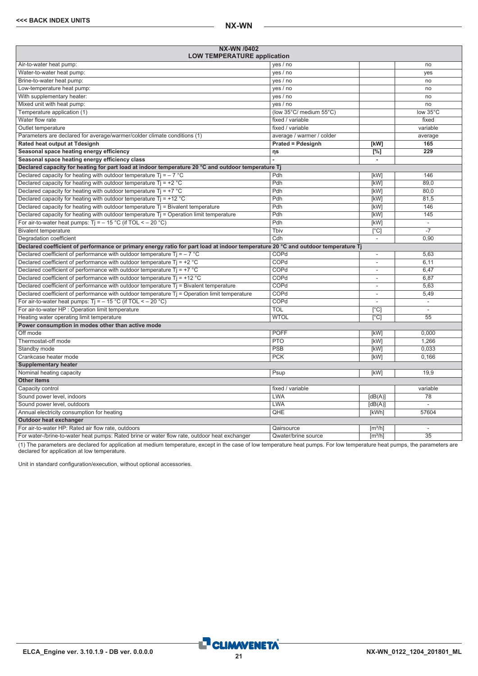<span id="page-20-0"></span>

| <b>NX-WN /0402</b><br><b>LOW TEMPERATURE application</b>                                                                         |                           |                              |                          |
|----------------------------------------------------------------------------------------------------------------------------------|---------------------------|------------------------------|--------------------------|
| Air-to-water heat pump:                                                                                                          | yes / no                  |                              | no                       |
| Water-to-water heat pump:                                                                                                        | yes / no                  |                              | ves                      |
| Brine-to-water heat pump:                                                                                                        | yes / no                  |                              | no                       |
| Low-temperature heat pump:                                                                                                       | yes / no                  |                              | no                       |
| With supplementary heater:                                                                                                       | yes / no                  |                              | no                       |
| Mixed unit with heat pump:                                                                                                       | yes / no                  |                              | no                       |
| Temperature application (1)                                                                                                      | (low 35°C/ medium 55°C)   |                              | low 35°C                 |
| Water flow rate                                                                                                                  | fixed / variable          |                              | fixed                    |
| Outlet temperature                                                                                                               | fixed / variable          |                              | variable                 |
| Parameters are declared for average/warmer/colder climate conditions (1)                                                         | average / warmer / colder |                              | average                  |
| Rated heat output at Tdesignh                                                                                                    | <b>Prated = Pdesignh</b>  | [kW]                         | 165                      |
| Seasonal space heating energy efficiency                                                                                         | ηs                        | $[\%]$                       | 229                      |
| Seasonal space heating energy efficiency class                                                                                   |                           | ä,                           |                          |
| Declared capacity for heating for part load at indoor temperature 20 °C and outdoor temperature Tj                               |                           |                              |                          |
| Declared capacity for heating with outdoor temperature Ti = $-7$ °C                                                              | Pdh                       | [kW]                         | 146                      |
| Declared capacity for heating with outdoor temperature $Ti = +2 °C$                                                              | Pdh                       | [kW]                         | 89.0                     |
| Declared capacity for heating with outdoor temperature Tj = $+7$ °C                                                              | Pdh                       | [kW]                         | 80.0                     |
| Declared capacity for heating with outdoor temperature $Ti = +12 °C$                                                             | Pdh                       | [kW]                         | 81,5                     |
| Declared capacity for heating with outdoor temperature $Tj = B$ ivalent temperature                                              | Pdh                       | [kW]                         | 146                      |
| Declared capacity for heating with outdoor temperature $Tj =$ Operation limit temperature                                        | Pdh                       | [kW]                         | 145                      |
| For air-to-water heat pumps: $Ti = -15 °C$ (if TOL < - 20 °C)                                                                    | Pdh                       | [kW]                         | L.                       |
| <b>Bivalent temperature</b>                                                                                                      | Tbiv                      | $\overline{[}^{\circ}C]$     | $-7$                     |
| Degradation coefficient                                                                                                          | $\overline{\text{Cdh}}$   | $\overline{\phantom{a}}$     | 0,90                     |
| Declared coefficient of performance or primary energy ratio for part load at indoor temperature 20 °C and outdoor temperature Tj |                           |                              |                          |
| Declared coefficient of performance with outdoor temperature $Ti = -7$ °C                                                        | COPd                      | $\overline{\phantom{a}}$     | 5,63                     |
| Declared coefficient of performance with outdoor temperature $Tj = +2$ °C                                                        | COPd                      | ä,                           | 6,11                     |
| Declared coefficient of performance with outdoor temperature $Ti = +7$ °C                                                        | COPd                      | ä,                           | 6.47                     |
| Declared coefficient of performance with outdoor temperature $Ti = +12 °C$                                                       | COPd                      | ٠                            | 6,87                     |
| Declared coefficient of performance with outdoor temperature $Tj$ = Bivalent temperature                                         | COPd                      | $\overline{\phantom{a}}$     | 5,63                     |
| Declared coefficient of performance with outdoor temperature Tj = Operation limit temperature                                    | COPd                      | $\overline{a}$               | 5,49                     |
| For air-to-water heat pumps: $Ti = -15 °C$ (if TOL < - 20 °C)                                                                    | COPd                      |                              | $\overline{\phantom{a}}$ |
| For air-to-water HP : Operation limit temperature                                                                                | <b>TOL</b>                | [°C]                         |                          |
| Heating water operating limit temperature                                                                                        | <b>WTOL</b>               | [°C]                         | $\overline{55}$          |
| Power consumption in modes other than active mode                                                                                |                           |                              |                          |
| Off mode                                                                                                                         | <b>POFF</b>               | [kW]                         | 0.000                    |
| Thermostat-off mode                                                                                                              | <b>PTO</b>                | [kW]                         | 1.266                    |
| Standby mode                                                                                                                     | <b>PSB</b>                | [kW]                         | 0.033                    |
| Crankcase heater mode                                                                                                            | <b>PCK</b>                | [kW]                         | 0,166                    |
| <b>Supplementary heater</b>                                                                                                      |                           |                              |                          |
| Nominal heating capacity                                                                                                         | Psup                      | [kW]                         | 19.9                     |
| <b>Other items</b>                                                                                                               |                           |                              |                          |
| Capacity control                                                                                                                 | fixed / variable          |                              | variable                 |
| Sound power level, indoors                                                                                                       | <b>LWA</b>                | [dB(A)]                      | 78                       |
| Sound power level, outdoors                                                                                                      | <b>LWA</b>                | [dB(A)]                      |                          |
| Annual electricity consumption for heating                                                                                       | QHE                       | [kWh]                        | 57604                    |
| Outdoor heat exchanger                                                                                                           |                           |                              |                          |
| For air-to-water HP: Rated air flow rate, outdoors                                                                               | Qairsource                | [m <sup>3</sup> /h]          | $\overline{\phantom{a}}$ |
| For water-/brine-to-water heat pumps: Rated brine or water flow rate, outdoor heat exchanger                                     | Qwater/brine source       | $\left[\frac{m^3}{h}\right]$ | $\overline{35}$          |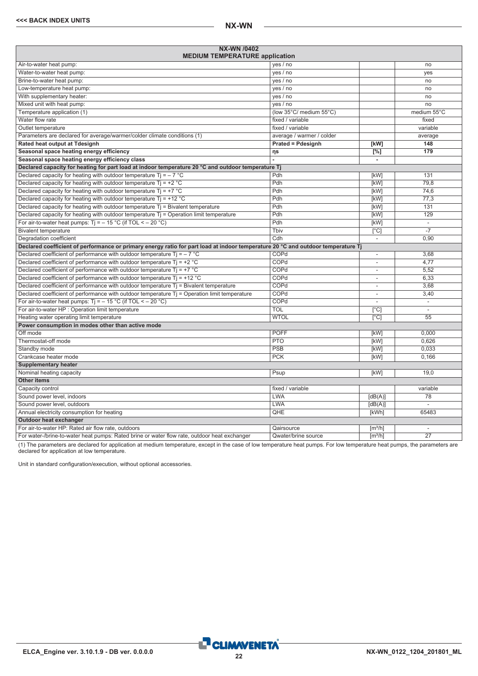| NX-WN /0402<br><b>MEDIUM TEMPERATURE application</b>                                                                             |                           |                              |                          |
|----------------------------------------------------------------------------------------------------------------------------------|---------------------------|------------------------------|--------------------------|
| Air-to-water heat pump:                                                                                                          | yes / no                  |                              | no                       |
| Water-to-water heat pump:                                                                                                        | yes / no                  |                              | yes                      |
| Brine-to-water heat pump:                                                                                                        | yes / no                  |                              | no                       |
| Low-temperature heat pump:                                                                                                       | yes / no                  |                              | no                       |
| With supplementary heater:                                                                                                       | yes / no                  |                              | no                       |
| Mixed unit with heat pump:                                                                                                       | yes / no                  |                              | no                       |
| Temperature application (1)                                                                                                      | (low 35°C/ medium 55°C)   |                              | medium 55°C              |
| Water flow rate                                                                                                                  | fixed / variable          |                              | fixed                    |
| Outlet temperature                                                                                                               | fixed / variable          |                              | variable                 |
| Parameters are declared for average/warmer/colder climate conditions (1)                                                         | average / warmer / colder |                              | average                  |
| Rated heat output at Tdesignh                                                                                                    | <b>Prated = Pdesignh</b>  | [kW]                         | 148                      |
| Seasonal space heating energy efficiency                                                                                         | ηs                        | $\overline{[%]}$             | 179                      |
| Seasonal space heating energy efficiency class                                                                                   |                           | ÷.                           |                          |
| Declared capacity for heating for part load at indoor temperature 20 °C and outdoor temperature Tj                               |                           |                              |                          |
| Declared capacity for heating with outdoor temperature Ti = $-7$ °C                                                              | Pdh                       | [kW]                         | 131                      |
| Declared capacity for heating with outdoor temperature $Ti = +2$ °C                                                              | Pdh                       | [kW]                         | 79.8                     |
| Declared capacity for heating with outdoor temperature $Tj = +7$ °C                                                              | Pdh                       | <b>[kW]</b>                  | 74.6                     |
| Declared capacity for heating with outdoor temperature $Ti = +12 °C$                                                             | Pdh                       | [kW]                         | 77,3                     |
| Declared capacity for heating with outdoor temperature Tj = Bivalent temperature                                                 | Pdh                       | [kW]                         | 131                      |
| Declared capacity for heating with outdoor temperature $Ti =$ Operation limit temperature                                        | Pdh                       | [kW]                         | 129                      |
| For air-to-water heat pumps: $Ti = -15 °C$ (if TOL < - 20 °C)                                                                    | Pdh                       | [kW]                         | ÷,                       |
| <b>Bivalent temperature</b>                                                                                                      | Tbiv                      | $\overline{[}^{\circ}C]$     | $-7$                     |
| Degradation coefficient                                                                                                          | Cdh                       | $\overline{\phantom{a}}$     | 0,90                     |
| Declared coefficient of performance or primary energy ratio for part load at indoor temperature 20 °C and outdoor temperature Tj |                           |                              |                          |
| Declared coefficient of performance with outdoor temperature $Ti = -7$ °C                                                        | COPd                      | ÷,                           | 3,68                     |
| Declared coefficient of performance with outdoor temperature $Tj = +2 °C$                                                        | COPd                      |                              | 4.77                     |
| Declared coefficient of performance with outdoor temperature $Ti = +7$ °C                                                        | COPd                      | $\overline{\phantom{a}}$     | 5,52                     |
| Declared coefficient of performance with outdoor temperature $Ti = +12$ °C                                                       | COPd                      |                              | 6,33                     |
| Declared coefficient of performance with outdoor temperature $Tj$ = Bivalent temperature                                         | COPd                      | $\overline{\phantom{a}}$     | 3,68                     |
| Declared coefficient of performance with outdoor temperature Tj = Operation limit temperature                                    | COPd                      |                              | 3,40                     |
| For air-to-water heat pumps: $Ti = -15 °C$ (if TOL < - 20 °C)                                                                    | COPd                      |                              | $\overline{\phantom{a}}$ |
| For air-to-water HP : Operation limit temperature                                                                                | <b>TOL</b>                | $\lceil$ °C]                 |                          |
| Heating water operating limit temperature                                                                                        | <b>WTOL</b>               | $\lceil$ °C]                 | 55                       |
| Power consumption in modes other than active mode                                                                                |                           |                              |                          |
| Off mode                                                                                                                         | <b>POFF</b>               | [kW]                         | 0.000                    |
| Thermostat-off mode                                                                                                              | <b>PTO</b>                | [kW]                         | 0.626                    |
| Standby mode                                                                                                                     | <b>PSB</b>                | [kW]                         | 0.033                    |
| Crankcase heater mode                                                                                                            | <b>PCK</b>                | [kW]                         | 0,166                    |
| <b>Supplementary heater</b>                                                                                                      |                           |                              |                          |
| Nominal heating capacity                                                                                                         | Psup                      | [kW]                         | 19.0                     |
| <b>Other items</b>                                                                                                               |                           |                              |                          |
| Capacity control                                                                                                                 | fixed / variable          |                              | variable                 |
| Sound power level, indoors                                                                                                       | <b>LWA</b>                | [dB(A)]                      | 78                       |
| Sound power level, outdoors                                                                                                      | <b>LWA</b>                | [dB(A)]                      |                          |
| Annual electricity consumption for heating                                                                                       | QHE                       | [kWh]                        | 65483                    |
| Outdoor heat exchanger                                                                                                           |                           |                              |                          |
| For air-to-water HP: Rated air flow rate, outdoors                                                                               | Qairsource                | $\lceil m^3/h \rceil$        | $\sim$                   |
| For water-/brine-to-water heat pumps: Rated brine or water flow rate, outdoor heat exchanger                                     | Qwater/brine source       | $\left[\frac{m^3}{h}\right]$ | $\overline{27}$          |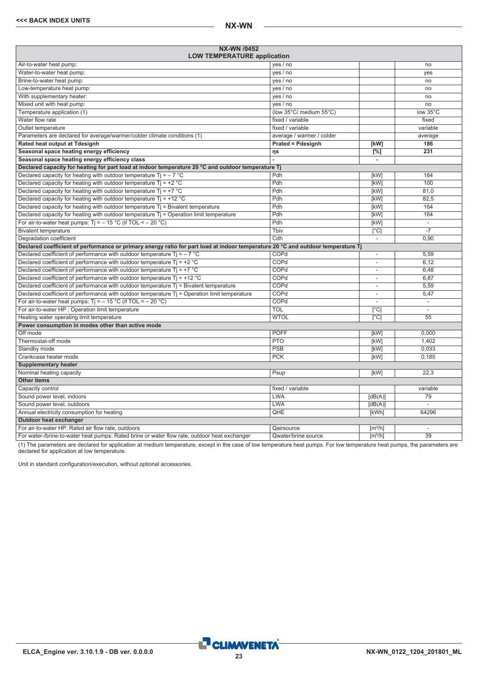<span id="page-22-0"></span>

| <b>NX-WN /0452</b><br><b>LOW TEMPERATURE application</b>                                                                         |                           |                              |                          |
|----------------------------------------------------------------------------------------------------------------------------------|---------------------------|------------------------------|--------------------------|
| Air-to-water heat pump:                                                                                                          | yes / no                  |                              | no                       |
| Water-to-water heat pump:                                                                                                        | yes / no                  |                              | ves                      |
| Brine-to-water heat pump:                                                                                                        | yes / no                  |                              | no                       |
| Low-temperature heat pump:                                                                                                       | yes / no                  |                              | no                       |
| With supplementary heater:                                                                                                       | yes / no                  |                              | no                       |
| Mixed unit with heat pump:                                                                                                       | yes / no                  |                              | no                       |
| Temperature application (1)                                                                                                      | (low 35°C/ medium 55°C)   |                              | low 35°C                 |
| Water flow rate                                                                                                                  | fixed / variable          |                              | fixed                    |
| Outlet temperature                                                                                                               | fixed / variable          |                              | variable                 |
| Parameters are declared for average/warmer/colder climate conditions (1)                                                         | average / warmer / colder |                              | average                  |
| Rated heat output at Tdesignh                                                                                                    | <b>Prated = Pdesignh</b>  | [kW]                         | 186                      |
| Seasonal space heating energy efficiency                                                                                         | ηs                        | $[\%]$                       | 231                      |
| Seasonal space heating energy efficiency class                                                                                   |                           | ä,                           |                          |
| Declared capacity for heating for part load at indoor temperature 20 °C and outdoor temperature Tj                               |                           |                              |                          |
| Declared capacity for heating with outdoor temperature Ti = $-7$ °C                                                              | Pdh                       | [kW]                         | 164                      |
| Declared capacity for heating with outdoor temperature $Ti = +2 °C$                                                              | Pdh                       | [kW]                         | 100                      |
| Declared capacity for heating with outdoor temperature Tj = $+7$ °C                                                              | Pdh                       | [kW]                         | 81.0                     |
| Declared capacity for heating with outdoor temperature $Ti = +12 °C$                                                             | Pdh                       | [kW]                         | 82,5                     |
| Declared capacity for heating with outdoor temperature $Tj = B$ ivalent temperature                                              | Pdh                       | [kW]                         | 164                      |
| Declared capacity for heating with outdoor temperature $Tj =$ Operation limit temperature                                        | Pdh                       | [kW]                         | 164                      |
| For air-to-water heat pumps: $Ti = -15 °C$ (if TOL < - 20 °C)                                                                    | Pdh                       | [kW]                         | L.                       |
| <b>Bivalent temperature</b>                                                                                                      | Tbiv                      | $\overline{[}^{\circ}C]$     | $-7$                     |
| Degradation coefficient                                                                                                          | $\overline{\text{Cdh}}$   | $\overline{\phantom{a}}$     | 0,90                     |
| Declared coefficient of performance or primary energy ratio for part load at indoor temperature 20 °C and outdoor temperature Tj |                           |                              |                          |
| Declared coefficient of performance with outdoor temperature $Ti = -7$ °C                                                        | COPd                      | ÷,                           | 5,59                     |
| Declared coefficient of performance with outdoor temperature $Tj = +2$ °C                                                        | COPd                      | ä,                           | 6,12                     |
| Declared coefficient of performance with outdoor temperature $Ti = +7$ °C                                                        | COPd                      | ä,                           | 6.48                     |
| Declared coefficient of performance with outdoor temperature $Ti = +12 °C$                                                       | COPd                      | ٠                            | 6,87                     |
| Declared coefficient of performance with outdoor temperature $Tj$ = Bivalent temperature                                         | COPd                      | $\overline{\phantom{a}}$     | 5,59                     |
| Declared coefficient of performance with outdoor temperature Tj = Operation limit temperature                                    | COPd                      | $\overline{a}$               | 5,47                     |
| For air-to-water heat pumps: $Ti = -15 °C$ (if TOL < - 20 °C)                                                                    | COPd                      |                              | $\overline{\phantom{a}}$ |
| For air-to-water HP : Operation limit temperature                                                                                | <b>TOL</b>                | [°C]                         |                          |
| Heating water operating limit temperature                                                                                        | <b>WTOL</b>               | [°C]                         | $\overline{55}$          |
| Power consumption in modes other than active mode                                                                                |                           |                              |                          |
| Off mode                                                                                                                         | <b>POFF</b>               | [kW]                         | 0.000                    |
| Thermostat-off mode                                                                                                              | <b>PTO</b>                | [kW]                         | 1,402                    |
| Standby mode                                                                                                                     | <b>PSB</b>                | [kW]                         | 0.033                    |
| Crankcase heater mode                                                                                                            | <b>PCK</b>                | [kW]                         | 0,185                    |
| <b>Supplementary heater</b>                                                                                                      |                           |                              |                          |
| Nominal heating capacity                                                                                                         | Psup                      | [kW]                         | 22.3                     |
| <b>Other items</b>                                                                                                               |                           |                              |                          |
| Capacity control                                                                                                                 | fixed / variable          |                              | variable                 |
| Sound power level, indoors                                                                                                       | <b>LWA</b>                | [dB(A)]                      | 79                       |
| Sound power level, outdoors                                                                                                      | <b>LWA</b>                | [dB(A)]                      |                          |
| Annual electricity consumption for heating                                                                                       | QHE                       | [kWh]                        | 64296                    |
| Outdoor heat exchanger                                                                                                           |                           |                              |                          |
| For air-to-water HP: Rated air flow rate, outdoors                                                                               | Qairsource                | [m <sup>3</sup> /h]          | $\overline{\phantom{a}}$ |
| For water-/brine-to-water heat pumps: Rated brine or water flow rate, outdoor heat exchanger                                     | Qwater/brine source       | $\left[\frac{m^3}{h}\right]$ | $\overline{39}$          |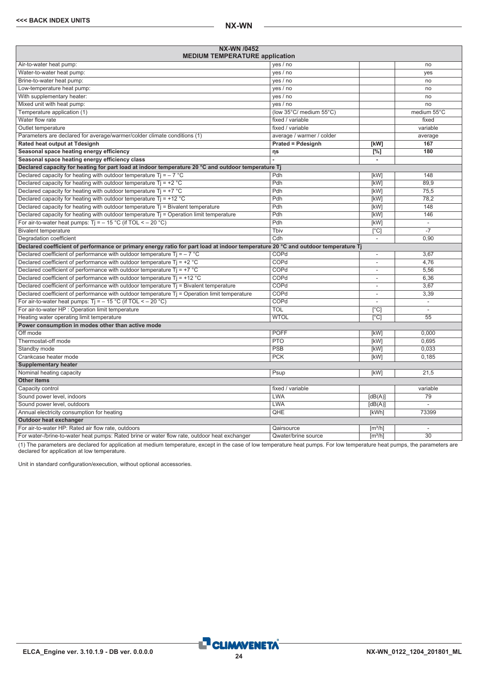| <b>NX-WN /0452</b><br><b>MEDIUM TEMPERATURE application</b>                                                                      |                           |                          |                          |
|----------------------------------------------------------------------------------------------------------------------------------|---------------------------|--------------------------|--------------------------|
| Air-to-water heat pump:                                                                                                          | yes / no                  |                          | no                       |
| Water-to-water heat pump:                                                                                                        | yes / no                  |                          | ves                      |
| Brine-to-water heat pump:                                                                                                        | yes / no                  |                          | no                       |
| Low-temperature heat pump:                                                                                                       | yes / no                  |                          | no                       |
| With supplementary heater:                                                                                                       | yes / no                  |                          | no                       |
| Mixed unit with heat pump:                                                                                                       | yes / no                  |                          | no                       |
| Temperature application (1)                                                                                                      | (low 35°C/ medium 55°C)   |                          | medium 55°C              |
| Water flow rate                                                                                                                  | fixed / variable          |                          | fixed                    |
| Outlet temperature                                                                                                               | fixed / variable          |                          | variable                 |
| Parameters are declared for average/warmer/colder climate conditions (1)                                                         | average / warmer / colder |                          | average                  |
| Rated heat output at Tdesignh                                                                                                    | <b>Prated = Pdesignh</b>  | [kW]                     | 167                      |
| Seasonal space heating energy efficiency                                                                                         | ηs                        | [%]                      | 180                      |
| Seasonal space heating energy efficiency class                                                                                   |                           | ä,                       |                          |
| Declared capacity for heating for part load at indoor temperature 20 °C and outdoor temperature Tj                               |                           |                          |                          |
| Declared capacity for heating with outdoor temperature Ti = $-7$ °C                                                              | Pdh                       | [kW]                     | 148                      |
| Declared capacity for heating with outdoor temperature $Ti = +2$ °C                                                              | Pdh                       | [kW]                     | 89.9                     |
| Declared capacity for heating with outdoor temperature $Ti = +7$ °C                                                              | Pdh                       | [kW]                     | 75.5                     |
| Declared capacity for heating with outdoor temperature $Ti = +12 °C$                                                             | Pdh                       | [kW]                     | 78,2                     |
| Declared capacity for heating with outdoor temperature Tj = Bivalent temperature                                                 | Pdh                       | [kW]                     | 148                      |
| Declared capacity for heating with outdoor temperature $T_i$ = Operation limit temperature                                       | Pdh                       | [kW]                     | 146                      |
| For air-to-water heat pumps: $Ti = -15 °C$ (if TOL < - 20 °C)                                                                    | Pdh                       | [kW]                     | ÷,                       |
| <b>Bivalent temperature</b>                                                                                                      | Tbiv                      | $\overline{[}^{\circ}C]$ | $-7$                     |
| Degradation coefficient                                                                                                          | Cdh                       | $\overline{\phantom{a}}$ | 0,90                     |
| Declared coefficient of performance or primary energy ratio for part load at indoor temperature 20 °C and outdoor temperature Tj |                           |                          |                          |
| Declared coefficient of performance with outdoor temperature $Ti = -7$ °C                                                        | COPd                      | ÷,                       | 3,67                     |
| Declared coefficient of performance with outdoor temperature $Tj = +2 °C$                                                        | COPd                      | ä,                       | 4,76                     |
| Declared coefficient of performance with outdoor temperature $Ti = +7$ °C                                                        | COPd                      | ä,                       | 5.56                     |
| Declared coefficient of performance with outdoor temperature $Ti = +12 °C$                                                       | COPd                      | ٠                        | 6,36                     |
| Declared coefficient of performance with outdoor temperature $Tj$ = Bivalent temperature                                         | COPd                      | $\overline{\phantom{a}}$ | 3,67                     |
| Declared coefficient of performance with outdoor temperature Tj = Operation limit temperature                                    | COPd                      | ä,                       | 3,39                     |
| For air-to-water heat pumps: $Ti = -15 °C$ (if TOL < - 20 °C)                                                                    | COPd                      | L,                       | $\overline{\phantom{a}}$ |
| For air-to-water HP : Operation limit temperature                                                                                | <b>TOL</b>                | [°C]                     |                          |
| Heating water operating limit temperature                                                                                        | <b>WTOL</b>               | $\overline{[°C]}$        | $\overline{55}$          |
| Power consumption in modes other than active mode                                                                                |                           |                          |                          |
| Off mode                                                                                                                         | <b>POFF</b>               | [kW]                     | 0.000                    |
| Thermostat-off mode                                                                                                              | <b>PTO</b>                | [kW]                     | 0.695                    |
| Standby mode                                                                                                                     | PSB                       | [kW]                     | 0.033                    |
| Crankcase heater mode                                                                                                            | <b>PCK</b>                | [kW]                     | 0,185                    |
| <b>Supplementary heater</b>                                                                                                      |                           |                          |                          |
| Nominal heating capacity                                                                                                         | Psup                      | [kW]                     | 21.5                     |
| <b>Other items</b>                                                                                                               |                           |                          |                          |
| Capacity control                                                                                                                 | fixed / variable          |                          | variable                 |
| Sound power level, indoors                                                                                                       | <b>LWA</b>                | [dB(A)]                  | 79                       |
| Sound power level, outdoors                                                                                                      | <b>LWA</b>                | [dB(A)]                  |                          |
| Annual electricity consumption for heating                                                                                       | QHE                       | [kWh]                    | 73399                    |
| Outdoor heat exchanger                                                                                                           |                           |                          |                          |
| For air-to-water HP: Rated air flow rate, outdoors                                                                               | Qairsource                | [m <sup>3</sup> /h]      | $\overline{\phantom{a}}$ |
| For water-/brine-to-water heat pumps: Rated brine or water flow rate, outdoor heat exchanger                                     | Qwater/brine source       | $\sqrt{m^3/h}$           | $\overline{30}$          |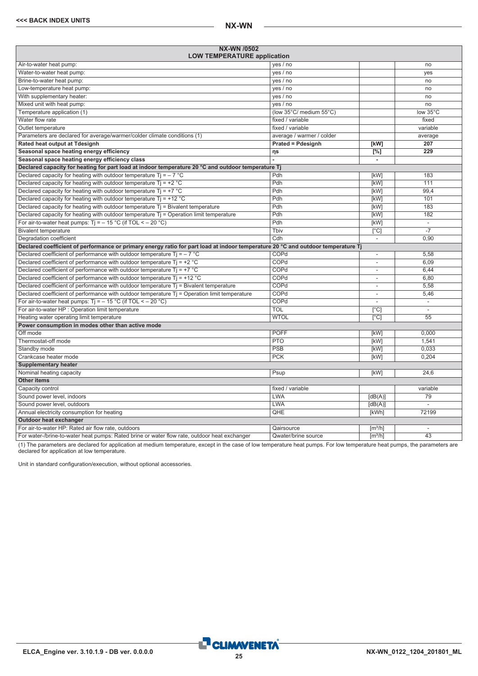<span id="page-24-0"></span>

| NX-WN /0502<br><b>LOW TEMPERATURE application</b>                                                                                |                           |                              |                          |
|----------------------------------------------------------------------------------------------------------------------------------|---------------------------|------------------------------|--------------------------|
| Air-to-water heat pump:                                                                                                          | yes / no                  |                              | no                       |
| Water-to-water heat pump:                                                                                                        | yes / no                  |                              | yes                      |
| Brine-to-water heat pump:                                                                                                        | yes / no                  |                              | no                       |
| Low-temperature heat pump:                                                                                                       | yes / no                  |                              | no                       |
| With supplementary heater:                                                                                                       | yes / no                  |                              | no                       |
| Mixed unit with heat pump:                                                                                                       | yes / no                  |                              | no                       |
| Temperature application (1)                                                                                                      | (low 35°C/ medium 55°C)   |                              | low 35°C                 |
| Water flow rate                                                                                                                  | fixed / variable          |                              | fixed                    |
| Outlet temperature                                                                                                               | fixed / variable          |                              | variable                 |
| Parameters are declared for average/warmer/colder climate conditions (1)                                                         | average / warmer / colder |                              | average                  |
| Rated heat output at Tdesignh                                                                                                    | <b>Prated = Pdesignh</b>  | [kW]                         | 207                      |
| Seasonal space heating energy efficiency                                                                                         | ηs                        | $[^{\circ}\!%]$              | $\overline{229}$         |
| Seasonal space heating energy efficiency class                                                                                   |                           | $\blacksquare$               |                          |
| Declared capacity for heating for part load at indoor temperature 20 °C and outdoor temperature Tj                               |                           |                              |                          |
| Declared capacity for heating with outdoor temperature $Ti = -7$ °C                                                              | Pdh                       | [kW]                         | 183                      |
| Declared capacity for heating with outdoor temperature $Ti = +2 °C$                                                              | Pdh                       | [kW]                         | 111                      |
| Declared capacity for heating with outdoor temperature $Ti = +7 °C$                                                              | Pdh                       | [kW]                         | 99.4                     |
| Declared capacity for heating with outdoor temperature $Ti = +12 °C$                                                             | Pdh                       | [kW]                         | 101                      |
| Declared capacity for heating with outdoor temperature $Tj = Bivalent$ temperature                                               | Pdh                       | [kW]                         | 183                      |
| Declared capacity for heating with outdoor temperature $Ti =$ Operation limit temperature                                        | Pdh                       | [kW]                         | 182                      |
| For air-to-water heat pumps: $Tj = -15 °C$ (if TOL < - 20 °C)                                                                    | Pdh                       | [kW]                         | $\overline{\phantom{a}}$ |
| <b>Bivalent temperature</b>                                                                                                      | Thiv                      | $\overline{[}^{\circ}C]$     |                          |
| Degradation coefficient                                                                                                          | Cdh                       | $\overline{\phantom{a}}$     | 0,90                     |
| Declared coefficient of performance or primary energy ratio for part load at indoor temperature 20 °C and outdoor temperature Tj |                           |                              |                          |
| Declared coefficient of performance with outdoor temperature $Ti = -7$ °C                                                        | COPd                      | $\overline{\phantom{a}}$     | 5,58                     |
| Declared coefficient of performance with outdoor temperature $Ti = +2 °C$                                                        | COPd                      | $\overline{\phantom{a}}$     | 6,09                     |
| Declared coefficient of performance with outdoor temperature $Ti = +7$ °C                                                        | COPd                      | $\overline{\phantom{a}}$     | 6.44                     |
| Declared coefficient of performance with outdoor temperature $Ti = +12 °C$                                                       | COPd                      | ٠                            | 6,80                     |
| Declared coefficient of performance with outdoor temperature $Tj$ = Bivalent temperature                                         | COPd                      | $\overline{\phantom{a}}$     | 5,58                     |
| Declared coefficient of performance with outdoor temperature T <sub>j</sub> = Operation limit temperature                        | COPd                      | $\overline{\phantom{a}}$     | 5,46                     |
| For air-to-water heat pumps: $Ti = -15 °C$ (if TOL < - 20 °C)                                                                    | COPd                      |                              | $\blacksquare$           |
| For air-to-water HP : Operation limit temperature                                                                                | <b>TOL</b>                | $\overline{[^{\circ}C]}$     | L.                       |
| Heating water operating limit temperature                                                                                        | <b>WTOL</b>               | $\lceil$ °Cl                 | $\overline{55}$          |
| Power consumption in modes other than active mode                                                                                |                           |                              |                          |
| Off mode                                                                                                                         | <b>POFF</b>               | [kW]                         | 0,000                    |
| Thermostat-off mode                                                                                                              | <b>PTO</b>                | [kW]                         | 1,541                    |
| Standby mode                                                                                                                     | PSB                       | [kW]                         | 0,033                    |
| Crankcase heater mode                                                                                                            | <b>PCK</b>                | [kW]                         | 0.204                    |
| <b>Supplementary heater</b>                                                                                                      |                           |                              |                          |
| Nominal heating capacity                                                                                                         | Psup                      | [kW]                         | 24,6                     |
| <b>Other items</b>                                                                                                               |                           |                              |                          |
| Capacity control                                                                                                                 | fixed / variable          |                              | variable                 |
| Sound power level, indoors                                                                                                       | <b>LWA</b>                | [dB(A)]                      | 79                       |
| Sound power level, outdoors                                                                                                      | <b>LWA</b>                | [dB(A)]                      |                          |
| Annual electricity consumption for heating                                                                                       | QHE                       | [kWh]                        | 72199                    |
| Outdoor heat exchanger                                                                                                           |                           |                              |                          |
| For air-to-water HP: Rated air flow rate, outdoors                                                                               | Qairsource                | $\left[\frac{m^3}{h}\right]$ | $\overline{\phantom{a}}$ |
| For water-/brine-to-water heat pumps: Rated brine or water flow rate, outdoor heat exchanger                                     | Qwater/brine source       | $\lceil m^3/h \rceil$        | $\overline{43}$          |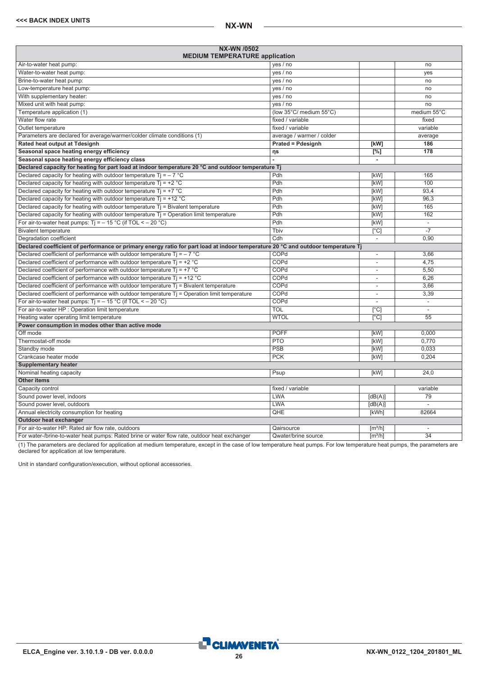| NX-WN /0502<br><b>MEDIUM TEMPERATURE application</b>                                                                             |                           |                              |                          |
|----------------------------------------------------------------------------------------------------------------------------------|---------------------------|------------------------------|--------------------------|
| Air-to-water heat pump:                                                                                                          | yes / no                  |                              | no                       |
| Water-to-water heat pump:                                                                                                        | yes / no                  |                              | yes                      |
| Brine-to-water heat pump:                                                                                                        | yes / no                  |                              | no                       |
| Low-temperature heat pump:                                                                                                       | yes / no                  |                              | no                       |
| With supplementary heater:                                                                                                       | yes / no                  |                              | no                       |
| Mixed unit with heat pump:                                                                                                       | yes / no                  |                              | no                       |
| Temperature application (1)                                                                                                      | (low 35°C/ medium 55°C)   |                              | medium 55°C              |
| Water flow rate                                                                                                                  | fixed / variable          |                              | fixed                    |
| Outlet temperature                                                                                                               | fixed / variable          |                              | variable                 |
| Parameters are declared for average/warmer/colder climate conditions (1)                                                         | average / warmer / colder |                              | average                  |
| Rated heat output at Tdesignh                                                                                                    | <b>Prated = Pdesignh</b>  | [kW]                         | 186                      |
| Seasonal space heating energy efficiency                                                                                         | ηs                        | $\overline{[%]}$             | 178                      |
| Seasonal space heating energy efficiency class                                                                                   |                           | ÷.                           |                          |
| Declared capacity for heating for part load at indoor temperature 20 °C and outdoor temperature Tj                               |                           |                              |                          |
| Declared capacity for heating with outdoor temperature Ti = $-7$ °C                                                              | Pdh                       | [kW]                         | 165                      |
| Declared capacity for heating with outdoor temperature $Ti = +2$ °C                                                              | Pdh                       | [kW]                         | 100                      |
| Declared capacity for heating with outdoor temperature $Tj = +7$ °C                                                              | Pdh                       | <b>[kW]</b>                  | 93.4                     |
| Declared capacity for heating with outdoor temperature $Ti = +12 °C$                                                             | Pdh                       | [kW]                         | 96,3                     |
| Declared capacity for heating with outdoor temperature Tj = Bivalent temperature                                                 | Pdh                       | [kW]                         | 165                      |
| Declared capacity for heating with outdoor temperature $Ti =$ Operation limit temperature                                        | Pdh                       | [kW]                         | 162                      |
| For air-to-water heat pumps: $Ti = -15 °C$ (if TOL < - 20 °C)                                                                    | Pdh                       | [kW]                         | ÷,                       |
| <b>Bivalent temperature</b>                                                                                                      | Tbiv                      | $\overline{[}^{\circ}C]$     | $-7$                     |
| Degradation coefficient                                                                                                          | Cdh                       | $\overline{\phantom{a}}$     | 0,90                     |
| Declared coefficient of performance or primary energy ratio for part load at indoor temperature 20 °C and outdoor temperature Tj |                           |                              |                          |
| Declared coefficient of performance with outdoor temperature $Ti = -7$ °C                                                        | COPd                      | ÷,                           | 3,66                     |
| Declared coefficient of performance with outdoor temperature $Tj = +2 °C$                                                        | COPd                      |                              | 4,75                     |
| Declared coefficient of performance with outdoor temperature $Ti = +7$ °C                                                        | COPd                      | $\overline{\phantom{a}}$     | 5,50                     |
| Declared coefficient of performance with outdoor temperature $Ti = +12$ °C                                                       | COPd                      | $\overline{\phantom{a}}$     | 6,26                     |
| Declared coefficient of performance with outdoor temperature $Tj$ = Bivalent temperature                                         | COPd                      | $\overline{\phantom{a}}$     | 3,66                     |
| Declared coefficient of performance with outdoor temperature Tj = Operation limit temperature                                    | COPd                      |                              | 3,39                     |
| For air-to-water heat pumps: $Ti = -15 °C$ (if TOL < - 20 °C)                                                                    | COPd                      |                              | $\overline{\phantom{a}}$ |
| For air-to-water HP : Operation limit temperature                                                                                | <b>TOL</b>                | $\lceil$ °C]                 |                          |
| Heating water operating limit temperature                                                                                        | <b>WTOL</b>               | $\lceil$ °C]                 | 55                       |
| Power consumption in modes other than active mode                                                                                |                           |                              |                          |
| Off mode                                                                                                                         | <b>POFF</b>               | [kW]                         | 0.000                    |
| Thermostat-off mode                                                                                                              | <b>PTO</b>                | [kW]                         | 0.770                    |
| Standby mode                                                                                                                     | PSB                       | [kW]                         | 0.033                    |
| Crankcase heater mode                                                                                                            | <b>PCK</b>                | [kW]                         | 0,204                    |
| <b>Supplementary heater</b>                                                                                                      |                           |                              |                          |
| Nominal heating capacity                                                                                                         | Psup                      | [kW]                         | 24,0                     |
| <b>Other items</b>                                                                                                               |                           |                              |                          |
| Capacity control                                                                                                                 | fixed / variable          |                              | variable                 |
| Sound power level, indoors                                                                                                       | <b>LWA</b>                | [dB(A)]                      | 79                       |
| Sound power level, outdoors                                                                                                      | <b>LWA</b>                | [dB(A)]                      |                          |
| Annual electricity consumption for heating                                                                                       | QHE                       | [kWh]                        | 82664                    |
| Outdoor heat exchanger                                                                                                           |                           |                              |                          |
| For air-to-water HP: Rated air flow rate, outdoors                                                                               | Qairsource                | $\lceil m^3/h \rceil$        | $\sim$                   |
| For water-/brine-to-water heat pumps: Rated brine or water flow rate, outdoor heat exchanger                                     | Qwater/brine source       | $\left[\frac{m^3}{h}\right]$ | $\overline{34}$          |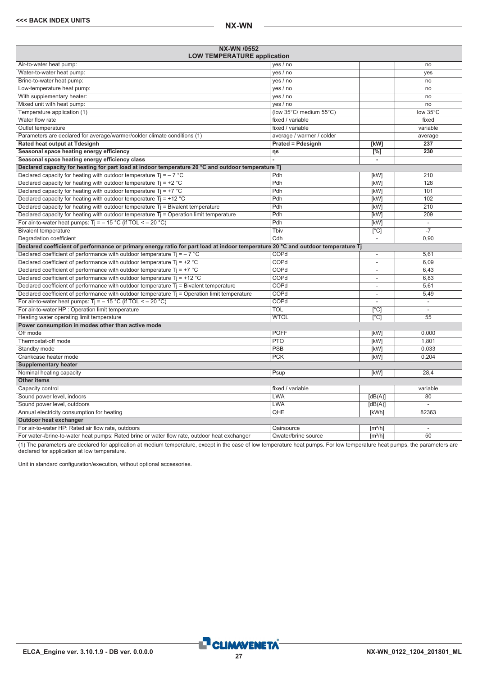<span id="page-26-0"></span>

| <b>NX-WN /0552</b><br><b>LOW TEMPERATURE application</b>                                                                         |                           |                              |                          |
|----------------------------------------------------------------------------------------------------------------------------------|---------------------------|------------------------------|--------------------------|
| Air-to-water heat pump:                                                                                                          | yes / no                  |                              | no                       |
| Water-to-water heat pump:                                                                                                        | yes / no                  |                              | ves                      |
| Brine-to-water heat pump:                                                                                                        | yes / no                  |                              | no                       |
| Low-temperature heat pump:                                                                                                       | yes / no                  |                              | no                       |
| With supplementary heater:                                                                                                       | yes / no                  |                              | no                       |
| Mixed unit with heat pump:                                                                                                       | yes / no                  |                              | no                       |
| Temperature application (1)                                                                                                      | (low 35°C/ medium 55°C)   |                              | low 35°C                 |
| Water flow rate                                                                                                                  | fixed / variable          |                              | fixed                    |
| Outlet temperature                                                                                                               | fixed / variable          |                              | variable                 |
| Parameters are declared for average/warmer/colder climate conditions (1)                                                         | average / warmer / colder |                              | average                  |
| Rated heat output at Tdesignh                                                                                                    | <b>Prated = Pdesignh</b>  | [kW]                         | 237                      |
| Seasonal space heating energy efficiency                                                                                         | ηs                        | $[\%]$                       | 230                      |
| Seasonal space heating energy efficiency class                                                                                   |                           | ä,                           |                          |
| Declared capacity for heating for part load at indoor temperature 20 °C and outdoor temperature Tj                               |                           |                              |                          |
| Declared capacity for heating with outdoor temperature Ti = $-7$ °C                                                              | Pdh                       | [kW]                         | 210                      |
| Declared capacity for heating with outdoor temperature $Ti = +2 °C$                                                              | Pdh                       | [kW]                         | 128                      |
| Declared capacity for heating with outdoor temperature Tj = $+7$ °C                                                              | Pdh                       | [kW]                         | 101                      |
| Declared capacity for heating with outdoor temperature $Ti = +12 °C$                                                             | Pdh                       | [kW]                         | 102                      |
| Declared capacity for heating with outdoor temperature $Tj = B$ ivalent temperature                                              | Pdh                       | [kW]                         | $\overline{210}$         |
| Declared capacity for heating with outdoor temperature $Tj =$ Operation limit temperature                                        | Pdh                       | [kW]                         | 209                      |
| For air-to-water heat pumps: $Ti = -15 °C$ (if TOL < - 20 °C)                                                                    | Pdh                       | [kW]                         | L.                       |
| <b>Bivalent temperature</b>                                                                                                      | Tbiv                      | $\overline{[}^{\circ}C]$     | $-7$                     |
| Degradation coefficient                                                                                                          | $\overline{\text{Cdh}}$   | $\overline{\phantom{a}}$     | 0,90                     |
| Declared coefficient of performance or primary energy ratio for part load at indoor temperature 20 °C and outdoor temperature Tj |                           |                              |                          |
| Declared coefficient of performance with outdoor temperature $Ti = -7$ °C                                                        | COPd                      | ÷,                           | 5,61                     |
| Declared coefficient of performance with outdoor temperature $Tj = +2$ °C                                                        | COPd                      | ä,                           | 6.09                     |
| Declared coefficient of performance with outdoor temperature $Ti = +7$ °C                                                        | COPd                      | ä,                           | 6.43                     |
| Declared coefficient of performance with outdoor temperature $Ti = +12 °C$                                                       | COPd                      | ٠                            | 6,83                     |
| Declared coefficient of performance with outdoor temperature $Tj$ = Bivalent temperature                                         | COPd                      | $\overline{\phantom{a}}$     | 5,61                     |
| Declared coefficient of performance with outdoor temperature Tj = Operation limit temperature                                    | COPd                      | $\overline{a}$               | 5,49                     |
| For air-to-water heat pumps: $Ti = -15 °C$ (if TOL < - 20 °C)                                                                    | COPd                      |                              | $\overline{\phantom{a}}$ |
| For air-to-water HP : Operation limit temperature                                                                                | <b>TOL</b>                | [°C]                         |                          |
| Heating water operating limit temperature                                                                                        | <b>WTOL</b>               | [°C]                         | $\overline{55}$          |
| Power consumption in modes other than active mode                                                                                |                           |                              |                          |
| Off mode                                                                                                                         | <b>POFF</b>               | [kW]                         | 0.000                    |
| Thermostat-off mode                                                                                                              | <b>PTO</b>                | [kW]                         | 1.801                    |
| Standby mode                                                                                                                     | PSB                       | [kW]                         | 0.033                    |
| Crankcase heater mode                                                                                                            | <b>PCK</b>                | [kW]                         | 0,204                    |
| <b>Supplementary heater</b>                                                                                                      |                           |                              |                          |
| Nominal heating capacity                                                                                                         | Psup                      | [kW]                         | 28.4                     |
| <b>Other items</b>                                                                                                               |                           |                              |                          |
| Capacity control                                                                                                                 | fixed / variable          |                              | variable                 |
| Sound power level, indoors                                                                                                       | <b>LWA</b>                | [dB(A)]                      | 80                       |
| Sound power level, outdoors                                                                                                      | <b>LWA</b>                | [dB(A)]                      |                          |
| Annual electricity consumption for heating                                                                                       | QHE                       | [kWh]                        | 82363                    |
| Outdoor heat exchanger                                                                                                           |                           |                              |                          |
| For air-to-water HP: Rated air flow rate, outdoors                                                                               | Qairsource                | [m <sup>3</sup> /h]          | $\overline{\phantom{a}}$ |
| For water-/brine-to-water heat pumps: Rated brine or water flow rate, outdoor heat exchanger                                     | Qwater/brine source       | $\left[\frac{m^3}{h}\right]$ | $\overline{50}$          |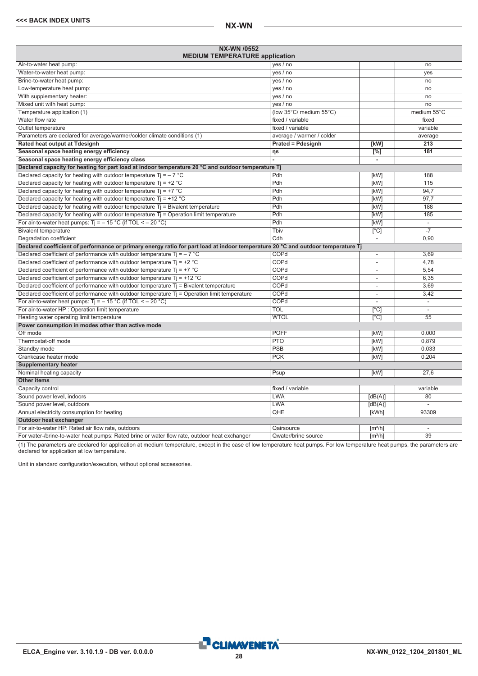| NX-WN /0552<br><b>MEDIUM TEMPERATURE application</b>                                                                             |                           |                              |                          |
|----------------------------------------------------------------------------------------------------------------------------------|---------------------------|------------------------------|--------------------------|
| Air-to-water heat pump:                                                                                                          | yes / no                  |                              | no                       |
| Water-to-water heat pump:                                                                                                        | yes / no                  |                              | yes                      |
| Brine-to-water heat pump:                                                                                                        | yes / no                  |                              | no                       |
| Low-temperature heat pump:                                                                                                       | yes / no                  |                              | no                       |
| With supplementary heater:                                                                                                       | yes / no                  |                              | no                       |
| Mixed unit with heat pump:                                                                                                       | yes / no                  |                              | no                       |
| Temperature application (1)                                                                                                      | (low 35°C/ medium 55°C)   |                              | medium 55°C              |
| Water flow rate                                                                                                                  | fixed / variable          |                              | fixed                    |
| Outlet temperature                                                                                                               | fixed / variable          |                              | variable                 |
| Parameters are declared for average/warmer/colder climate conditions (1)                                                         | average / warmer / colder |                              | average                  |
| Rated heat output at Tdesignh                                                                                                    | <b>Prated = Pdesignh</b>  | [kW]                         | 213                      |
| Seasonal space heating energy efficiency                                                                                         | ηs                        | $\overline{[%]}$             | 181                      |
| Seasonal space heating energy efficiency class                                                                                   |                           | ÷.                           |                          |
| Declared capacity for heating for part load at indoor temperature 20 °C and outdoor temperature Tj                               |                           |                              |                          |
| Declared capacity for heating with outdoor temperature Ti = $-7$ °C                                                              | Pdh                       | [kW]                         | 188                      |
| Declared capacity for heating with outdoor temperature $Ti = +2$ °C                                                              | Pdh                       | [kW]                         | 115                      |
| Declared capacity for heating with outdoor temperature $Tj = +7$ °C                                                              | Pdh                       | <b>[kW]</b>                  | 94.7                     |
| Declared capacity for heating with outdoor temperature $Ti = +12 °C$                                                             | Pdh                       | [kW]                         | 97,7                     |
| Declared capacity for heating with outdoor temperature Tj = Bivalent temperature                                                 | Pdh                       | [kW]                         | 188                      |
| Declared capacity for heating with outdoor temperature $Ti =$ Operation limit temperature                                        | Pdh                       | [kW]                         | 185                      |
| For air-to-water heat pumps: $Ti = -15 °C$ (if TOL < - 20 °C)                                                                    | Pdh                       | [kW]                         | ÷,                       |
| <b>Bivalent temperature</b>                                                                                                      | Tbiv                      | $\overline{[}^{\circ}C]$     | $-7$                     |
| Degradation coefficient                                                                                                          | Cdh                       | $\overline{\phantom{a}}$     | 0,90                     |
| Declared coefficient of performance or primary energy ratio for part load at indoor temperature 20 °C and outdoor temperature Tj |                           |                              |                          |
| Declared coefficient of performance with outdoor temperature $Ti = -7$ °C                                                        | COPd                      | ÷,                           | 3,69                     |
| Declared coefficient of performance with outdoor temperature $Tj = +2 °C$                                                        | COPd                      |                              | 4.78                     |
| Declared coefficient of performance with outdoor temperature $Ti = +7$ °C                                                        | COPd                      | $\overline{\phantom{a}}$     | 5,54                     |
| Declared coefficient of performance with outdoor temperature $Ti = +12$ °C                                                       | COPd                      |                              | 6,35                     |
| Declared coefficient of performance with outdoor temperature $Tj$ = Bivalent temperature                                         | COPd                      | $\overline{\phantom{a}}$     | 3,69                     |
| Declared coefficient of performance with outdoor temperature Tj = Operation limit temperature                                    | COPd                      |                              | 3,42                     |
| For air-to-water heat pumps: $Ti = -15 °C$ (if TOL < - 20 °C)                                                                    | COPd                      |                              | $\overline{\phantom{a}}$ |
| For air-to-water HP : Operation limit temperature                                                                                | <b>TOL</b>                | $\lceil$ °C]                 |                          |
| Heating water operating limit temperature                                                                                        | <b>WTOL</b>               | $\lceil$ °C]                 | 55                       |
| Power consumption in modes other than active mode                                                                                |                           |                              |                          |
| Off mode                                                                                                                         | <b>POFF</b>               | [kW]                         | 0.000                    |
| Thermostat-off mode                                                                                                              | <b>PTO</b>                | [kW]                         | 0.879                    |
| Standby mode                                                                                                                     | PSB                       | [kW]                         | 0.033                    |
| Crankcase heater mode                                                                                                            | <b>PCK</b>                | [kW]                         | 0,204                    |
| <b>Supplementary heater</b>                                                                                                      |                           |                              |                          |
| Nominal heating capacity                                                                                                         | Psup                      | [kW]                         | 27.6                     |
| <b>Other items</b>                                                                                                               |                           |                              |                          |
| Capacity control                                                                                                                 | fixed / variable          |                              | variable                 |
| Sound power level, indoors                                                                                                       | <b>LWA</b>                | [dB(A)]                      | 80                       |
| Sound power level, outdoors                                                                                                      | <b>LWA</b>                | [dB(A)]                      |                          |
| Annual electricity consumption for heating                                                                                       | QHE                       | [kWh]                        | 93309                    |
| Outdoor heat exchanger                                                                                                           |                           |                              |                          |
| For air-to-water HP: Rated air flow rate, outdoors                                                                               | Qairsource                | $\lceil m^3/h \rceil$        | $\sim$                   |
| For water-/brine-to-water heat pumps: Rated brine or water flow rate, outdoor heat exchanger                                     | Qwater/brine source       | $\left[\frac{m^3}{h}\right]$ | $\overline{39}$          |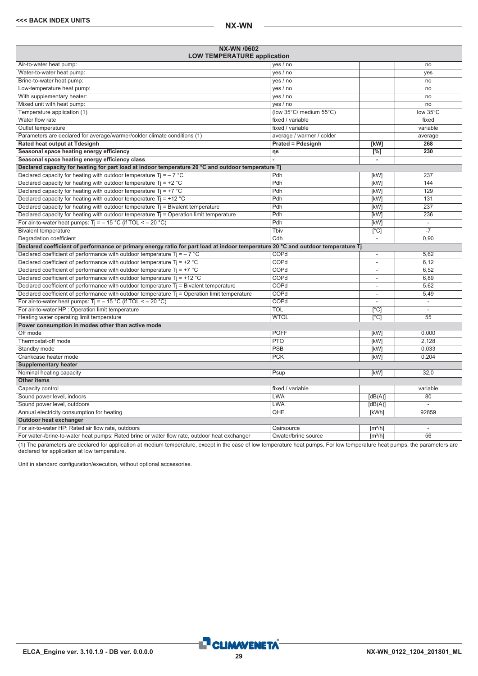<span id="page-28-0"></span>

| <b>NX-WN /0602</b><br><b>LOW TEMPERATURE application</b>                                                                         |                           |                              |                          |
|----------------------------------------------------------------------------------------------------------------------------------|---------------------------|------------------------------|--------------------------|
| Air-to-water heat pump:                                                                                                          | yes / no                  |                              | no                       |
| Water-to-water heat pump:                                                                                                        | yes / no                  |                              | ves                      |
| Brine-to-water heat pump:                                                                                                        | yes / no                  |                              | no                       |
| Low-temperature heat pump:                                                                                                       | yes / no                  |                              | no                       |
| With supplementary heater:                                                                                                       | yes / no                  |                              | no                       |
| Mixed unit with heat pump:                                                                                                       | yes / no                  |                              | no                       |
| Temperature application (1)                                                                                                      | (low 35°C/ medium 55°C)   |                              | low 35°C                 |
| Water flow rate                                                                                                                  | fixed / variable          |                              | fixed                    |
| Outlet temperature                                                                                                               | fixed / variable          |                              | variable                 |
| Parameters are declared for average/warmer/colder climate conditions (1)                                                         | average / warmer / colder |                              | average                  |
| Rated heat output at Tdesignh                                                                                                    | <b>Prated = Pdesignh</b>  | [kW]                         | 268                      |
| Seasonal space heating energy efficiency                                                                                         | ηs                        | $[\%]$                       | 230                      |
| Seasonal space heating energy efficiency class                                                                                   |                           | ä,                           |                          |
| Declared capacity for heating for part load at indoor temperature 20 °C and outdoor temperature Tj                               |                           |                              |                          |
| Declared capacity for heating with outdoor temperature Ti = $-7$ °C                                                              | Pdh                       | [kW]                         | 237                      |
| Declared capacity for heating with outdoor temperature $Ti = +2 °C$                                                              | Pdh                       | [kW]                         | 144                      |
| Declared capacity for heating with outdoor temperature Tj = $+7$ °C                                                              | Pdh                       | [kW]                         | $\overline{129}$         |
| Declared capacity for heating with outdoor temperature $Ti = +12 °C$                                                             | Pdh                       | [kW]                         | 131                      |
| Declared capacity for heating with outdoor temperature $Tj = B$ ivalent temperature                                              | Pdh                       | [kW]                         | 237                      |
| Declared capacity for heating with outdoor temperature $Tj =$ Operation limit temperature                                        | Pdh                       | [kW]                         | 236                      |
| For air-to-water heat pumps: $Ti = -15 °C$ (if TOL < - 20 °C)                                                                    | Pdh                       | [kW]                         | L.                       |
| <b>Bivalent temperature</b>                                                                                                      | Tbiv                      | $\overline{[}^{\circ}C]$     | $-7$                     |
| Degradation coefficient                                                                                                          | $\overline{\text{Cdh}}$   | $\overline{\phantom{a}}$     | 0,90                     |
| Declared coefficient of performance or primary energy ratio for part load at indoor temperature 20 °C and outdoor temperature Tj |                           |                              |                          |
| Declared coefficient of performance with outdoor temperature $Ti = -7$ °C                                                        | COPd                      | ÷,                           | 5,62                     |
| Declared coefficient of performance with outdoor temperature $Tj = +2$ °C                                                        | COPd                      | ä,                           | 6,12                     |
| Declared coefficient of performance with outdoor temperature $Ti = +7$ °C                                                        | COPd                      | ä,                           | 6.52                     |
| Declared coefficient of performance with outdoor temperature $Ti = +12 °C$                                                       | COPd                      | ٠                            | 6,89                     |
| Declared coefficient of performance with outdoor temperature $Tj$ = Bivalent temperature                                         | COPd                      | $\overline{\phantom{a}}$     | 5,62                     |
| Declared coefficient of performance with outdoor temperature Tj = Operation limit temperature                                    | COPd                      | $\overline{a}$               | 5,49                     |
| For air-to-water heat pumps: $Ti = -15 °C$ (if TOL < - 20 °C)                                                                    | COPd                      |                              | $\overline{\phantom{a}}$ |
| For air-to-water HP : Operation limit temperature                                                                                | <b>TOL</b>                | [°C]                         |                          |
| Heating water operating limit temperature                                                                                        | <b>WTOL</b>               | [°C]                         | $\overline{55}$          |
| Power consumption in modes other than active mode                                                                                |                           |                              |                          |
| Off mode                                                                                                                         | <b>POFF</b>               | [kW]                         | 0.000                    |
| Thermostat-off mode                                                                                                              | <b>PTO</b>                | [kW]                         | 2.128                    |
| Standby mode                                                                                                                     | PSB                       | [kW]                         | 0.033                    |
| Crankcase heater mode                                                                                                            | <b>PCK</b>                | [kW]                         | 0,204                    |
| <b>Supplementary heater</b>                                                                                                      |                           |                              |                          |
| Nominal heating capacity                                                                                                         | Psup                      | [kW]                         | 32.0                     |
| <b>Other items</b>                                                                                                               |                           |                              |                          |
| Capacity control                                                                                                                 | fixed / variable          |                              | variable                 |
| Sound power level, indoors                                                                                                       | <b>LWA</b>                | [dB(A)]                      | 80                       |
| Sound power level, outdoors                                                                                                      | <b>LWA</b>                | [dB(A)]                      |                          |
| Annual electricity consumption for heating                                                                                       | QHE                       | [kWh]                        | 92859                    |
| Outdoor heat exchanger                                                                                                           |                           |                              |                          |
| For air-to-water HP: Rated air flow rate, outdoors                                                                               | Qairsource                | [m <sup>3</sup> /h]          | $\overline{\phantom{a}}$ |
| For water-/brine-to-water heat pumps: Rated brine or water flow rate, outdoor heat exchanger                                     | Qwater/brine source       | $\left[\frac{m^3}{h}\right]$ | $\overline{56}$          |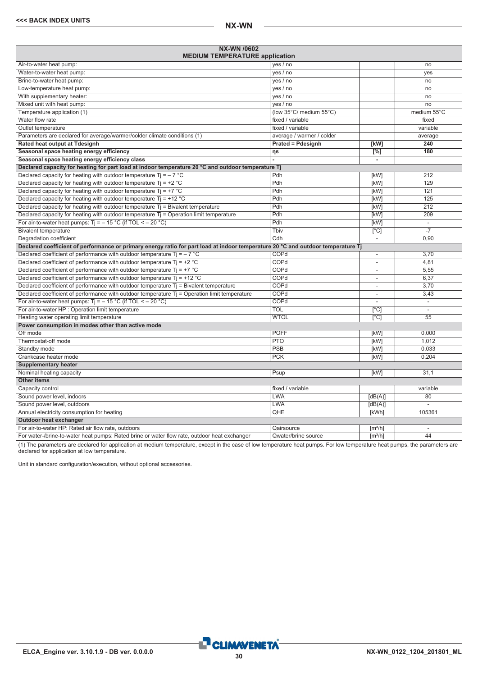| <b>NX-WN /0602</b><br><b>MEDIUM TEMPERATURE application</b>                                                                      |                           |                          |                             |
|----------------------------------------------------------------------------------------------------------------------------------|---------------------------|--------------------------|-----------------------------|
| Air-to-water heat pump:                                                                                                          | yes / no                  |                          | no                          |
| Water-to-water heat pump:                                                                                                        | yes / no                  |                          | yes                         |
| Brine-to-water heat pump:                                                                                                        | yes / no                  |                          | no                          |
| Low-temperature heat pump:                                                                                                       | yes / no                  |                          | no                          |
| With supplementary heater:                                                                                                       | yes / no                  |                          | no                          |
| Mixed unit with heat pump:                                                                                                       | yes / no                  |                          | no                          |
| Temperature application (1)                                                                                                      | (low 35°C/ medium 55°C)   |                          | medium 55°C                 |
| Water flow rate                                                                                                                  | fixed / variable          |                          | fixed                       |
| Outlet temperature                                                                                                               | fixed / variable          |                          | variable                    |
| Parameters are declared for average/warmer/colder climate conditions (1)                                                         | average / warmer / colder |                          | average                     |
| Rated heat output at Tdesignh                                                                                                    | <b>Prated = Pdesignh</b>  | [kW]                     | 240                         |
| Seasonal space heating energy efficiency                                                                                         | ηs                        | $[^{\%}]$                | 180                         |
| Seasonal space heating energy efficiency class                                                                                   |                           | $\blacksquare$           |                             |
| Declared capacity for heating for part load at indoor temperature 20 °C and outdoor temperature Tj                               |                           |                          |                             |
| Declared capacity for heating with outdoor temperature Ti = $-7$ °C                                                              | Pdh                       | [kW]                     | 212                         |
| Declared capacity for heating with outdoor temperature $Ti = +2 °C$                                                              | Pdh                       | [kW]                     | 129                         |
| Declared capacity for heating with outdoor temperature $Tj = +7$ °C                                                              | Pdh                       | [kW]                     | 121                         |
| Declared capacity for heating with outdoor temperature $Ti = +12 °C$                                                             | Pdh                       | [kW]                     | 125                         |
| Declared capacity for heating with outdoor temperature $T_i$ = Bivalent temperature                                              | Pdh                       | [kW]                     | 212                         |
| Declared capacity for heating with outdoor temperature $Tj =$ Operation limit temperature                                        | Pdh                       | [kW]                     | 209                         |
| For air-to-water heat pumps: $Ti = -15 °C$ (if TOL < - 20 °C)                                                                    | Pdh                       | [kW]                     | $\mathcal{L}_{\mathcal{A}}$ |
| <b>Bivalent temperature</b>                                                                                                      | Tbiv                      | $\lceil$ °C]             | $-7$                        |
| Degradation coefficient                                                                                                          | Cdh                       | $\overline{\phantom{a}}$ | 0.90                        |
| Declared coefficient of performance or primary energy ratio for part load at indoor temperature 20 °C and outdoor temperature Tj |                           |                          |                             |
| Declared coefficient of performance with outdoor temperature Tj = $-7$ °C                                                        | COPd                      | $\sim$                   | 3,70                        |
| Declared coefficient of performance with outdoor temperature $Ti = +2$ °C                                                        | COPd                      | $\overline{\phantom{a}}$ | 4,81                        |
| Declared coefficient of performance with outdoor temperature $Ti = +7$ °C                                                        | COPd                      | $\sim$                   | 5,55                        |
| Declared coefficient of performance with outdoor temperature $Ti = +12 °C$                                                       | COPd                      | $\overline{\phantom{a}}$ | 6.37                        |
| Declared coefficient of performance with outdoor temperature $Tj$ = Bivalent temperature                                         | COPd                      | $\overline{a}$           | 3.70                        |
| Declared coefficient of performance with outdoor temperature $Tj =$ Operation limit temperature                                  | COPd                      | $\overline{\phantom{a}}$ | 3,43                        |
| For air-to-water heat pumps: $Ti = -15 °C$ (if TOL < - 20 °C)                                                                    | COPd                      | $\sim$                   | τ                           |
| For air-to-water HP : Operation limit temperature                                                                                | <b>TOL</b>                | $\lceil$ °C]             | $\sim$                      |
| Heating water operating limit temperature                                                                                        | <b>WTOL</b>               | $\sqrt{C}$               | 55                          |
| Power consumption in modes other than active mode                                                                                |                           |                          |                             |
| Off mode                                                                                                                         | <b>POFF</b>               | [kW]                     | 0.000                       |
| Thermostat-off mode                                                                                                              | <b>PTO</b>                | [kW]                     | 1.012                       |
| Standby mode                                                                                                                     | <b>PSB</b>                | [kW]                     | 0.033                       |
| Crankcase heater mode                                                                                                            | <b>PCK</b>                | [kW]                     | 0.204                       |
| <b>Supplementary heater</b>                                                                                                      |                           |                          |                             |
| Nominal heating capacity                                                                                                         | Psup                      | [kW]                     | 31.1                        |
| <b>Other items</b>                                                                                                               |                           |                          |                             |
| Capacity control                                                                                                                 | fixed / variable          |                          | variable                    |
| Sound power level, indoors                                                                                                       | LWA                       | [dB(A)]                  | 80                          |
| Sound power level, outdoors                                                                                                      | <b>LWA</b>                | [dB(A)]                  | $\overline{a}$              |
| Annual electricity consumption for heating                                                                                       | QHE                       | [kWh]                    | 105361                      |
| Outdoor heat exchanger                                                                                                           |                           |                          |                             |
| For air-to-water HP: Rated air flow rate, outdoors                                                                               | Qairsource                | $\lceil m^3/h \rceil$    | ÷                           |
| For water-/brine-to-water heat pumps: Rated brine or water flow rate, outdoor heat exchanger                                     | Qwater/brine source       | $\lceil m^3/h \rceil$    | 44                          |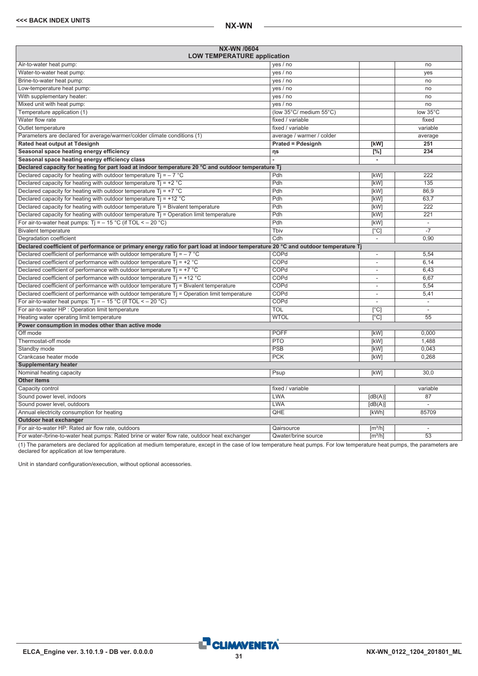<span id="page-30-0"></span>

| NX-WN /0604<br><b>LOW TEMPERATURE application</b>                                                                                |                           |                              |                          |
|----------------------------------------------------------------------------------------------------------------------------------|---------------------------|------------------------------|--------------------------|
| Air-to-water heat pump:                                                                                                          | yes / no                  |                              | no                       |
| Water-to-water heat pump:                                                                                                        | yes / no                  |                              | ves                      |
| Brine-to-water heat pump:                                                                                                        | yes / no                  |                              | no                       |
| Low-temperature heat pump:                                                                                                       | yes / no                  |                              | no                       |
| With supplementary heater:                                                                                                       | yes / no                  |                              | no                       |
| Mixed unit with heat pump:                                                                                                       | yes / no                  |                              | no                       |
| Temperature application (1)                                                                                                      | (low 35°C/ medium 55°C)   |                              | low 35°C                 |
| Water flow rate                                                                                                                  | fixed / variable          |                              | fixed                    |
| Outlet temperature                                                                                                               | fixed / variable          |                              | variable                 |
| Parameters are declared for average/warmer/colder climate conditions (1)                                                         | average / warmer / colder |                              | average                  |
| Rated heat output at Tdesignh                                                                                                    | <b>Prated = Pdesignh</b>  | [kW]                         | 251                      |
| Seasonal space heating energy efficiency                                                                                         | ηs                        | $[\%]$                       | 234                      |
| Seasonal space heating energy efficiency class                                                                                   |                           | $\overline{\phantom{a}}$     |                          |
| Declared capacity for heating for part load at indoor temperature 20 °C and outdoor temperature Tj                               |                           |                              |                          |
| Declared capacity for heating with outdoor temperature $Ti = -7$ °C                                                              | Pdh                       | [kW]                         | 222                      |
| Declared capacity for heating with outdoor temperature $Ti = +2$ °C                                                              | Pdh                       | [kW]                         | 135                      |
| Declared capacity for heating with outdoor temperature Tj = $+7$ °C                                                              | Pdh                       | [kW]                         | 86.9                     |
| Declared capacity for heating with outdoor temperature $Ti = +12 °C$                                                             | Pdh                       | [kW]                         | 63,7                     |
| Declared capacity for heating with outdoor temperature $Tj = Bivalent$ temperature                                               | Pdh                       | [kW]                         | $\overline{222}$         |
| Declared capacity for heating with outdoor temperature $T_i$ = Operation limit temperature                                       | Pdh                       | [kW]                         | 221                      |
| For air-to-water heat pumps: $Ti = -15 °C$ (if TOL < - 20 °C)                                                                    | Pdh                       | [kW]                         | ÷,                       |
| <b>Bivalent temperature</b>                                                                                                      | Tbiv                      | $\overline{[}^{\circ}C]$     | $-7$                     |
| Degradation coefficient                                                                                                          | Cdh                       | $\overline{\phantom{a}}$     | 0,90                     |
| Declared coefficient of performance or primary energy ratio for part load at indoor temperature 20 °C and outdoor temperature Tj |                           |                              |                          |
| Declared coefficient of performance with outdoor temperature $Ti = -7$ °C                                                        | COPd                      | $\overline{\phantom{a}}$     | 5,54                     |
| Declared coefficient of performance with outdoor temperature $Tj = +2$ °C                                                        | COPd                      | L,                           | 6,14                     |
| Declared coefficient of performance with outdoor temperature $Ti = +7$ °C                                                        | COPd                      | L,                           | 6.43                     |
| Declared coefficient of performance with outdoor temperature $Ti = +12 °C$                                                       | COPd                      | ٠                            | 6,67                     |
| Declared coefficient of performance with outdoor temperature $Tj$ = Bivalent temperature                                         | COPd                      | $\overline{\phantom{a}}$     | 5,54                     |
| Declared coefficient of performance with outdoor temperature T <sub>j</sub> = Operation limit temperature                        | COPd                      | L,                           | 5,41                     |
| For air-to-water heat pumps: $Ti = -15 °C$ (if TOL < - 20 °C)                                                                    | COPd                      | ÷,                           | $\overline{\phantom{a}}$ |
| For air-to-water HP : Operation limit temperature                                                                                | TOL                       | [°C]                         |                          |
| Heating water operating limit temperature                                                                                        | <b>WTOL</b>               | $\lceil$ °C]                 | $\overline{55}$          |
| Power consumption in modes other than active mode                                                                                |                           |                              |                          |
| Off mode                                                                                                                         | <b>POFF</b>               | [kW]                         | 0.000                    |
| Thermostat-off mode                                                                                                              | PTO                       | [kW]                         | 1.488                    |
| Standby mode                                                                                                                     | PSB                       | [kW]                         | 0.043                    |
| Crankcase heater mode                                                                                                            | <b>PCK</b>                | [kW]                         | 0,268                    |
| <b>Supplementary heater</b>                                                                                                      |                           |                              |                          |
| Nominal heating capacity                                                                                                         | Psup                      | [kW]                         | 30.0                     |
| <b>Other items</b>                                                                                                               |                           |                              |                          |
| Capacity control                                                                                                                 | fixed / variable          |                              | variable                 |
| Sound power level, indoors                                                                                                       | LWA                       | [dB(A)]                      | 87                       |
| Sound power level, outdoors                                                                                                      | LWA                       | [dB(A)]                      |                          |
| Annual electricity consumption for heating                                                                                       | QHE                       | [kWh]                        | 85709                    |
| Outdoor heat exchanger                                                                                                           |                           |                              |                          |
| For air-to-water HP: Rated air flow rate, outdoors                                                                               | Qairsource                | [m <sup>3</sup> /h]          | $\overline{\phantom{a}}$ |
| For water-/brine-to-water heat pumps: Rated brine or water flow rate, outdoor heat exchanger                                     | Qwater/brine source       | $\left[\frac{m^3}{h}\right]$ | $\overline{53}$          |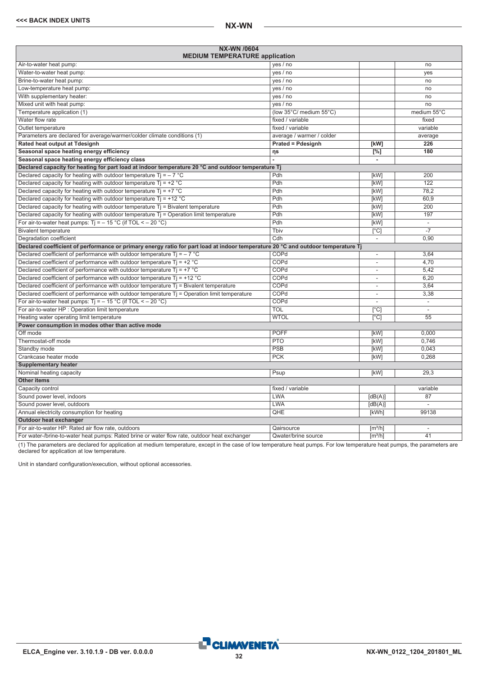| NX-WN /0604<br><b>MEDIUM TEMPERATURE application</b>                                                                             |                           |                              |                  |
|----------------------------------------------------------------------------------------------------------------------------------|---------------------------|------------------------------|------------------|
| Air-to-water heat pump:                                                                                                          | yes / no                  |                              | no               |
| Water-to-water heat pump:                                                                                                        | yes / no                  |                              | yes              |
| Brine-to-water heat pump:                                                                                                        | yes / no                  |                              | no               |
| Low-temperature heat pump:                                                                                                       | yes / no                  |                              | no               |
| With supplementary heater:                                                                                                       | yes / no                  |                              | no               |
| Mixed unit with heat pump:                                                                                                       | yes / no                  |                              | no               |
| Temperature application (1)                                                                                                      | (low 35°C/ medium 55°C)   |                              | medium 55°C      |
| Water flow rate                                                                                                                  | fixed / variable          |                              | fixed            |
| Outlet temperature                                                                                                               | fixed / variable          |                              | variable         |
| Parameters are declared for average/warmer/colder climate conditions (1)                                                         | average / warmer / colder |                              | average          |
| Rated heat output at Tdesignh                                                                                                    | <b>Prated = Pdesignh</b>  | [kW]                         | $\overline{226}$ |
| Seasonal space heating energy efficiency                                                                                         | ηs                        | $\sqrt{8}$                   | 180              |
| Seasonal space heating energy efficiency class                                                                                   |                           | $\blacksquare$               |                  |
| Declared capacity for heating for part load at indoor temperature 20 °C and outdoor temperature Tj                               |                           |                              |                  |
| Declared capacity for heating with outdoor temperature $Ti = -7$ °C                                                              | Pdh                       | [kW]                         | 200              |
| Declared capacity for heating with outdoor temperature $Ti = +2$ °C                                                              | Pdh                       | [kW]                         | $\overline{122}$ |
| Declared capacity for heating with outdoor temperature $Tj = +7$ °C                                                              | Pdh                       | [kW]                         | 78.2             |
| Declared capacity for heating with outdoor temperature $Ti = +12 °C$                                                             | Pdh                       | [kW]                         | 60,9             |
| Declared capacity for heating with outdoor temperature $T_i$ = Bivalent temperature                                              | Pdh                       | [kW]                         | 200              |
| Declared capacity for heating with outdoor temperature $Tj =$ Operation limit temperature                                        | Pdh                       | [kW]                         | 197              |
| For air-to-water heat pumps: $Ti = -15 °C$ (if TOL < - 20 °C)                                                                    | Pdh                       | [kW]                         | $\sim$           |
| <b>Bivalent temperature</b>                                                                                                      | Tbiv                      | $\lceil$ °C                  | $\overline{-7}$  |
| Degradation coefficient                                                                                                          | Cdh                       | $\overline{\phantom{a}}$     | 0,90             |
| Declared coefficient of performance or primary energy ratio for part load at indoor temperature 20 °C and outdoor temperature Tj |                           |                              |                  |
| Declared coefficient of performance with outdoor temperature Tj = $-7$ °C                                                        | COPd                      | $\overline{\phantom{a}}$     | 3,64             |
| Declared coefficient of performance with outdoor temperature $Ti = +2 °C$                                                        | COPd                      | $\overline{\phantom{a}}$     | 4,70             |
| Declared coefficient of performance with outdoor temperature $Ti = +7$ °C                                                        | COPd                      | $\overline{\phantom{a}}$     | 5,42             |
| Declared coefficient of performance with outdoor temperature $Ti = +12$ °C                                                       | COPd                      | L,                           | 6.20             |
| Declared coefficient of performance with outdoor temperature $Tj$ = Bivalent temperature                                         | COPd                      | L.                           | 3.64             |
| Declared coefficient of performance with outdoor temperature $Tj =$ Operation limit temperature                                  | COPd                      | $\overline{\phantom{a}}$     | 3,38             |
| For air-to-water heat pumps: $Ti = -15 °C$ (if TOL < - 20 °C)                                                                    | COPd                      | $\overline{\phantom{a}}$     | Ξ                |
| For air-to-water HP : Operation limit temperature                                                                                | <b>TOL</b>                | $\lceil$ °C]                 | $\sim$           |
| Heating water operating limit temperature                                                                                        | <b>WTOL</b>               | $\overline{C}$               | $\overline{55}$  |
| Power consumption in modes other than active mode                                                                                |                           |                              |                  |
| Off mode                                                                                                                         | <b>POFF</b>               | [kW]                         | 0.000            |
| Thermostat-off mode                                                                                                              | <b>PTO</b>                | [kW]                         | 0,746            |
| Standby mode                                                                                                                     | <b>PSB</b>                | [kW]                         | 0.043            |
| Crankcase heater mode                                                                                                            | <b>PCK</b>                | [kW]                         | 0.268            |
| <b>Supplementary heater</b>                                                                                                      |                           |                              |                  |
| Nominal heating capacity                                                                                                         | Psup                      | [kW]                         | 29.3             |
| <b>Other items</b>                                                                                                               |                           |                              |                  |
| Capacity control                                                                                                                 | fixed / variable          |                              | variable         |
| Sound power level, indoors                                                                                                       | <b>LWA</b>                | [dB(A)]                      | 87               |
| Sound power level, outdoors                                                                                                      | <b>LWA</b>                | [dB(A)]                      | $\overline{a}$   |
| Annual electricity consumption for heating                                                                                       | QHE                       | [kWh]                        | 99138            |
| Outdoor heat exchanger                                                                                                           |                           |                              |                  |
| For air-to-water HP: Rated air flow rate, outdoors                                                                               | Qairsource                | $\left[\frac{m^3}{h}\right]$ | $\overline{a}$   |
| For water-/brine-to-water heat pumps: Rated brine or water flow rate, outdoor heat exchanger                                     | Qwater/brine source       | $\lceil m^3/h \rceil$        | 41               |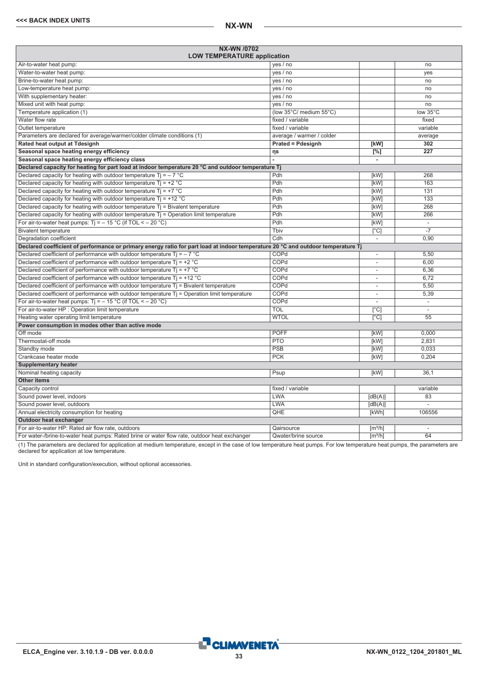<span id="page-32-0"></span>

| NX-WN /0702<br><b>LOW TEMPERATURE application</b>                                                                                |                           |                              |                          |
|----------------------------------------------------------------------------------------------------------------------------------|---------------------------|------------------------------|--------------------------|
| Air-to-water heat pump:                                                                                                          | yes / no                  |                              | no                       |
| Water-to-water heat pump:                                                                                                        | yes / no                  |                              | yes                      |
| Brine-to-water heat pump:                                                                                                        | yes / no                  |                              | no                       |
| Low-temperature heat pump:                                                                                                       | yes / no                  |                              | no                       |
| With supplementary heater:                                                                                                       | yes / no                  |                              | no                       |
| Mixed unit with heat pump:                                                                                                       | yes / no                  |                              | no                       |
| Temperature application (1)                                                                                                      | (low 35°C/ medium 55°C)   |                              | low 35°C                 |
| Water flow rate                                                                                                                  | fixed / variable          |                              | fixed                    |
| Outlet temperature                                                                                                               | fixed / variable          |                              | variable                 |
| Parameters are declared for average/warmer/colder climate conditions (1)                                                         | average / warmer / colder |                              | average                  |
| Rated heat output at Tdesignh                                                                                                    | <b>Prated = Pdesignh</b>  | [kW]                         | 302                      |
| Seasonal space heating energy efficiency                                                                                         | ηs                        | $[^{\circ}\!%]$              | $\overline{227}$         |
| Seasonal space heating energy efficiency class                                                                                   |                           | $\overline{\phantom{a}}$     |                          |
| Declared capacity for heating for part load at indoor temperature 20 °C and outdoor temperature Tj                               |                           |                              |                          |
| Declared capacity for heating with outdoor temperature $Ti = -7$ °C                                                              | Pdh                       | [kW]                         | 268                      |
| Declared capacity for heating with outdoor temperature $Ti = +2 °C$                                                              | Pdh                       | [kW]                         | 163                      |
| Declared capacity for heating with outdoor temperature $Ti = +7 °C$                                                              | Pdh                       | [kW]                         | 131                      |
| Declared capacity for heating with outdoor temperature $Ti = +12 °C$                                                             | Pdh                       | [kW]                         | 133                      |
| Declared capacity for heating with outdoor temperature $Tj = Bivalent$ temperature                                               | Pdh                       | [kW]                         | 268                      |
| Declared capacity for heating with outdoor temperature $Ti =$ Operation limit temperature                                        | Pdh                       | [kW]                         | 266                      |
| For air-to-water heat pumps: $Tj = -15 °C$ (if TOL < - 20 °C)                                                                    | Pdh                       | [kW]                         | $\overline{\phantom{a}}$ |
| <b>Bivalent temperature</b>                                                                                                      | Thiv                      | $\overline{[}^{\circ}C]$     |                          |
| Degradation coefficient                                                                                                          | Cdh                       | $\overline{\phantom{a}}$     | 0,90                     |
| Declared coefficient of performance or primary energy ratio for part load at indoor temperature 20 °C and outdoor temperature Tj |                           |                              |                          |
| Declared coefficient of performance with outdoor temperature $Ti = -7$ °C                                                        | COPd                      | $\overline{\phantom{a}}$     | 5,50                     |
| Declared coefficient of performance with outdoor temperature $Ti = +2 °C$                                                        | COPd                      | $\overline{\phantom{a}}$     | 6,00                     |
| Declared coefficient of performance with outdoor temperature $Ti = +7$ °C                                                        | COPd                      | $\overline{\phantom{a}}$     | 6,36                     |
| Declared coefficient of performance with outdoor temperature $Ti = +12 °C$                                                       | COPd                      | ٠                            | 6,72                     |
| Declared coefficient of performance with outdoor temperature $Tj$ = Bivalent temperature                                         | COPd                      | $\overline{\phantom{a}}$     | 5,50                     |
| Declared coefficient of performance with outdoor temperature T <sub>j</sub> = Operation limit temperature                        | COPd                      | $\overline{\phantom{a}}$     | 5,39                     |
| For air-to-water heat pumps: $Ti = -15 °C$ (if TOL < - 20 °C)                                                                    | COPd                      |                              | $\blacksquare$           |
| For air-to-water HP : Operation limit temperature                                                                                | <b>TOL</b>                | $\overline{[^{\circ}C]}$     | L.                       |
| Heating water operating limit temperature                                                                                        | <b>WTOL</b>               | $\lceil$ °Cl                 | $\overline{55}$          |
| Power consumption in modes other than active mode                                                                                |                           |                              |                          |
| Off mode                                                                                                                         | <b>POFF</b>               | [kW]                         | 0,000                    |
| Thermostat-off mode                                                                                                              | <b>PTO</b>                | [kW]                         | 2,831                    |
| Standby mode                                                                                                                     | PSB                       | [kW]                         | 0,033                    |
| Crankcase heater mode                                                                                                            | <b>PCK</b>                | [kW]                         | 0.204                    |
| <b>Supplementary heater</b>                                                                                                      |                           |                              |                          |
| Nominal heating capacity                                                                                                         | Psup                      | [kW]                         | 36,1                     |
| <b>Other items</b>                                                                                                               |                           |                              |                          |
| Capacity control                                                                                                                 | fixed / variable          |                              | variable                 |
| Sound power level, indoors                                                                                                       | <b>LWA</b>                | [dB(A)]                      | 83                       |
| Sound power level, outdoors                                                                                                      | <b>LWA</b>                | [dB(A)]                      |                          |
| Annual electricity consumption for heating                                                                                       | QHE                       | [kWh]                        | 106556                   |
| Outdoor heat exchanger                                                                                                           |                           |                              |                          |
| For air-to-water HP: Rated air flow rate, outdoors                                                                               | Qairsource                | $\left[\frac{m^3}{h}\right]$ | $\overline{\phantom{a}}$ |
| For water-/brine-to-water heat pumps: Rated brine or water flow rate, outdoor heat exchanger                                     | Qwater/brine source       | $\lceil m^3/h \rceil$        | $\overline{64}$          |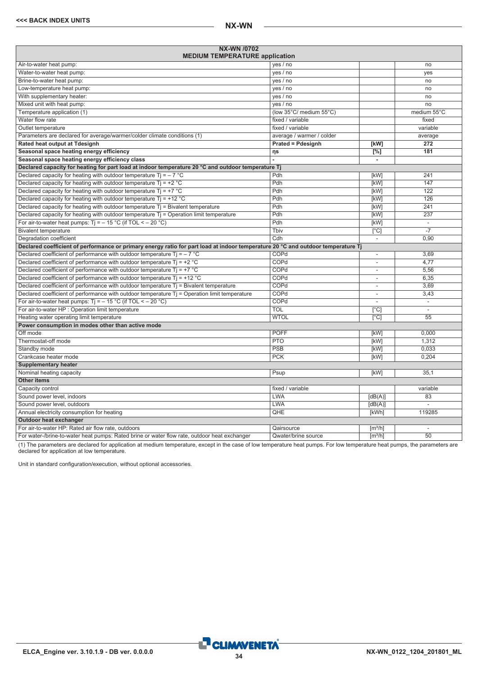| <b>NX-WN /0702</b><br><b>MEDIUM TEMPERATURE application</b>                                                                      |                           |                          |                          |
|----------------------------------------------------------------------------------------------------------------------------------|---------------------------|--------------------------|--------------------------|
| Air-to-water heat pump:                                                                                                          | yes / no                  |                          | no                       |
| Water-to-water heat pump:                                                                                                        | yes / no                  |                          | ves                      |
| Brine-to-water heat pump:                                                                                                        | yes / no                  |                          | no                       |
| Low-temperature heat pump:                                                                                                       | yes / no                  |                          | no                       |
| With supplementary heater:                                                                                                       | yes / no                  |                          | no                       |
| Mixed unit with heat pump:                                                                                                       | yes / no                  |                          | no                       |
| Temperature application (1)                                                                                                      | (low 35°C/ medium 55°C)   |                          | medium 55°C              |
| Water flow rate                                                                                                                  | fixed / variable          |                          | fixed                    |
| Outlet temperature                                                                                                               | fixed / variable          |                          | variable                 |
| Parameters are declared for average/warmer/colder climate conditions (1)                                                         | average / warmer / colder |                          | average                  |
| Rated heat output at Tdesignh                                                                                                    | <b>Prated = Pdesignh</b>  | [kW]                     | 272                      |
| Seasonal space heating energy efficiency                                                                                         | ηs                        | [%]                      | 181                      |
| Seasonal space heating energy efficiency class                                                                                   |                           | ä,                       |                          |
| Declared capacity for heating for part load at indoor temperature 20 °C and outdoor temperature Tj                               |                           |                          |                          |
| Declared capacity for heating with outdoor temperature Ti = $-7$ °C                                                              | Pdh                       | [kW]                     | 241                      |
| Declared capacity for heating with outdoor temperature $Ti = +2$ °C                                                              | Pdh                       | [kW]                     | 147                      |
| Declared capacity for heating with outdoor temperature $Ti = +7$ °C                                                              | Pdh                       | [kW]                     | 122                      |
| Declared capacity for heating with outdoor temperature $Ti = +12 °C$                                                             | Pdh                       | <b>[kW]</b>              | 126                      |
| Declared capacity for heating with outdoor temperature Tj = Bivalent temperature                                                 | Pdh                       | [kW]                     | 241                      |
| Declared capacity for heating with outdoor temperature $T_i$ = Operation limit temperature                                       | Pdh                       | [kW]                     | 237                      |
| For air-to-water heat pumps: $Ti = -15 °C$ (if TOL < - 20 °C)                                                                    | Pdh                       | [kW]                     | ÷,                       |
| <b>Bivalent temperature</b>                                                                                                      | Tbiv                      | $\overline{[}^{\circ}C]$ | $-7$                     |
| Degradation coefficient                                                                                                          | Cdh                       | $\overline{\phantom{a}}$ | 0,90                     |
| Declared coefficient of performance or primary energy ratio for part load at indoor temperature 20 °C and outdoor temperature Tj |                           |                          |                          |
| Declared coefficient of performance with outdoor temperature $Ti = -7$ °C                                                        | COPd                      | $\overline{\phantom{a}}$ | 3,69                     |
| Declared coefficient of performance with outdoor temperature $Tj = +2 °C$                                                        | COPd                      | ä,                       | 4,77                     |
| Declared coefficient of performance with outdoor temperature $Ti = +7$ °C                                                        | COPd                      | ä,                       | 5.56                     |
| Declared coefficient of performance with outdoor temperature $Ti = +12 °C$                                                       | COPd                      | ٠                        | 6,35                     |
| Declared coefficient of performance with outdoor temperature $Tj$ = Bivalent temperature                                         | COPd                      | $\overline{\phantom{a}}$ | 3,69                     |
| Declared coefficient of performance with outdoor temperature Tj = Operation limit temperature                                    | COPd                      | ä,                       | 3,43                     |
| For air-to-water heat pumps: $Ti = -15 °C$ (if TOL < - 20 °C)                                                                    | COPd                      | L,                       | $\overline{\phantom{a}}$ |
| For air-to-water HP : Operation limit temperature                                                                                | <b>TOL</b>                | [°C]                     |                          |
| Heating water operating limit temperature                                                                                        | <b>WTOL</b>               | $\overline{[°C]}$        | $\overline{55}$          |
| Power consumption in modes other than active mode                                                                                |                           |                          |                          |
| Off mode                                                                                                                         | <b>POFF</b>               | [kW]                     | 0.000                    |
| Thermostat-off mode                                                                                                              | <b>PTO</b>                | [kW]                     | 1,312                    |
| Standby mode                                                                                                                     | PSB                       | [kW]                     | 0.033                    |
| Crankcase heater mode                                                                                                            | <b>PCK</b>                | [kW]                     | 0,204                    |
| <b>Supplementary heater</b>                                                                                                      |                           |                          |                          |
| Nominal heating capacity                                                                                                         | Psup                      | [kW]                     | 35,1                     |
| <b>Other items</b>                                                                                                               |                           |                          |                          |
| Capacity control                                                                                                                 | fixed / variable          |                          | variable                 |
| Sound power level, indoors                                                                                                       | <b>LWA</b>                | [dB(A)]                  | 83                       |
| Sound power level, outdoors                                                                                                      | <b>LWA</b>                | [dB(A)]                  |                          |
| Annual electricity consumption for heating                                                                                       | QHE                       | [kWh]                    | 119285                   |
| Outdoor heat exchanger                                                                                                           |                           |                          |                          |
| For air-to-water HP: Rated air flow rate, outdoors                                                                               | Qairsource                | [m <sup>3</sup> /h]      | $\overline{\phantom{a}}$ |
| For water-/brine-to-water heat pumps: Rated brine or water flow rate, outdoor heat exchanger                                     | Qwater/brine source       | $\sqrt{m^3/h}$           | $\overline{50}$          |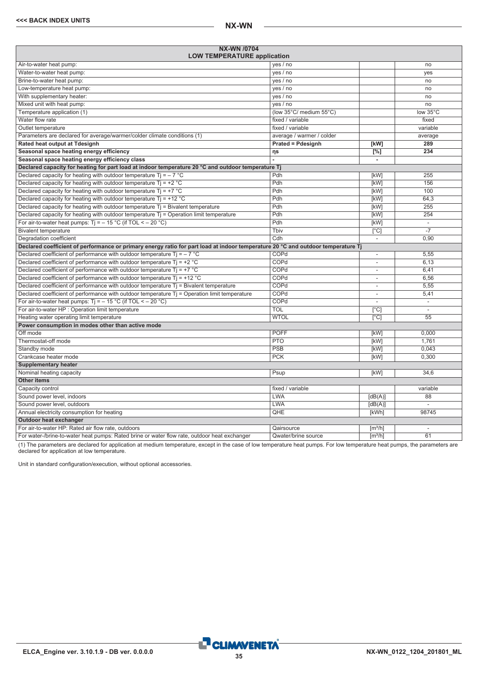<span id="page-34-0"></span>

| NX-WN /0704<br><b>LOW TEMPERATURE application</b>                                                                                |                           |                              |                          |
|----------------------------------------------------------------------------------------------------------------------------------|---------------------------|------------------------------|--------------------------|
| Air-to-water heat pump:                                                                                                          | yes / no                  |                              | no                       |
| Water-to-water heat pump:                                                                                                        | yes / no                  |                              | yes                      |
| Brine-to-water heat pump:                                                                                                        | yes / no                  |                              | no                       |
| Low-temperature heat pump:                                                                                                       | yes / no                  |                              | no                       |
| With supplementary heater:                                                                                                       | yes / no                  |                              | no                       |
| Mixed unit with heat pump:                                                                                                       | yes / no                  |                              | no                       |
| Temperature application (1)                                                                                                      | (low 35°C/ medium 55°C)   |                              | low 35°C                 |
| Water flow rate                                                                                                                  | fixed / variable          |                              | fixed                    |
| Outlet temperature                                                                                                               | fixed / variable          |                              | variable                 |
| Parameters are declared for average/warmer/colder climate conditions (1)                                                         | average / warmer / colder |                              | average                  |
| Rated heat output at Tdesignh                                                                                                    | <b>Prated = Pdesignh</b>  | [kW]                         | 289                      |
| Seasonal space heating energy efficiency                                                                                         | ηs                        | $[^{\circ}\!\!/\circ]$       | 234                      |
| Seasonal space heating energy efficiency class                                                                                   |                           | $\overline{\phantom{a}}$     |                          |
| Declared capacity for heating for part load at indoor temperature 20 °C and outdoor temperature Tj                               |                           |                              |                          |
| Declared capacity for heating with outdoor temperature $Ti = -7$ °C                                                              | Pdh                       | [kW]                         | 255                      |
| Declared capacity for heating with outdoor temperature $Ti = +2 °C$                                                              | Pdh                       | [kW]                         | 156                      |
| Declared capacity for heating with outdoor temperature $Ti = +7 °C$                                                              | Pdh                       | [kW]                         | 100                      |
| Declared capacity for heating with outdoor temperature $Ti = +12 °C$                                                             | Pdh                       | [kW]                         | 64,3                     |
| Declared capacity for heating with outdoor temperature $Tj = Bivalent$ temperature                                               | Pdh                       | [kW]                         | 255                      |
| Declared capacity for heating with outdoor temperature $Ti =$ Operation limit temperature                                        | Pdh                       | [kW]                         | 254                      |
| For air-to-water heat pumps: Tj = $-$ 15 °C (if TOL < $-$ 20 °C)                                                                 | Pdh                       | [kW]                         | $\overline{\phantom{a}}$ |
| <b>Bivalent temperature</b>                                                                                                      | Thiv                      | $\overline{[}^{\circ}C]$     |                          |
| Degradation coefficient                                                                                                          | Cdh                       | $\overline{\phantom{a}}$     | 0,90                     |
| Declared coefficient of performance or primary energy ratio for part load at indoor temperature 20 °C and outdoor temperature Tj |                           |                              |                          |
| Declared coefficient of performance with outdoor temperature $Ti = -7$ °C                                                        | COPd                      | $\overline{\phantom{a}}$     | 5,55                     |
| Declared coefficient of performance with outdoor temperature $Ti = +2 °C$                                                        | COPd                      | $\overline{\phantom{a}}$     | 6,13                     |
| Declared coefficient of performance with outdoor temperature $Ti = +7$ °C                                                        | COPd                      | $\overline{\phantom{a}}$     | 6,41                     |
| Declared coefficient of performance with outdoor temperature $Ti = +12 °C$                                                       | COPd                      | ٠                            | 6,56                     |
| Declared coefficient of performance with outdoor temperature $Tj$ = Bivalent temperature                                         | COPd                      | $\overline{\phantom{a}}$     | 5,55                     |
| Declared coefficient of performance with outdoor temperature T <sub>j</sub> = Operation limit temperature                        | COPd                      | $\overline{\phantom{a}}$     | 5,41                     |
| For air-to-water heat pumps: $Ti = -15 °C$ (if TOL < - 20 °C)                                                                    | COPd                      |                              | $\overline{\phantom{a}}$ |
| For air-to-water HP : Operation limit temperature                                                                                | <b>TOL</b>                | $\overline{[^{\circ}C]}$     | L.                       |
| Heating water operating limit temperature                                                                                        | <b>WTOL</b>               | $\lceil$ °Cl                 | $\overline{55}$          |
| Power consumption in modes other than active mode                                                                                |                           |                              |                          |
| Off mode                                                                                                                         | <b>POFF</b>               | [kW]                         | 0,000                    |
| Thermostat-off mode                                                                                                              | <b>PTO</b>                | [kW]                         | 1,761                    |
| Standby mode                                                                                                                     | PSB                       | [kW]                         | 0,043                    |
| Crankcase heater mode                                                                                                            | <b>PCK</b>                | [kW]                         | 0.300                    |
| <b>Supplementary heater</b>                                                                                                      |                           |                              |                          |
| Nominal heating capacity                                                                                                         | Psup                      | [kW]                         | 34,6                     |
| <b>Other items</b>                                                                                                               |                           |                              |                          |
| Capacity control                                                                                                                 | fixed / variable          |                              | variable                 |
| Sound power level, indoors                                                                                                       | <b>LWA</b>                | [dB(A)]                      | 88                       |
| Sound power level, outdoors                                                                                                      | <b>LWA</b>                | [dB(A)]                      |                          |
| Annual electricity consumption for heating                                                                                       | QHE                       | [kWh]                        | 98745                    |
| Outdoor heat exchanger                                                                                                           |                           |                              |                          |
| For air-to-water HP: Rated air flow rate, outdoors                                                                               | Qairsource                | $\left[\frac{m^3}{h}\right]$ | $\overline{\phantom{a}}$ |
| For water-/brine-to-water heat pumps: Rated brine or water flow rate, outdoor heat exchanger                                     | Qwater/brine source       | $\lceil m^3/h \rceil$        | 61                       |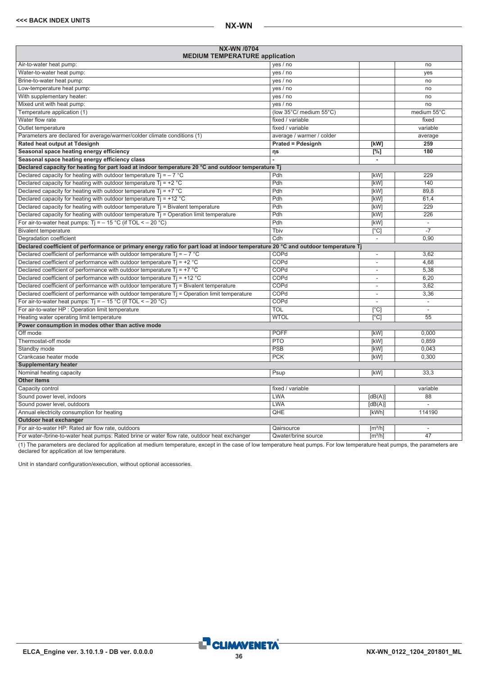| <b>NX-WN /0704</b><br><b>MEDIUM TEMPERATURE application</b>                                                                      |                           |                          |                |
|----------------------------------------------------------------------------------------------------------------------------------|---------------------------|--------------------------|----------------|
| Air-to-water heat pump:                                                                                                          | yes / no                  |                          | no             |
| Water-to-water heat pump:                                                                                                        | yes / no                  |                          | yes            |
| Brine-to-water heat pump:                                                                                                        | yes / no                  |                          | no             |
| Low-temperature heat pump:                                                                                                       | yes / no                  |                          | no             |
| With supplementary heater:                                                                                                       | yes / no                  |                          | no             |
| Mixed unit with heat pump:                                                                                                       | yes / no                  |                          | no             |
| Temperature application (1)                                                                                                      | (low 35°C/ medium 55°C)   |                          | medium 55°C    |
| Water flow rate                                                                                                                  | fixed / variable          |                          | fixed          |
| Outlet temperature                                                                                                               | fixed / variable          |                          | variable       |
| Parameters are declared for average/warmer/colder climate conditions (1)                                                         | average / warmer / colder |                          | average        |
| Rated heat output at Tdesignh                                                                                                    | <b>Prated = Pdesignh</b>  | [kW]                     | 259            |
| Seasonal space heating energy efficiency                                                                                         | ηs                        | $[^{\%}]$                | 180            |
| Seasonal space heating energy efficiency class                                                                                   |                           | $\blacksquare$           |                |
| Declared capacity for heating for part load at indoor temperature 20 °C and outdoor temperature Tj                               |                           |                          |                |
| Declared capacity for heating with outdoor temperature $Tj = -7$ °C                                                              | Pdh                       | [kW]                     | 229            |
| Declared capacity for heating with outdoor temperature $Ti = +2 °C$                                                              | Pdh                       | [kW]                     | 140            |
| Declared capacity for heating with outdoor temperature $Tj = +7$ °C                                                              | Pdh                       | [kW]                     | 89.8           |
| Declared capacity for heating with outdoor temperature $Ti = +12 °C$                                                             | Pdh                       | [kW]                     | 61,4           |
| Declared capacity for heating with outdoor temperature $T_i$ = Bivalent temperature                                              | Pdh                       | [kW]                     | 229            |
| Declared capacity for heating with outdoor temperature $Tj =$ Operation limit temperature                                        | Pdh                       | [kW]                     | 226            |
| For air-to-water heat pumps: $Ti = -15 °C$ (if TOL < - 20 °C)                                                                    | Pdh                       | [kW]                     | $\sim$         |
| <b>Bivalent temperature</b>                                                                                                      | Tbiv                      | $\lceil$ °C]             | $-7$           |
| Degradation coefficient                                                                                                          | Cdh                       | $\overline{\phantom{a}}$ | 0.90           |
| Declared coefficient of performance or primary energy ratio for part load at indoor temperature 20 °C and outdoor temperature Tj |                           |                          |                |
| Declared coefficient of performance with outdoor temperature Tj = $-7$ °C                                                        | COPd                      | $\sim$                   | 3,62           |
| Declared coefficient of performance with outdoor temperature $Ti = +2$ °C                                                        | COPd                      | $\overline{\phantom{a}}$ | 4,68           |
| Declared coefficient of performance with outdoor temperature $Ti = +7$ °C                                                        | <b>COPd</b>               | $\sim$                   | 5,38           |
| Declared coefficient of performance with outdoor temperature $Ti = +12 °C$                                                       | COPd                      | $\overline{\phantom{a}}$ | 6.20           |
| Declared coefficient of performance with outdoor temperature $Tj$ = Bivalent temperature                                         | COPd                      | $\overline{\phantom{a}}$ | 3.62           |
| Declared coefficient of performance with outdoor temperature $Tj =$ Operation limit temperature                                  | COPd                      | $\overline{\phantom{a}}$ | 3,36           |
| For air-to-water heat pumps: $Ti = -15 °C$ (if TOL < - 20 °C)                                                                    | COPd                      | $\sim$                   | ÷.             |
| For air-to-water HP : Operation limit temperature                                                                                | <b>TOL</b>                | $\lceil$ °C]             | $\sim$         |
| Heating water operating limit temperature                                                                                        | <b>WTOL</b>               | $\sqrt{C}$               | 55             |
| Power consumption in modes other than active mode                                                                                |                           |                          |                |
| Off mode                                                                                                                         | <b>POFF</b>               | [kW]                     | 0.000          |
| Thermostat-off mode                                                                                                              | <b>PTO</b>                | [kW]                     | 0.859          |
| Standby mode                                                                                                                     | <b>PSB</b>                | [kW]                     | 0.043          |
| Crankcase heater mode                                                                                                            | <b>PCK</b>                | [kW]                     | 0.300          |
| <b>Supplementary heater</b>                                                                                                      |                           |                          |                |
| Nominal heating capacity                                                                                                         | Psup                      | [kW]                     | 33.3           |
| <b>Other items</b>                                                                                                               |                           |                          |                |
| Capacity control                                                                                                                 | fixed / variable          |                          | variable       |
| Sound power level, indoors                                                                                                       | LWA                       | [dB(A)]                  | 88             |
| Sound power level, outdoors                                                                                                      | <b>LWA</b>                | [dB(A)]                  | $\overline{a}$ |
| Annual electricity consumption for heating                                                                                       | QHE                       | [kWh]                    | 114190         |
| Outdoor heat exchanger                                                                                                           |                           |                          |                |
| For air-to-water HP: Rated air flow rate, outdoors                                                                               | Qairsource                | $\lceil m^3/h \rceil$    | ÷              |
| For water-/brine-to-water heat pumps: Rated brine or water flow rate, outdoor heat exchanger                                     | Qwater/brine source       | $\lceil m^3/h \rceil$    | 47             |

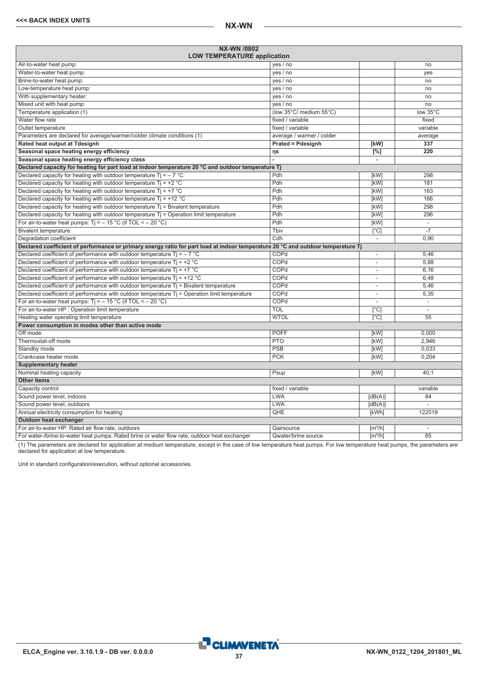<span id="page-36-0"></span>

| <b>NX-WN /0802</b><br><b>LOW TEMPERATURE application</b>                                                                         |                           |                          |                          |
|----------------------------------------------------------------------------------------------------------------------------------|---------------------------|--------------------------|--------------------------|
| Air-to-water heat pump:                                                                                                          | yes / no                  |                          | no                       |
| Water-to-water heat pump:                                                                                                        | yes / no                  |                          | ves                      |
| Brine-to-water heat pump:                                                                                                        | yes / no                  |                          | no                       |
| Low-temperature heat pump:                                                                                                       | yes / no                  |                          | no                       |
| With supplementary heater:                                                                                                       | yes / no                  |                          | no                       |
| Mixed unit with heat pump:                                                                                                       | yes / no                  |                          | no                       |
| Temperature application (1)                                                                                                      | (low 35°C/ medium 55°C)   |                          | low 35°C                 |
| Water flow rate                                                                                                                  | fixed / variable          |                          | fixed                    |
| Outlet temperature                                                                                                               | fixed / variable          |                          | variable                 |
| Parameters are declared for average/warmer/colder climate conditions (1)                                                         | average / warmer / colder |                          | average                  |
| Rated heat output at Tdesignh                                                                                                    | <b>Prated = Pdesignh</b>  | [kW]                     | 337                      |
| Seasonal space heating energy efficiency                                                                                         | ηs                        | $[\%]$                   | 220                      |
| Seasonal space heating energy efficiency class                                                                                   |                           | $\overline{\phantom{a}}$ |                          |
| Declared capacity for heating for part load at indoor temperature 20 °C and outdoor temperature Tj                               |                           |                          |                          |
| Declared capacity for heating with outdoor temperature $Ti = -7$ °C                                                              | Pdh                       | [kW]                     | 298                      |
| Declared capacity for heating with outdoor temperature $Ti = +2$ °C                                                              | Pdh                       | [kW]                     | 181                      |
| Declared capacity for heating with outdoor temperature Tj = $+7$ °C                                                              | Pdh                       | [kW]                     | 163                      |
| Declared capacity for heating with outdoor temperature $Ti = +12 °C$                                                             | Pdh                       | [kW]                     | 166                      |
| Declared capacity for heating with outdoor temperature $Tj = Bivalent$ temperature                                               | Pdh                       | [kW]                     | 298                      |
| Declared capacity for heating with outdoor temperature $T_i$ = Operation limit temperature                                       | Pdh                       | [kW]                     | 296                      |
| For air-to-water heat pumps: $Ti = -15 °C$ (if TOL < - 20 °C)                                                                    | Pdh                       | [kW]                     | ÷,                       |
| <b>Bivalent temperature</b>                                                                                                      | Tbiv                      | $\overline{[}^{\circ}C]$ | $-7$                     |
| Degradation coefficient                                                                                                          | Cdh                       | $\overline{\phantom{a}}$ | 0,90                     |
| Declared coefficient of performance or primary energy ratio for part load at indoor temperature 20 °C and outdoor temperature Tj |                           |                          |                          |
| Declared coefficient of performance with outdoor temperature $Ti = -7$ °C                                                        | COPd                      | $\overline{\phantom{a}}$ | 5,46                     |
| Declared coefficient of performance with outdoor temperature Tj = +2 $^{\circ}$ C                                                | COPd                      | L,                       | 5.88                     |
| Declared coefficient of performance with outdoor temperature $Ti = +7$ °C                                                        | COPd                      | L,                       | 6.16                     |
| Declared coefficient of performance with outdoor temperature $Ti = +12 °C$                                                       | COPd                      | ٠                        | 6,48                     |
| Declared coefficient of performance with outdoor temperature $Tj$ = Bivalent temperature                                         | COPd                      | $\overline{\phantom{a}}$ | 5,46                     |
| Declared coefficient of performance with outdoor temperature T <sub>j</sub> = Operation limit temperature                        | COPd                      | L,                       | 5,35                     |
| For air-to-water heat pumps: $Ti = -15 °C$ (if TOL < - 20 °C)                                                                    | COPd                      | ÷,                       | $\overline{\phantom{a}}$ |
| For air-to-water HP : Operation limit temperature                                                                                | TOL                       | [°C]                     |                          |
| Heating water operating limit temperature                                                                                        | <b>WTOL</b>               | $\lceil$ °C]             | $\overline{55}$          |
| Power consumption in modes other than active mode                                                                                |                           |                          |                          |
| Off mode                                                                                                                         | <b>POFF</b>               | [kW]                     | 0.000                    |
| Thermostat-off mode                                                                                                              | PTO                       | [kW]                     | 2.946                    |
| Standby mode                                                                                                                     | PSB                       | [kW]                     | 0.033                    |
| Crankcase heater mode                                                                                                            | <b>PCK</b>                | [kW]                     | 0.204                    |
| <b>Supplementary heater</b>                                                                                                      |                           |                          |                          |
| Nominal heating capacity                                                                                                         | Psup                      | [kW]                     | 40.1                     |
| <b>Other items</b>                                                                                                               |                           |                          |                          |
| Capacity control                                                                                                                 | fixed / variable          |                          | variable                 |
| Sound power level, indoors                                                                                                       | LWA                       | [dB(A)]                  | 84                       |
| Sound power level, outdoors                                                                                                      | LWA                       | [dB(A)]                  |                          |
| Annual electricity consumption for heating                                                                                       | QHE                       | [kWh]                    | 122019                   |
| Outdoor heat exchanger                                                                                                           |                           |                          |                          |
| For air-to-water HP: Rated air flow rate, outdoors                                                                               | Qairsource                | [m <sup>3</sup> /h]      | $\overline{\phantom{a}}$ |
| For water-/brine-to-water heat pumps: Rated brine or water flow rate, outdoor heat exchanger                                     | Qwater/brine source       | $\lceil m^3/h \rceil$    | $\overline{65}$          |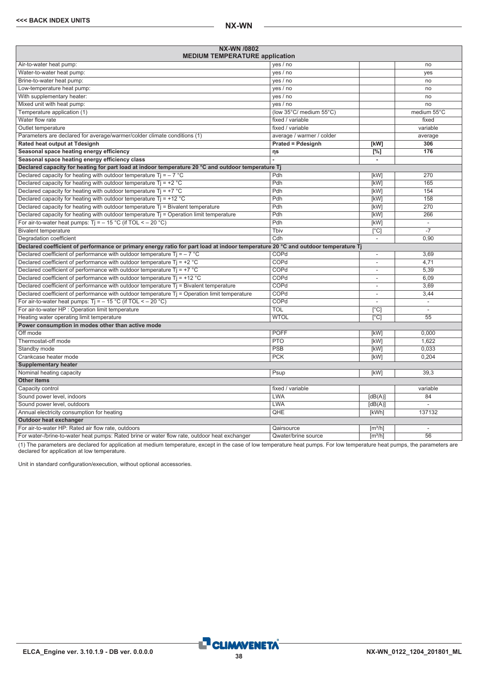| <b>NX-WN /0802</b><br><b>MEDIUM TEMPERATURE application</b>                                                                      |                           |                          |                          |  |  |
|----------------------------------------------------------------------------------------------------------------------------------|---------------------------|--------------------------|--------------------------|--|--|
| Air-to-water heat pump:                                                                                                          | yes / no                  |                          | no                       |  |  |
| Water-to-water heat pump:                                                                                                        | yes / no                  |                          | ves                      |  |  |
| Brine-to-water heat pump:                                                                                                        | yes / no                  |                          | no                       |  |  |
| Low-temperature heat pump:                                                                                                       | yes / no                  |                          | no                       |  |  |
| With supplementary heater:                                                                                                       | yes / no                  |                          | no                       |  |  |
| Mixed unit with heat pump:                                                                                                       | yes / no                  |                          | no                       |  |  |
| Temperature application (1)                                                                                                      | (low 35°C/ medium 55°C)   |                          | medium 55°C              |  |  |
| Water flow rate                                                                                                                  | fixed / variable          |                          | fixed                    |  |  |
| Outlet temperature                                                                                                               | fixed / variable          |                          | variable                 |  |  |
| Parameters are declared for average/warmer/colder climate conditions (1)                                                         | average / warmer / colder |                          | average                  |  |  |
| Rated heat output at Tdesignh                                                                                                    | <b>Prated = Pdesignh</b>  | [kW]                     | 306                      |  |  |
| Seasonal space heating energy efficiency                                                                                         | ηs                        | [%]                      | 176                      |  |  |
| Seasonal space heating energy efficiency class                                                                                   |                           | ä,                       |                          |  |  |
| Declared capacity for heating for part load at indoor temperature 20 °C and outdoor temperature Tj                               |                           |                          |                          |  |  |
| Declared capacity for heating with outdoor temperature Ti = $-7$ °C                                                              | Pdh                       | [kW]                     | 270                      |  |  |
| Declared capacity for heating with outdoor temperature $Ti = +2$ °C                                                              | Pdh                       | [kW]                     | 165                      |  |  |
| Declared capacity for heating with outdoor temperature $Ti = +7$ °C                                                              | Pdh                       | [kW]                     | 154                      |  |  |
| Declared capacity for heating with outdoor temperature $Ti = +12 °C$                                                             | Pdh                       | [kW]                     | 158                      |  |  |
| Declared capacity for heating with outdoor temperature Tj = Bivalent temperature                                                 | Pdh                       | [kW]                     | 270                      |  |  |
| Declared capacity for heating with outdoor temperature $T_i$ = Operation limit temperature                                       | Pdh                       | [kW]                     | 266                      |  |  |
| For air-to-water heat pumps: $Ti = -15 °C$ (if TOL < - 20 °C)                                                                    | Pdh                       | [kW]                     | ÷,                       |  |  |
| <b>Bivalent temperature</b>                                                                                                      | Tbiv                      | $\overline{[}^{\circ}C]$ | $-7$                     |  |  |
| Degradation coefficient                                                                                                          | Cdh                       | $\overline{\phantom{a}}$ | 0,90                     |  |  |
| Declared coefficient of performance or primary energy ratio for part load at indoor temperature 20 °C and outdoor temperature Tj |                           |                          |                          |  |  |
| Declared coefficient of performance with outdoor temperature $Ti = -7$ °C                                                        | COPd                      | $\overline{\phantom{a}}$ | 3,69                     |  |  |
| Declared coefficient of performance with outdoor temperature $Tj = +2 °C$                                                        | COPd                      | ä,                       | 4,71                     |  |  |
| Declared coefficient of performance with outdoor temperature $Ti = +7$ °C                                                        | COPd                      | ä,                       | 5.39                     |  |  |
| Declared coefficient of performance with outdoor temperature $Ti = +12 °C$                                                       | COPd                      | ٠                        | 6,09                     |  |  |
| Declared coefficient of performance with outdoor temperature $Tj$ = Bivalent temperature                                         | COPd                      | $\overline{\phantom{a}}$ | 3,69                     |  |  |
| Declared coefficient of performance with outdoor temperature Tj = Operation limit temperature                                    | COPd                      | ä,                       | 3,44                     |  |  |
| For air-to-water heat pumps: $Ti = -15 °C$ (if TOL < - 20 °C)                                                                    | COPd                      | L,                       | $\overline{\phantom{a}}$ |  |  |
| For air-to-water HP : Operation limit temperature                                                                                | <b>TOL</b>                | [°C]                     |                          |  |  |
| Heating water operating limit temperature                                                                                        | <b>WTOL</b>               | $\overline{[°C]}$        | $\overline{55}$          |  |  |
| Power consumption in modes other than active mode                                                                                |                           |                          |                          |  |  |
| Off mode                                                                                                                         | <b>POFF</b>               | [kW]                     | 0.000                    |  |  |
| Thermostat-off mode                                                                                                              | <b>PTO</b>                | [kW]                     | 1.622                    |  |  |
| Standby mode                                                                                                                     | PSB                       | [kW]                     | 0.033                    |  |  |
| Crankcase heater mode                                                                                                            | <b>PCK</b>                | [kW]                     | 0,204                    |  |  |
| <b>Supplementary heater</b>                                                                                                      |                           |                          |                          |  |  |
| Nominal heating capacity                                                                                                         | Psup                      | [kW]                     | 39.3                     |  |  |
| <b>Other items</b>                                                                                                               |                           |                          |                          |  |  |
| Capacity control                                                                                                                 | fixed / variable          |                          | variable                 |  |  |
| Sound power level, indoors                                                                                                       | <b>LWA</b>                | [dB(A)]                  | 84                       |  |  |
| Sound power level, outdoors                                                                                                      | <b>LWA</b>                | [dB(A)]                  |                          |  |  |
| Annual electricity consumption for heating                                                                                       | QHE                       | [kWh]                    | 137132                   |  |  |
| Outdoor heat exchanger                                                                                                           |                           |                          |                          |  |  |
| For air-to-water HP: Rated air flow rate, outdoors<br>Qairsource<br>[m <sup>3</sup> /h]<br>$\overline{\phantom{a}}$              |                           |                          |                          |  |  |
| For water-/brine-to-water heat pumps: Rated brine or water flow rate, outdoor heat exchanger                                     | Qwater/brine source       | $\sqrt{m^3/h}$           | $\overline{56}$          |  |  |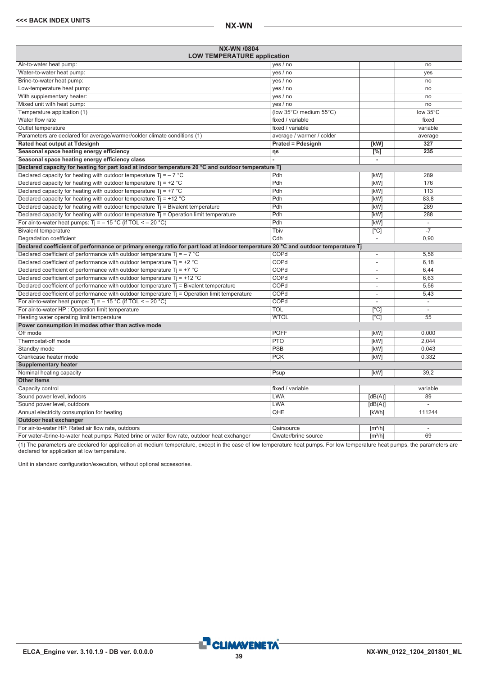<span id="page-38-0"></span>

| NX-WN /0804<br><b>LOW TEMPERATURE application</b>                                                                                |                                  |                              |                          |  |
|----------------------------------------------------------------------------------------------------------------------------------|----------------------------------|------------------------------|--------------------------|--|
| Air-to-water heat pump:                                                                                                          | yes / no                         |                              | no                       |  |
| Water-to-water heat pump:                                                                                                        | yes / no                         |                              | ves                      |  |
| Brine-to-water heat pump:                                                                                                        | yes / no                         |                              | no                       |  |
| Low-temperature heat pump:                                                                                                       | yes / no                         |                              | no                       |  |
| With supplementary heater:                                                                                                       | yes / no                         |                              | no                       |  |
| Mixed unit with heat pump:                                                                                                       | yes / no                         |                              | no                       |  |
| Temperature application (1)                                                                                                      | (low 35°C/ medium 55°C)          |                              | low 35°C                 |  |
| Water flow rate                                                                                                                  | fixed / variable                 |                              | fixed                    |  |
| Outlet temperature                                                                                                               | fixed / variable                 |                              | variable                 |  |
| Parameters are declared for average/warmer/colder climate conditions (1)                                                         | average / warmer / colder        |                              | average                  |  |
| Rated heat output at Tdesignh                                                                                                    | <b>Prated = Pdesignh</b>         | [kW]                         | 327                      |  |
| Seasonal space heating energy efficiency                                                                                         | ηs                               | $\overline{[}^{\%}]$         | 235                      |  |
| Seasonal space heating energy efficiency class                                                                                   |                                  | $\blacksquare$               |                          |  |
| Declared capacity for heating for part load at indoor temperature 20 °C and outdoor temperature Tj                               |                                  |                              |                          |  |
| Declared capacity for heating with outdoor temperature Ti = $-7$ °C                                                              | Pdh                              | [kW]                         | 289                      |  |
| Declared capacity for heating with outdoor temperature $Ti = +2 °C$                                                              | Pdh                              | [kW]                         | 176                      |  |
| Declared capacity for heating with outdoor temperature Tj = $+7$ °C                                                              | Pdh                              | <b>[kW]</b>                  | 113                      |  |
| Declared capacity for heating with outdoor temperature $Ti = +12 °C$                                                             | Pdh                              | [kW]                         | 83,8                     |  |
| Declared capacity for heating with outdoor temperature $Tj = Bi$ valent temperature                                              | Pdh                              | [kW]                         | 289                      |  |
| Declared capacity for heating with outdoor temperature $T_i$ = Operation limit temperature                                       | Pdh                              | [kW]                         | 288                      |  |
| For air-to-water heat pumps: $T_1 = -15$ °C (if TOL < - 20 °C)                                                                   | Pdh                              | [kW]                         | ÷,                       |  |
| <b>Bivalent temperature</b>                                                                                                      | Tbiv<br>$\overline{[}^{\circ}C]$ |                              |                          |  |
| Degradation coefficient                                                                                                          | Cdh<br>$\overline{\phantom{a}}$  |                              | 0,90                     |  |
| Declared coefficient of performance or primary energy ratio for part load at indoor temperature 20 °C and outdoor temperature Tj |                                  |                              |                          |  |
| Declared coefficient of performance with outdoor temperature $Ti = -7$ °C                                                        | COPd                             | $\overline{\phantom{a}}$     | 5,56                     |  |
| Declared coefficient of performance with outdoor temperature $Tj = +2$ °C                                                        | COPd                             | L,                           | 6.18                     |  |
| Declared coefficient of performance with outdoor temperature $Ti = +7$ °C                                                        | COPd                             | $\overline{\phantom{a}}$     | 6.44                     |  |
| Declared coefficient of performance with outdoor temperature $Ti = +12 °C$                                                       | COPd                             | $\overline{\phantom{a}}$     | 6,63                     |  |
| Declared coefficient of performance with outdoor temperature $Tj$ = Bivalent temperature                                         | COPd                             | $\overline{\phantom{a}}$     | 5,56                     |  |
| Declared coefficient of performance with outdoor temperature T <sub>j</sub> = Operation limit temperature                        | COPd                             | $\overline{\phantom{a}}$     | 5,43                     |  |
| For air-to-water heat pumps: $Ti = -15 °C$ (if TOL < - 20 °C)                                                                    | COPd                             |                              | $\overline{\phantom{a}}$ |  |
| For air-to-water HP : Operation limit temperature                                                                                | <b>TOL</b>                       | [°C]                         |                          |  |
| Heating water operating limit temperature                                                                                        | <b>WTOL</b>                      | $\lceil$ °C]                 | $\overline{55}$          |  |
| Power consumption in modes other than active mode                                                                                |                                  |                              |                          |  |
| Off mode                                                                                                                         | <b>POFF</b>                      | [kW]                         | 0.000                    |  |
| Thermostat-off mode                                                                                                              | <b>PTO</b>                       | [kW]                         | 2.044                    |  |
| Standby mode                                                                                                                     | <b>PSB</b>                       | [kW]                         | 0.043                    |  |
| Crankcase heater mode                                                                                                            | <b>PCK</b>                       | [kW]                         | 0,332                    |  |
| <b>Supplementary heater</b>                                                                                                      |                                  |                              |                          |  |
| Nominal heating capacity                                                                                                         | Psup                             | [kW]                         | 39.2                     |  |
| <b>Other items</b>                                                                                                               |                                  |                              |                          |  |
| Capacity control                                                                                                                 | fixed / variable                 |                              | variable                 |  |
| Sound power level, indoors                                                                                                       | <b>LWA</b>                       | [dB(A)]                      | 89                       |  |
| Sound power level, outdoors                                                                                                      | <b>LWA</b>                       | [dB(A)]                      |                          |  |
| Annual electricity consumption for heating                                                                                       | QHE                              | [kWh]                        | 111244                   |  |
| Outdoor heat exchanger                                                                                                           |                                  |                              |                          |  |
| For air-to-water HP: Rated air flow rate, outdoors                                                                               | Qairsource                       | $\lceil m^3/h \rceil$        | $\sim$                   |  |
| For water-/brine-to-water heat pumps: Rated brine or water flow rate, outdoor heat exchanger                                     | Qwater/brine source              | $\left[\frac{m^3}{h}\right]$ | $\overline{69}$          |  |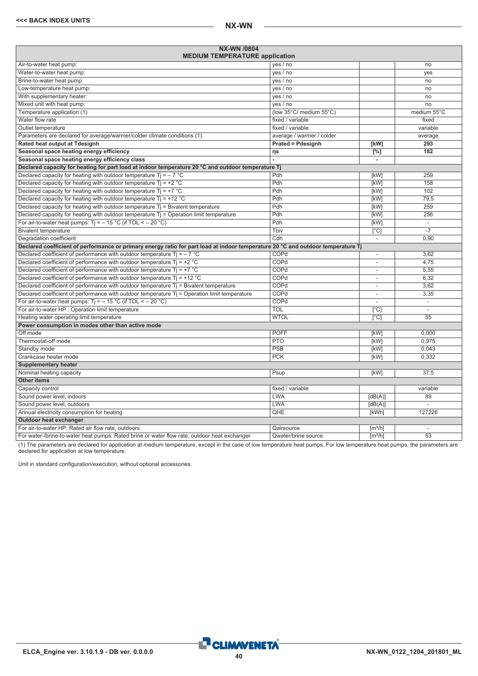| NX-WN /0804<br><b>MEDIUM TEMPERATURE application</b>                                                                             |                           |                          |                          |  |  |
|----------------------------------------------------------------------------------------------------------------------------------|---------------------------|--------------------------|--------------------------|--|--|
| Air-to-water heat pump:                                                                                                          | yes / no                  |                          | no                       |  |  |
| Water-to-water heat pump:                                                                                                        | yes / no                  |                          | yes                      |  |  |
| Brine-to-water heat pump:                                                                                                        | yes / no                  |                          | no                       |  |  |
| Low-temperature heat pump:                                                                                                       | yes / no                  |                          | no                       |  |  |
| With supplementary heater:                                                                                                       | yes / no                  |                          | no                       |  |  |
| Mixed unit with heat pump:                                                                                                       | yes / no                  |                          | no                       |  |  |
| Temperature application (1)                                                                                                      | (low 35°C/ medium 55°C)   |                          | medium 55°C              |  |  |
| Water flow rate                                                                                                                  | fixed / variable          |                          | fixed                    |  |  |
| Outlet temperature                                                                                                               | fixed / variable          |                          | variable                 |  |  |
| Parameters are declared for average/warmer/colder climate conditions (1)                                                         | average / warmer / colder |                          | average                  |  |  |
| Rated heat output at Tdesignh                                                                                                    | <b>Prated = Pdesignh</b>  | [kW]                     | 293                      |  |  |
| Seasonal space heating energy efficiency                                                                                         | ηs                        | $\Gamma$ %1              | 182                      |  |  |
| Seasonal space heating energy efficiency class                                                                                   |                           | $\overline{\phantom{a}}$ |                          |  |  |
| Declared capacity for heating for part load at indoor temperature 20 °C and outdoor temperature Tj                               |                           |                          |                          |  |  |
| Declared capacity for heating with outdoor temperature Ti = $-7$ °C                                                              | Pdh                       | [kW]                     | 259                      |  |  |
| Declared capacity for heating with outdoor temperature $Ti = +2 °C$                                                              | Pdh                       | [kW]                     | 158                      |  |  |
| Declared capacity for heating with outdoor temperature $Ti = +7$ °C                                                              | Pdh                       | [kW]                     | 102                      |  |  |
| Declared capacity for heating with outdoor temperature $Ti = +12 °C$                                                             | Pdh                       | [kW]                     | 79,5                     |  |  |
| Declared capacity for heating with outdoor temperature $Ti = Bi$ alent temperature                                               | Pdh                       | [kW]                     | 259                      |  |  |
| Declared capacity for heating with outdoor temperature $Tj =$ Operation limit temperature                                        | Pdh                       | [kW]                     | 256                      |  |  |
| For air-to-water heat pumps: $Ti = -15 °C$ (if TOL < - 20 °C)                                                                    | Pdh                       | [kW]                     | $\overline{\phantom{a}}$ |  |  |
| <b>Bivalent temperature</b>                                                                                                      | Tbiv                      | $\lceil$ °Cl             |                          |  |  |
| Degradation coefficient                                                                                                          | Cdh                       | $\overline{\phantom{a}}$ | 0.90                     |  |  |
| Declared coefficient of performance or primary energy ratio for part load at indoor temperature 20 °C and outdoor temperature Tj |                           |                          |                          |  |  |
| Declared coefficient of performance with outdoor temperature $Ti = -7$ °C                                                        | COPd                      |                          | 3,62                     |  |  |
| Declared coefficient of performance with outdoor temperature Tj = +2 $^{\circ}$ C                                                | COPd                      | $\overline{\phantom{a}}$ | 4,75                     |  |  |
| Declared coefficient of performance with outdoor temperature $Ti = +7$ °C                                                        | COPd                      | ÷                        | 5,55                     |  |  |
| Declared coefficient of performance with outdoor temperature $Ti = +12$ °C                                                       | COPd                      | $\overline{a}$           | 6,32                     |  |  |
| Declared coefficient of performance with outdoor temperature Ti = Bivalent temperature                                           | COPd                      | $\overline{\phantom{a}}$ | 3,62                     |  |  |
| Declared coefficient of performance with outdoor temperature $Tj$ = Operation limit temperature                                  | COPd                      | ÷                        | 3.35                     |  |  |
| For air-to-water heat pumps: $Ti = -15 °C$ (if TOL < - 20 °C)                                                                    | COPd                      | ÷                        | $\mathcal{L}$            |  |  |
| For air-to-water HP : Operation limit temperature                                                                                | <b>TOL</b>                | $\lceil$ °C              | $\mathcal{L}$            |  |  |
| Heating water operating limit temperature                                                                                        | <b>WTOL</b>               | [°C]                     | 55                       |  |  |
| Power consumption in modes other than active mode                                                                                |                           |                          |                          |  |  |
| Off mode                                                                                                                         | <b>POFF</b>               | [kW]                     | 0.000                    |  |  |
| Thermostat-off mode                                                                                                              | <b>PTO</b>                | [kW]                     | 0.975                    |  |  |
| Standby mode                                                                                                                     | PSB                       | [kW]                     | 0.043                    |  |  |
| Crankcase heater mode                                                                                                            | <b>PCK</b>                | [kW]                     | 0.332                    |  |  |
| <b>Supplementary heater</b>                                                                                                      |                           |                          |                          |  |  |
| Nominal heating capacity                                                                                                         | Psup                      | [kW]                     | 37.5                     |  |  |
| <b>Other items</b>                                                                                                               |                           |                          |                          |  |  |
| Capacity control                                                                                                                 | fixed / variable          |                          | variable                 |  |  |
| Sound power level, indoors                                                                                                       | <b>LWA</b>                | [dB(A)]                  | 89                       |  |  |
| Sound power level, outdoors                                                                                                      | <b>LWA</b>                | [dB(A)]                  | $\overline{a}$           |  |  |
| Annual electricity consumption for heating                                                                                       | QHE                       | [kWh]                    | 127226                   |  |  |
| <b>Outdoor heat exchanger</b>                                                                                                    |                           |                          |                          |  |  |
| For air-to-water HP: Rated air flow rate, outdoors                                                                               | Qairsource                | $\lceil m^3/h \rceil$    | $\sim$                   |  |  |
| For water-/brine-to-water heat pumps: Rated brine or water flow rate, outdoor heat exchanger                                     | Qwater/brine source       | $\lceil m^3/h \rceil$    | 53                       |  |  |

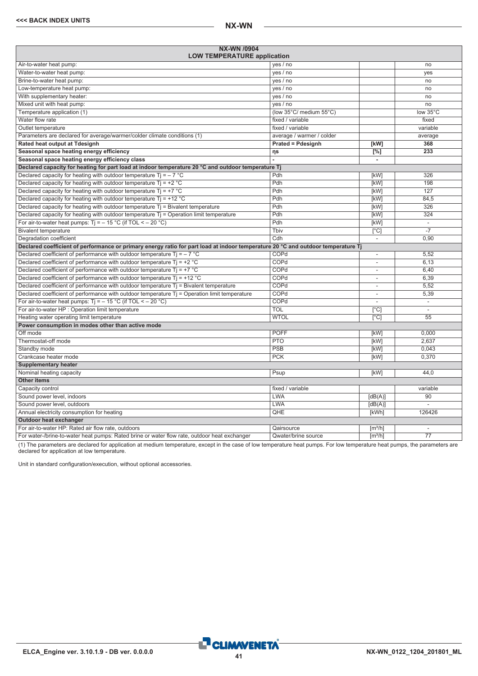<span id="page-40-0"></span>

| NX-WN /0904<br><b>LOW TEMPERATURE application</b>                                                                                |                           |                              |                          |  |
|----------------------------------------------------------------------------------------------------------------------------------|---------------------------|------------------------------|--------------------------|--|
| Air-to-water heat pump:                                                                                                          | yes / no                  |                              | no                       |  |
| Water-to-water heat pump:                                                                                                        | yes / no                  |                              | ves                      |  |
| Brine-to-water heat pump:                                                                                                        | yes / no                  |                              | no                       |  |
| Low-temperature heat pump:                                                                                                       | yes / no                  |                              | no                       |  |
| With supplementary heater:                                                                                                       | yes / no                  |                              | no                       |  |
| Mixed unit with heat pump:                                                                                                       | yes / no                  |                              | no                       |  |
| Temperature application (1)                                                                                                      | (low 35°C/ medium 55°C)   |                              | low 35°C                 |  |
| Water flow rate                                                                                                                  | fixed / variable          |                              | fixed                    |  |
| Outlet temperature<br>fixed / variable                                                                                           |                           |                              | variable                 |  |
| Parameters are declared for average/warmer/colder climate conditions (1)                                                         | average / warmer / colder |                              | average                  |  |
| Rated heat output at Tdesignh                                                                                                    | <b>Prated = Pdesignh</b>  | [kW]                         | 368                      |  |
| Seasonal space heating energy efficiency                                                                                         | ηs                        | $\overline{[}^{\%}]$         | 233                      |  |
| Seasonal space heating energy efficiency class                                                                                   |                           | $\blacksquare$               |                          |  |
| Declared capacity for heating for part load at indoor temperature 20 °C and outdoor temperature Tj                               |                           |                              |                          |  |
| Declared capacity for heating with outdoor temperature Ti = $-7$ °C                                                              | Pdh                       | [kW]                         | 326                      |  |
| Declared capacity for heating with outdoor temperature $Ti = +2 °C$                                                              | Pdh                       | [kW]                         | 198                      |  |
| Declared capacity for heating with outdoor temperature Tj = $+7$ °C                                                              | Pdh                       | <b>[kW]</b>                  | 127                      |  |
| Declared capacity for heating with outdoor temperature $Ti = +12 °C$                                                             | Pdh                       | [kW]                         | 84,5                     |  |
| Declared capacity for heating with outdoor temperature $Tj = Bi$ valent temperature                                              | Pdh                       | [kW]                         | 326                      |  |
| Declared capacity for heating with outdoor temperature $T_i$ = Operation limit temperature                                       | Pdh                       | [kW]                         | 324                      |  |
| For air-to-water heat pumps: $T_1 = -15$ °C (if TOL < - 20 °C)                                                                   | Pdh                       | [kW]                         | $\overline{\phantom{a}}$ |  |
| <b>Bivalent temperature</b>                                                                                                      | Tbiv                      | $\overline{[}^{\circ}C]$     |                          |  |
| Degradation coefficient                                                                                                          | Cdh                       | $\overline{\phantom{a}}$     | 0,90                     |  |
| Declared coefficient of performance or primary energy ratio for part load at indoor temperature 20 °C and outdoor temperature Tj |                           |                              |                          |  |
| Declared coefficient of performance with outdoor temperature $Ti = -7$ °C                                                        | COPd                      | $\overline{\phantom{a}}$     | 5,52                     |  |
| Declared coefficient of performance with outdoor temperature $Tj = +2$ °C                                                        | COPd                      |                              | 6.13                     |  |
| Declared coefficient of performance with outdoor temperature $Ti = +7$ °C                                                        | COPd                      | $\overline{\phantom{a}}$     | 6.40                     |  |
| Declared coefficient of performance with outdoor temperature $Ti = +12 °C$                                                       | COPd                      | $\overline{\phantom{a}}$     | 6,39                     |  |
| Declared coefficient of performance with outdoor temperature $Tj$ = Bivalent temperature                                         | COPd                      | $\overline{\phantom{a}}$     | 5,52                     |  |
| Declared coefficient of performance with outdoor temperature T <sub>j</sub> = Operation limit temperature                        | COPd                      | $\overline{\phantom{a}}$     | 5,39                     |  |
| For air-to-water heat pumps: $Ti = -15 °C$ (if TOL < - 20 °C)                                                                    | COPd                      |                              | $\overline{\phantom{a}}$ |  |
| For air-to-water HP : Operation limit temperature                                                                                | <b>TOL</b>                | [°C]                         |                          |  |
| Heating water operating limit temperature                                                                                        | <b>WTOL</b>               | $\lceil$ °C]                 | $\overline{55}$          |  |
| Power consumption in modes other than active mode                                                                                |                           |                              |                          |  |
| Off mode                                                                                                                         | <b>POFF</b>               | [kW]                         | 0.000                    |  |
| Thermostat-off mode                                                                                                              | <b>PTO</b>                | [kW]                         | 2.637                    |  |
| Standby mode                                                                                                                     | <b>PSB</b>                | [kW]                         | 0.043                    |  |
| Crankcase heater mode                                                                                                            | <b>PCK</b>                | [kW]                         | 0,370                    |  |
| <b>Supplementary heater</b>                                                                                                      |                           |                              |                          |  |
| Nominal heating capacity                                                                                                         | Psup                      | [kW]                         | 44.0                     |  |
| <b>Other items</b>                                                                                                               |                           |                              |                          |  |
| Capacity control                                                                                                                 | fixed / variable          |                              | variable                 |  |
| Sound power level, indoors                                                                                                       | <b>LWA</b>                | [dB(A)]                      | 90                       |  |
| Sound power level, outdoors                                                                                                      | <b>LWA</b>                | [dB(A)]                      |                          |  |
| Annual electricity consumption for heating                                                                                       | QHE                       | [kWh]                        | 126426                   |  |
| Outdoor heat exchanger                                                                                                           |                           |                              |                          |  |
| For air-to-water HP: Rated air flow rate, outdoors                                                                               | Qairsource                | $\lceil m^3/h \rceil$        | $\sim$                   |  |
| For water-/brine-to-water heat pumps: Rated brine or water flow rate, outdoor heat exchanger                                     | Qwater/brine source       | $\left[\frac{m^3}{h}\right]$ | $\overline{77}$          |  |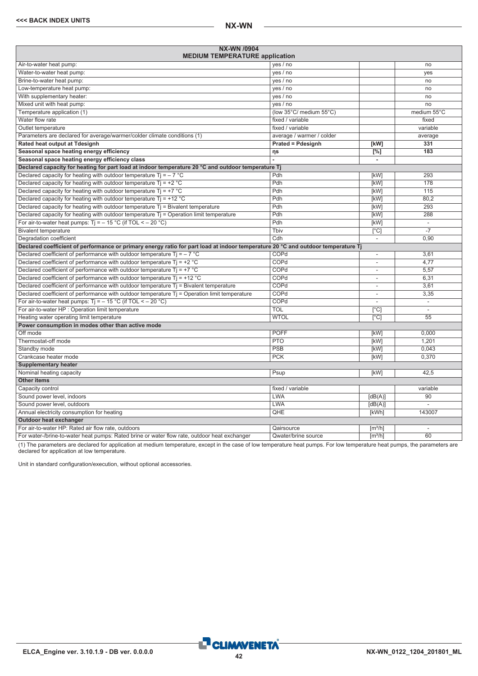| NX-WN /0904<br><b>MEDIUM TEMPERATURE application</b>                                                                             |                           |                          |                          |  |  |
|----------------------------------------------------------------------------------------------------------------------------------|---------------------------|--------------------------|--------------------------|--|--|
| Air-to-water heat pump:                                                                                                          | yes / no                  |                          | no                       |  |  |
| Water-to-water heat pump:                                                                                                        | yes / no                  |                          | yes                      |  |  |
| Brine-to-water heat pump:                                                                                                        | yes / no                  |                          | no                       |  |  |
| Low-temperature heat pump:                                                                                                       | yes / no                  |                          | no                       |  |  |
| With supplementary heater:                                                                                                       | yes / no                  |                          | no                       |  |  |
| Mixed unit with heat pump:                                                                                                       | yes / no                  |                          | no                       |  |  |
| Temperature application (1)                                                                                                      | (low 35°C/ medium 55°C)   |                          | medium 55°C              |  |  |
| Water flow rate                                                                                                                  | fixed / variable          |                          | fixed                    |  |  |
| Outlet temperature                                                                                                               | fixed / variable          |                          | variable                 |  |  |
| Parameters are declared for average/warmer/colder climate conditions (1)                                                         | average / warmer / colder |                          | average                  |  |  |
| Rated heat output at Tdesignh                                                                                                    | <b>Prated = Pdesignh</b>  | [kW]                     | 331                      |  |  |
| Seasonal space heating energy efficiency                                                                                         | ηs                        | $\Gamma$ %1              | 183                      |  |  |
| Seasonal space heating energy efficiency class                                                                                   |                           | $\overline{\phantom{a}}$ |                          |  |  |
| Declared capacity for heating for part load at indoor temperature 20 °C and outdoor temperature Tj                               |                           |                          |                          |  |  |
| Declared capacity for heating with outdoor temperature Ti = $-7$ °C                                                              | Pdh                       | [kW]                     | 293                      |  |  |
| Declared capacity for heating with outdoor temperature $Ti = +2 °C$                                                              | Pdh                       | [kW]                     | 178                      |  |  |
| Declared capacity for heating with outdoor temperature $Ti = +7$ °C                                                              | Pdh                       | [kW]                     | 115                      |  |  |
| Declared capacity for heating with outdoor temperature $Ti = +12 °C$                                                             | Pdh                       | [kW]                     | 80.2                     |  |  |
| Declared capacity for heating with outdoor temperature $Ti = Bi$ alent temperature                                               | Pdh                       | [kW]                     | 293                      |  |  |
| Declared capacity for heating with outdoor temperature $Tj =$ Operation limit temperature                                        | Pdh                       | [kW]                     | 288                      |  |  |
| For air-to-water heat pumps: $Ti = -15 °C$ (if TOL < - 20 °C)                                                                    | Pdh                       | [kW]                     | $\overline{\phantom{a}}$ |  |  |
| <b>Bivalent temperature</b>                                                                                                      | Tbiv                      | $\lceil$ °Cl             |                          |  |  |
| Degradation coefficient                                                                                                          | Cdh                       | $\overline{\phantom{a}}$ | 0.90                     |  |  |
| Declared coefficient of performance or primary energy ratio for part load at indoor temperature 20 °C and outdoor temperature Tj |                           |                          |                          |  |  |
| Declared coefficient of performance with outdoor temperature $Ti = -7$ °C                                                        | COPd                      |                          | 3,61                     |  |  |
| Declared coefficient of performance with outdoor temperature Tj = +2 $^{\circ}$ C                                                | COPd                      | $\overline{\phantom{a}}$ | 4.77                     |  |  |
| Declared coefficient of performance with outdoor temperature $Ti = +7$ °C                                                        | COPd                      | ÷                        | 5,57                     |  |  |
| Declared coefficient of performance with outdoor temperature $Ti = +12$ °C                                                       | COPd                      | $\overline{a}$           | 6,31                     |  |  |
| Declared coefficient of performance with outdoor temperature Ti = Bivalent temperature                                           | COPd                      | $\overline{\phantom{a}}$ | 3,61                     |  |  |
| Declared coefficient of performance with outdoor temperature $Tj$ = Operation limit temperature                                  | COPd                      | ÷                        | 3.35                     |  |  |
| For air-to-water heat pumps: $Ti = -15 °C$ (if TOL < - 20 °C)                                                                    | COPd                      | ÷                        | $\overline{a}$           |  |  |
| For air-to-water HP : Operation limit temperature                                                                                | <b>TOL</b>                | $\lceil$ °C              | $\mathcal{L}$            |  |  |
| Heating water operating limit temperature                                                                                        | <b>WTOL</b>               | [°C]                     | 55                       |  |  |
| Power consumption in modes other than active mode                                                                                |                           |                          |                          |  |  |
| Off mode                                                                                                                         | <b>POFF</b>               | [kW]                     | 0.000                    |  |  |
| Thermostat-off mode                                                                                                              | <b>PTO</b>                | [kW]                     | 1.201                    |  |  |
| Standby mode                                                                                                                     | PSB                       | [kW]                     | 0.043                    |  |  |
| Crankcase heater mode                                                                                                            | <b>PCK</b>                | [kW]                     | 0.370                    |  |  |
| <b>Supplementary heater</b>                                                                                                      |                           |                          |                          |  |  |
| Nominal heating capacity                                                                                                         | Psup                      | [kW]                     | 42.5                     |  |  |
| <b>Other items</b>                                                                                                               |                           |                          |                          |  |  |
| Capacity control                                                                                                                 | fixed / variable          |                          | variable                 |  |  |
| Sound power level, indoors                                                                                                       | <b>LWA</b>                | [dB(A)]                  | $\overline{90}$          |  |  |
| Sound power level, outdoors                                                                                                      | <b>LWA</b>                | [dB(A)]                  | $\mathcal{L}$            |  |  |
| Annual electricity consumption for heating                                                                                       | QHE                       | [kWh]                    | 143007                   |  |  |
| <b>Outdoor heat exchanger</b>                                                                                                    |                           |                          |                          |  |  |
| For air-to-water HP: Rated air flow rate, outdoors                                                                               | Qairsource                | $\lceil m^3/h \rceil$    | $\sim$                   |  |  |
| For water-/brine-to-water heat pumps: Rated brine or water flow rate, outdoor heat exchanger                                     | Qwater/brine source       | $\lceil m^3/h \rceil$    | 60                       |  |  |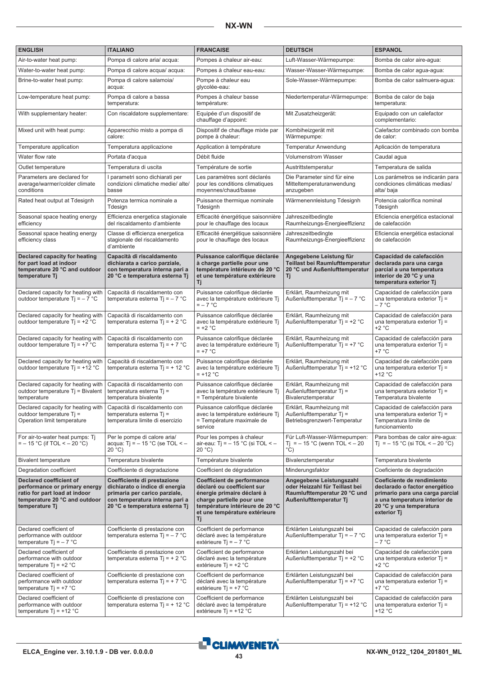| <b>ENGLISH</b>                                                                                                                               | <b>ITALIANO</b>                                                                                                                                                    | <b>FRANCAISE</b>                                                                                                                                                                              | <b>DEUTSCH</b>                                                                                                       | <b>ESPANOL</b>                                                                                                                                                            |
|----------------------------------------------------------------------------------------------------------------------------------------------|--------------------------------------------------------------------------------------------------------------------------------------------------------------------|-----------------------------------------------------------------------------------------------------------------------------------------------------------------------------------------------|----------------------------------------------------------------------------------------------------------------------|---------------------------------------------------------------------------------------------------------------------------------------------------------------------------|
| Air-to-water heat pump:                                                                                                                      | Pompa di calore aria/acqua:                                                                                                                                        | Pompes à chaleur air-eau:                                                                                                                                                                     | Luft-Wasser-Wärmepumpe:                                                                                              | Bomba de calor aire-agua:                                                                                                                                                 |
| Water-to-water heat pump:                                                                                                                    | Pompa di calore acqua/ acqua:                                                                                                                                      | Pompes à chaleur eau-eau:                                                                                                                                                                     | Wasser-Wasser-Wärmepumpe:                                                                                            | Bomba de calor agua-agua:                                                                                                                                                 |
| Brine-to-water heat pump:                                                                                                                    | Pompa di calore salamoia/<br>acqua:                                                                                                                                | Pompe à chaleur eau<br>qlycolée-eau:                                                                                                                                                          | Sole-Wasser-Wärmepumpe:                                                                                              | Bomba de calor salmuera-agua:                                                                                                                                             |
| Low-temperature heat pump:                                                                                                                   | Pompa di calore a bassa<br>temperatura:                                                                                                                            | Pompes à chaleur basse<br>température:                                                                                                                                                        | Niedertemperatur-Wärmepumpe:                                                                                         | Bomba de calor de baja<br>temperatura:                                                                                                                                    |
| With supplementary heater:                                                                                                                   | Con riscaldatore supplementare:                                                                                                                                    | Equipée d'un dispositif de<br>chauffage d'appoint:                                                                                                                                            | Mit Zusatzheizgerät:                                                                                                 | Equipado con un calefactor<br>complementario:                                                                                                                             |
| Mixed unit with heat pump:                                                                                                                   | Apparecchio misto a pompa di<br>calore:                                                                                                                            | Dispositif de chauffage mixte par<br>pompe à chaleur:                                                                                                                                         | Kombiheizgerät mit<br>Wärmepumpe:                                                                                    | Calefactor combinado con bomba<br>de calor:                                                                                                                               |
| Temperature application                                                                                                                      | Temperatura applicazione                                                                                                                                           | Application à température                                                                                                                                                                     | Temperatur Anwendung                                                                                                 | Aplicación de temperatura                                                                                                                                                 |
| Water flow rate                                                                                                                              | Portata d'acqua                                                                                                                                                    | Débit fluide                                                                                                                                                                                  | <b>Volumenstrom Wasser</b>                                                                                           | Caudal agua                                                                                                                                                               |
| Outlet temperature                                                                                                                           | Temperatura di uscita                                                                                                                                              | Température de sortie                                                                                                                                                                         | Austrittstemperatur                                                                                                  | Temperatura de salida                                                                                                                                                     |
| Parameters are declared for<br>average/warmer/colder climate<br>conditions                                                                   | l parametri sono dichiarati per<br>condizioni climatiche medie/ alte/<br>basse                                                                                     | Les paramètres sont déclarés<br>pour les conditions climatiques<br>moyennes/chaud/basse                                                                                                       | Die Parameter sind für eine<br>Mitteltemperaturanwendung<br>anzugeben                                                | Los parámetros se indicarán para<br>condiciones climáticas medias/<br>alta/baja                                                                                           |
| Rated heat output at Tdesignh                                                                                                                | Potenza termica nominale a<br>Tdesign                                                                                                                              | Puissance thermique nominale<br>Tdesignh                                                                                                                                                      | Wärmenennleistung Tdesignh                                                                                           | Potencia calorífica nominal<br>Tdesignh                                                                                                                                   |
| Seasonal space heating energy<br>efficiency                                                                                                  | Efficienza energetica stagionale<br>del riscaldamento d'ambiente                                                                                                   | Efficacité énergétique saisonnière<br>pour le chauffage des locaux                                                                                                                            | Jahreszeitbedingte<br>Raumheizungs-Energieeffizienz                                                                  | Eficiencia energética estacional<br>de calefacción                                                                                                                        |
| Seasonal space heating energy<br>efficiency class                                                                                            | Classe di efficienza energetica<br>stagionale del riscaldamento<br>d'ambiente                                                                                      | Efficacité énergétique saisonnière<br>pour le chauffage des locaux                                                                                                                            | Jahreszeitbedingte<br>Raumheizungs-Energieeffizienz                                                                  | Eficiencia energética estacional<br>de calefacción                                                                                                                        |
| Declared capacity for heating<br>for part load at indoor<br>temperature 20 °C and outdoor<br>temperature Tj                                  | Capacità di riscaldamento<br>dichiarata a carico parziale,<br>con temperatura interna pari a<br>20 °C e temperatura esterna Tj                                     | Puissance calorifique déclarée<br>à charge partielle pour une<br>température intérieure de 20 °C<br>et une température extérieure<br>Τj                                                       | Angegebene Leistung für<br>Teillast bei Raumlufttemperatur<br>20 °C und Außenlufttemperatur<br>Τj                    | Capacidad de calefacción<br>declarada para una carga<br>parcial a una temperatura<br>interior de 20 °C y una<br>temperatura exterior Tj                                   |
| Declared capacity for heating with<br>outdoor temperature $Ti = -7$ °C                                                                       | Capacità di riscaldamento con<br>temperatura esterna Tj = $-7$ °C                                                                                                  | Puissance calorifique déclarée<br>avec la température extérieure Tj<br>$=-7$ °C                                                                                                               | Erklärt, Raumheizung mit<br>Außenlufttemperatur Tj = $-7$ °C                                                         | Capacidad de calefacción para<br>una temperatura exterior Tj =<br>$-7 °C$                                                                                                 |
| Declared capacity for heating with<br>outdoor temperature $Ti = +2$ °C                                                                       | Capacità di riscaldamento con<br>temperatura esterna Tj = $+ 2 °C$                                                                                                 | Puissance calorifique déclarée<br>avec la température extérieure Tj<br>$= +2$ °C                                                                                                              | Erklärt, Raumheizung mit<br>Außenlufttemperatur Tj = $+2$ °C                                                         | Capacidad de calefacción para<br>una temperatura exterior Ti =<br>$+2 °C$                                                                                                 |
| Declared capacity for heating with<br>outdoor temperature $Ti = +7$ °C                                                                       | Capacità di riscaldamento con<br>temperatura esterna Tj = + 7 °C                                                                                                   | Puissance calorifique déclarée<br>avec la température extérieure Tj<br>$= +7$ °C                                                                                                              | Erklärt, Raumheizung mit<br>Außenlufttemperatur Tj = $+7$ °C                                                         | Capacidad de calefacción para<br>una temperatura exterior Tj =<br>+7 °C                                                                                                   |
| Declared capacity for heating with<br>outdoor temperature $Ti = +12 °C$                                                                      | Capacità di riscaldamento con<br>temperatura esterna Ti = $+12$ °C                                                                                                 | Puissance calorifique déclarée<br>avec la température extérieure Tj<br>$= +12 °C$                                                                                                             | Erklärt, Raumheizung mit<br>Außenlufttemperatur Ti = $+12$ °C                                                        | Capacidad de calefacción para<br>una temperatura exterior Tj =<br>+12 °C                                                                                                  |
| Declared capacity for heating with<br>outdoor temperature Tj = Bivalent<br>temperature                                                       | Capacità di riscaldamento con<br>temperatura esterna Tj =<br>temperatura bivalente                                                                                 | Puissance calorifique déclarée<br>avec la température extérieure Tj<br>= Température bivalente                                                                                                | Erklärt, Raumheizung mit<br>Außenlufttemperatur Tj =<br>Bivalenztemperatur                                           | Capacidad de calefacción para<br>una temperatura exterior Ti =<br>Temperatura bivalente                                                                                   |
| Declared capacity for heating with<br>outdoor temperature Tj =<br>Operation limit temperature                                                | Capacità di riscaldamento con<br>temperatura esterna Tj =<br>temperatura limite di esercizio                                                                       | Puissance calorifique déclarée<br>avec la température extérieure Tj<br>= Température maximale de<br>service                                                                                   | Erklärt, Raumheizung mit<br>Außenlufttemperatur Tj =<br>Betriebsgrenzwert-Temperatur                                 | Capacidad de calefacción para<br>una temperatura exterior Ti =<br>Temperatura límite de<br>funcionamiento                                                                 |
| For air-to-water heat pumps: Tj<br>$=$ – 15 °C (if TOL < – 20 °C)                                                                            | Per le pompe di calore aria/<br>acqua: Tj = $-15$ °C (se TOL < $-$<br>20 °C                                                                                        | Pour les pompes à chaleur<br>air-eau: Tj = $-15$ °C (si TOL < $-$<br>20 °C                                                                                                                    | Für Luft-Wasser-Wärmepumpen:<br>Ti = $-15$ °C (wenn TOL < $-20$<br>$^{\circ}$ C)                                     | Para bombas de calor aire-agua:<br>Ti = $-15$ °C (si TOL < $-20$ °C)                                                                                                      |
| <b>Bivalent temperature</b>                                                                                                                  | Temperatura bivalente                                                                                                                                              | Température bivalente                                                                                                                                                                         | Bivalenztemperatur                                                                                                   | Temperatura bivalente                                                                                                                                                     |
| Degradation coefficient                                                                                                                      | Coefficiente di degradazione                                                                                                                                       | Coefficient de dégradation                                                                                                                                                                    | Minderungsfaktor                                                                                                     | Coeficiente de degradación                                                                                                                                                |
| Declared coefficient of<br>performance or primary energy<br>ratio for part load at indoor<br>temperature 20 °C and outdoor<br>temperature Tj | Coefficiente di prestazione<br>dichiarato o indice di energia<br>primaria per carico parziale,<br>con temperatura interna pari a<br>20 °C e temperatura esterna Tj | Coefficient de performance<br>déclaré ou coefficient sur<br>énergie primaire déclaré à<br>charge partielle pour une<br>température intérieure de 20 °C<br>et une température extérieure<br>Τj | Angegebene Leistungszahl<br>oder Heizzahl für Teillast bei<br>Raumlufttemperatur 20 °C und<br>Außenlufttemperatur Tj | Coeficiente de rendimiento<br>declarado o factor energético<br>primario para una carga parcial<br>a una temperatura interior de<br>20 °C y una temperatura<br>exterior Tj |
| Declared coefficient of<br>performance with outdoor<br>temperature $Ti = -7$ °C                                                              | Coefficiente di prestazione con<br>temperatura esterna Tj = $-7$ °C                                                                                                | Coefficient de performance<br>déclaré avec la température<br>extérieure $Ti = -7$ °C                                                                                                          | Erklärten Leistungszahl bei<br>Außenlufttemperatur Tj = $-7$ °C                                                      | Capacidad de calefacción para<br>una temperatura exterior $T$ j =<br>– 7 °C                                                                                               |
| Declared coefficient of<br>performance with outdoor<br>temperature $Ti = +2 °C$                                                              | Coefficiente di prestazione con<br>temperatura esterna Ti = $+ 2 °C$                                                                                               | Coefficient de performance<br>déclaré avec la température<br>extérieure $Ti = +2 °C$                                                                                                          | Erklärten Leistungszahl bei<br>Außenlufttemperatur Tj = $+2$ °C                                                      | Capacidad de calefacción para<br>una temperatura exterior Tj =<br>+2 °C                                                                                                   |
| Declared coefficient of<br>performance with outdoor<br>temperature $Ti = +7$ °C                                                              | Coefficiente di prestazione con<br>temperatura esterna Tj = + 7 °C                                                                                                 | Coefficient de performance<br>déclaré avec la température<br>extérieure $Ti = +7$ °C                                                                                                          | Erklärten Leistungszahl bei<br>Außenlufttemperatur $Ti = +7$ °C                                                      | Capacidad de calefacción para<br>una temperatura exterior $T$ j =<br>+7 °C                                                                                                |
| Declared coefficient of<br>performance with outdoor<br>temperature $Ti = +12 °C$                                                             | Coefficiente di prestazione con<br>temperatura esterna Ti = $+12$ °C                                                                                               | Coefficient de performance<br>déclaré avec la température<br>extérieure $Ti = +12 °C$                                                                                                         | Erklärten Leistungszahl bei<br>Außenlufttemperatur Tj = $+12$ °C                                                     | Capacidad de calefacción para<br>una temperatura exterior $T$ j =<br>+12 °C                                                                                               |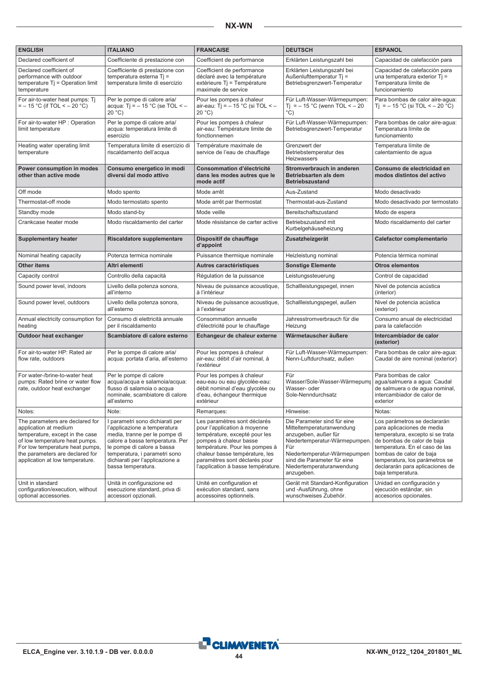| <b>ENGLISH</b>                                                                                                                                                                                                                         | <b>ITALIANO</b>                                                                                                                                                                                                                                             | <b>FRANCAISE</b>                                                                                                                                                                                                                                                   | <b>DEUTSCH</b>                                                                                                                                                                                                                    | <b>ESPANOL</b>                                                                                                                                                                                                                                                                      |
|----------------------------------------------------------------------------------------------------------------------------------------------------------------------------------------------------------------------------------------|-------------------------------------------------------------------------------------------------------------------------------------------------------------------------------------------------------------------------------------------------------------|--------------------------------------------------------------------------------------------------------------------------------------------------------------------------------------------------------------------------------------------------------------------|-----------------------------------------------------------------------------------------------------------------------------------------------------------------------------------------------------------------------------------|-------------------------------------------------------------------------------------------------------------------------------------------------------------------------------------------------------------------------------------------------------------------------------------|
| Declared coefficient of                                                                                                                                                                                                                | Coefficiente di prestazione con                                                                                                                                                                                                                             | Coefficient de performance                                                                                                                                                                                                                                         | Erklärten Leistungszahl bei                                                                                                                                                                                                       | Capacidad de calefacción para                                                                                                                                                                                                                                                       |
| Declared coefficient of<br>performance with outdoor<br>temperature $Tj =$ Operation limit<br>temperature                                                                                                                               | Coefficiente di prestazione con<br>temperatura esterna Ti =<br>temperatura limite di esercizio                                                                                                                                                              | Coefficient de performance<br>déclaré avec la température<br>extérieure Tj = Température<br>maximale de service                                                                                                                                                    | Erklärten Leistungszahl bei<br>Außenlufttemperatur Tj =<br>Betriebsgrenzwert-Temperatur                                                                                                                                           | Capacidad de calefacción para<br>una temperatura exterior Tj =<br>Temperatura límite de<br>funcionamiento                                                                                                                                                                           |
| For air-to-water heat pumps: Ti<br>$=$ – 15 °C (if TOL < – 20 °C)                                                                                                                                                                      | Per le pompe di calore aria/<br>acqua: Tj = $-15$ °C (se TOL < $-$<br>20 °C                                                                                                                                                                                 | Pour les pompes à chaleur<br>air-eau: Tj = $-15$ °C (si TOL < $-$<br>20 °C                                                                                                                                                                                         | Für Luft-Wasser-Wärmepumpen:<br>Ti = $-15$ °C (wenn TOL < $-20$<br>$\rm ^{\circ}$ C)                                                                                                                                              | Para bombas de calor aire-agua:<br>Tj = – 15 °C (si TOL < – 20 °C)                                                                                                                                                                                                                  |
| For air-to-water HP : Operation<br>limit temperature                                                                                                                                                                                   | Per le pompe di calore aria/<br>acqua: temperatura limite di<br>esercizio                                                                                                                                                                                   | Pour les pompes à chaleur<br>air-eau: Température limite de<br>fonctionnemen                                                                                                                                                                                       | Für Luft-Wasser-Wärmepumpen:<br>Betriebsgrenzwert-Temperatur                                                                                                                                                                      | Para bombas de calor aire-aqua:<br>Temperatura límite de<br>funcionamiento                                                                                                                                                                                                          |
| Heating water operating limit<br>temperature                                                                                                                                                                                           | Temperatura limite di esercizio di<br>riscaldamento dell'acqua                                                                                                                                                                                              | Température maximale de<br>service de l'eau de chauffage                                                                                                                                                                                                           | Grenzwert der<br>Betriebstemperatur des<br><b>Heizwassers</b>                                                                                                                                                                     | Temperatura límite de<br>calentamiento de agua                                                                                                                                                                                                                                      |
| Power consumption in modes<br>other than active mode                                                                                                                                                                                   | Consumo energetico in modi<br>diversi dal modo attivo                                                                                                                                                                                                       | <b>Consommation d'électricité</b><br>dans les modes autres que le<br>mode actif                                                                                                                                                                                    | Stromverbrauch in anderen<br>Betriebsarten als dem<br><b>Betriebszustand</b>                                                                                                                                                      | Consumo de electricidad en<br>modos distintos del activo                                                                                                                                                                                                                            |
| Off mode                                                                                                                                                                                                                               | Modo spento                                                                                                                                                                                                                                                 | Mode arrêt                                                                                                                                                                                                                                                         | Aus-Zustand                                                                                                                                                                                                                       | Modo desactivado                                                                                                                                                                                                                                                                    |
| Thermostat-off mode                                                                                                                                                                                                                    | Modo termostato spento                                                                                                                                                                                                                                      | Mode arrêt par thermostat                                                                                                                                                                                                                                          | Thermostat-aus-Zustand                                                                                                                                                                                                            | Modo desactivado por termostato                                                                                                                                                                                                                                                     |
| Standby mode                                                                                                                                                                                                                           | Modo stand-by                                                                                                                                                                                                                                               | Mode veille                                                                                                                                                                                                                                                        | Bereitschaftszustand                                                                                                                                                                                                              | Modo de espera                                                                                                                                                                                                                                                                      |
| Crankcase heater mode                                                                                                                                                                                                                  | Modo riscaldamento del carter                                                                                                                                                                                                                               | Mode résistance de carter active                                                                                                                                                                                                                                   | Betriebszustand mit<br>Kurbelgehäuseheizung                                                                                                                                                                                       | Modo riscaldamento del carter                                                                                                                                                                                                                                                       |
| <b>Supplementary heater</b>                                                                                                                                                                                                            | <b>Riscaldatore supplementare</b>                                                                                                                                                                                                                           | Dispositif de chauffage<br>d'appoint                                                                                                                                                                                                                               | Zusatzheizgerät                                                                                                                                                                                                                   | Calefactor complementario                                                                                                                                                                                                                                                           |
| Nominal heating capacity                                                                                                                                                                                                               | Potenza termica nominale                                                                                                                                                                                                                                    | Puissance thermique nominale                                                                                                                                                                                                                                       | Heizleistung nominal                                                                                                                                                                                                              | Potencia térmica nominal                                                                                                                                                                                                                                                            |
| Other items                                                                                                                                                                                                                            | Altri elementi                                                                                                                                                                                                                                              | Autres caractéristiques                                                                                                                                                                                                                                            | <b>Sonstige Elemente</b>                                                                                                                                                                                                          | <b>Otros elementos</b>                                                                                                                                                                                                                                                              |
| Capacity control                                                                                                                                                                                                                       | Controllo della capacità                                                                                                                                                                                                                                    | Régulation de la puissance                                                                                                                                                                                                                                         | Leistungssteuerung                                                                                                                                                                                                                | Control de capacidad                                                                                                                                                                                                                                                                |
| Sound power level, indoors                                                                                                                                                                                                             | Livello della potenza sonora,<br>all'interno                                                                                                                                                                                                                | Niveau de puissance acoustique,<br>à l'intérieur                                                                                                                                                                                                                   | Schallleistungspegel, innen                                                                                                                                                                                                       | Nivel de potencia acústica<br>(interior)                                                                                                                                                                                                                                            |
| Sound power level, outdoors                                                                                                                                                                                                            | Livello della potenza sonora,<br>all'esterno                                                                                                                                                                                                                | Niveau de puissance acoustique,<br>à l'extérieur                                                                                                                                                                                                                   | Schallleistungspegel, außen                                                                                                                                                                                                       | Nivel de potencia acústica<br>(exterior)                                                                                                                                                                                                                                            |
| Annual electricity consumption for<br>heating                                                                                                                                                                                          | Consumo di elettricità annuale<br>per il riscaldamento                                                                                                                                                                                                      | Consommation annuelle<br>d'électricité pour le chauffage                                                                                                                                                                                                           | Jahresstromverbrauch für die<br>Heizung                                                                                                                                                                                           | Consumo anual de electricidad<br>para la calefacción                                                                                                                                                                                                                                |
| Outdoor heat exchanger                                                                                                                                                                                                                 | Scambiatore di calore esterno                                                                                                                                                                                                                               | Echangeur de chaleur externe                                                                                                                                                                                                                                       | Wärmetauscher äußere                                                                                                                                                                                                              | Intercambiador de calor<br>(exterior)                                                                                                                                                                                                                                               |
| For air-to-water HP: Rated air<br>flow rate, outdoors                                                                                                                                                                                  | Per le pompe di calore aria/<br>acqua: portata d'aria, all'esterno                                                                                                                                                                                          | Pour les pompes à chaleur<br>air-eau: débit d'air nominal, à<br>l'extérieur                                                                                                                                                                                        | Für Luft-Wasser-Wärmepumpen:<br>Nenn-Luftdurchsatz, außen                                                                                                                                                                         | Para bombas de calor aire-agua:<br>Caudal de aire nominal (exterior)                                                                                                                                                                                                                |
| For water-/brine-to-water heat<br>pumps: Rated brine or water flow<br>rate, outdoor heat exchanger                                                                                                                                     | Per le pompe di calore<br>acqua/acqua e salamoia/acqua:<br>flusso di salamoia o acqua<br>nominale, scambiatore di calore<br>all'esterno                                                                                                                     | Pour les pompes à chaleur<br>eau-eau ou eau glycolée-eau:<br>débit nominal d'eau glycolée ou<br>d'eau, échangeur thermique<br>extérieur                                                                                                                            | Für<br>Wasser/Sole-Wasser-Wärmepump<br>Wasser- oder<br>Sole-Nenndurchsatz                                                                                                                                                         | Para bombas de calor<br>agua/salmuera a agua: Caudal<br>de salmuera o de aqua nominal,<br>intercambiador de calor de<br>exterior                                                                                                                                                    |
| Notes:                                                                                                                                                                                                                                 | Note:                                                                                                                                                                                                                                                       | Remarques:                                                                                                                                                                                                                                                         | Hinweise:                                                                                                                                                                                                                         | Notas:                                                                                                                                                                                                                                                                              |
| The parameters are declared for<br>application at medium<br>temperature, except in the case<br>of low temperature heat pumps.<br>For low temperature heat pumps,<br>the parameters are declared for<br>application at low temperature. | I parametri sono dichiarati per<br>l'applicazione a temperatura<br>media, tranne per le pompe di<br>calore a bassa temperatura. Per<br>le pompe di calore a bassa<br>temperatura, i parametri sono<br>dichiarati per l'applicazione a<br>bassa temperatura. | Les paramètres sont déclarés<br>pour l'application à moyenne<br>température, excepté pour les<br>pompes à chaleur basse<br>température. Pour les pompes à<br>chaleur basse température, les<br>paramètres sont déclarés pour<br>l'application à basse température. | Die Parameter sind für eine<br>Mitteltemperaturanwendung<br>anzugeben, außer für<br>Niedertemperatur-Wärmepumpen<br>Für<br>Niedertemperatur-Wärmepumpen<br>sind die Parameter für eine<br>Niedertemperaturanwendung<br>anzugeben. | Los parámetros se declararán<br>para aplicaciones de media<br>temperatura, excepto si se trata<br>de bombas de calor de baja<br>temperatura. En el caso de las<br>bombas de calor de baja<br>temperatura, los parámetros se<br>declararán para aplicaciones de<br>baja temperatura. |
| Unit in standard<br>configuration/execution, without<br>optional accessories.                                                                                                                                                          | Unità in configurazione ed<br>esecuzione standard, priva di<br>accessori opzionali.                                                                                                                                                                         | Unité en configuration et<br>exécution standard, sans<br>accessoires optionnels.                                                                                                                                                                                   | Gerät mit Standard-Konfiguration<br>und -Ausführung, ohne<br>wunschweises Zubehör.                                                                                                                                                | Unidad en configuración y<br>ejecución estándar, sin<br>accesorios opcionales.                                                                                                                                                                                                      |